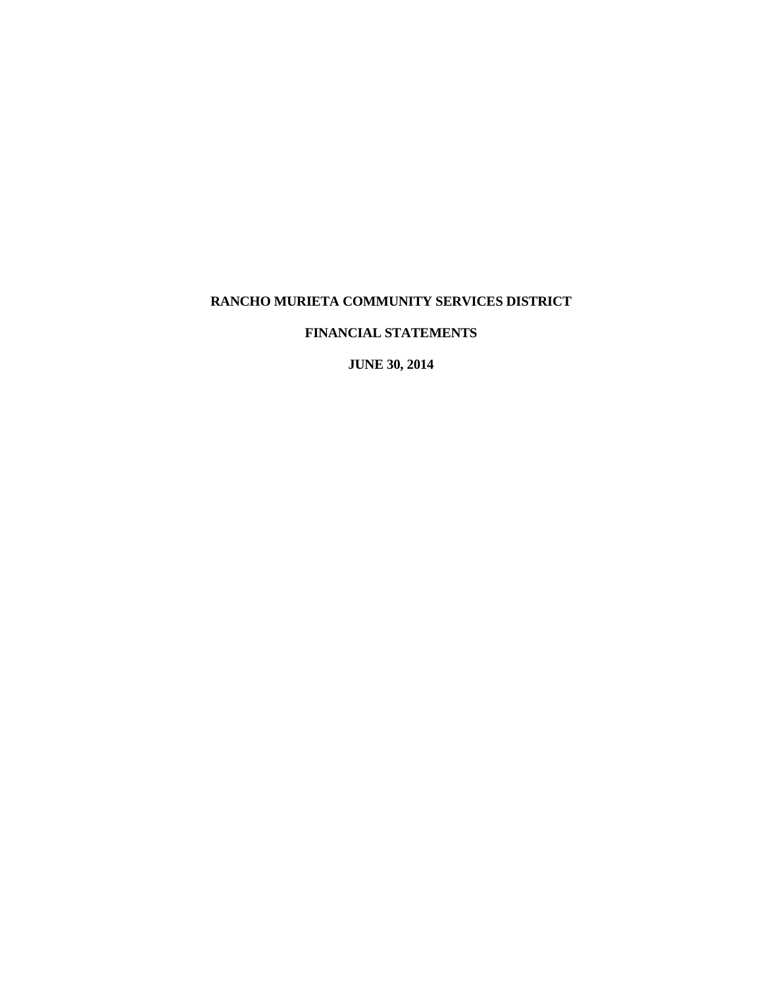# **FINANCIAL STATEMENTS**

 **JUNE 30, 2014**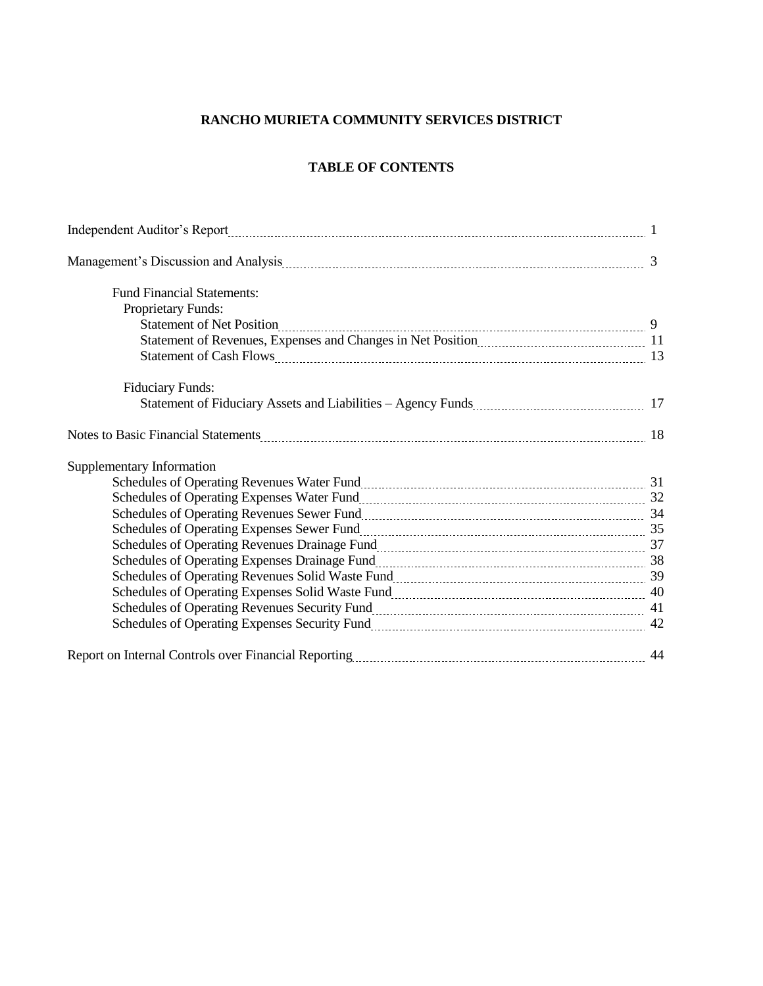# **TABLE OF CONTENTS**

| Independent Auditor's Report [100] and the contract of the Report of the Report of the contract of the contract of the contract of the contract of the contract of the contract of the contract of the contract of the contrac |    |
|--------------------------------------------------------------------------------------------------------------------------------------------------------------------------------------------------------------------------------|----|
|                                                                                                                                                                                                                                | 3  |
| <b>Fund Financial Statements:</b>                                                                                                                                                                                              |    |
| Proprietary Funds:                                                                                                                                                                                                             |    |
|                                                                                                                                                                                                                                |    |
| Statement of Revenues, Expenses and Changes in Net Position <b>Manual</b> 11 and 11                                                                                                                                            |    |
|                                                                                                                                                                                                                                |    |
| <b>Fiduciary Funds:</b>                                                                                                                                                                                                        |    |
|                                                                                                                                                                                                                                |    |
| Notes to Basic Financial Statements 18                                                                                                                                                                                         |    |
| Supplementary Information                                                                                                                                                                                                      |    |
|                                                                                                                                                                                                                                |    |
| Schedules of Operating Expenses Water Fund<br>132                                                                                                                                                                              |    |
| Schedules of Operating Revenues Sewer Fund <b>Martin Communication</b> and the set of 34                                                                                                                                       |    |
| Schedules of Operating Expenses Sewer Fund<br>15                                                                                                                                                                               |    |
|                                                                                                                                                                                                                                |    |
|                                                                                                                                                                                                                                |    |
|                                                                                                                                                                                                                                |    |
| Schedules of Operating Expenses Solid Waste Fund Martingham and Martin Martin 40                                                                                                                                               |    |
| Schedules of Operating Revenues Security Fund<br>11                                                                                                                                                                            |    |
| Schedules of Operating Expenses Security Fund<br>12                                                                                                                                                                            |    |
|                                                                                                                                                                                                                                | 44 |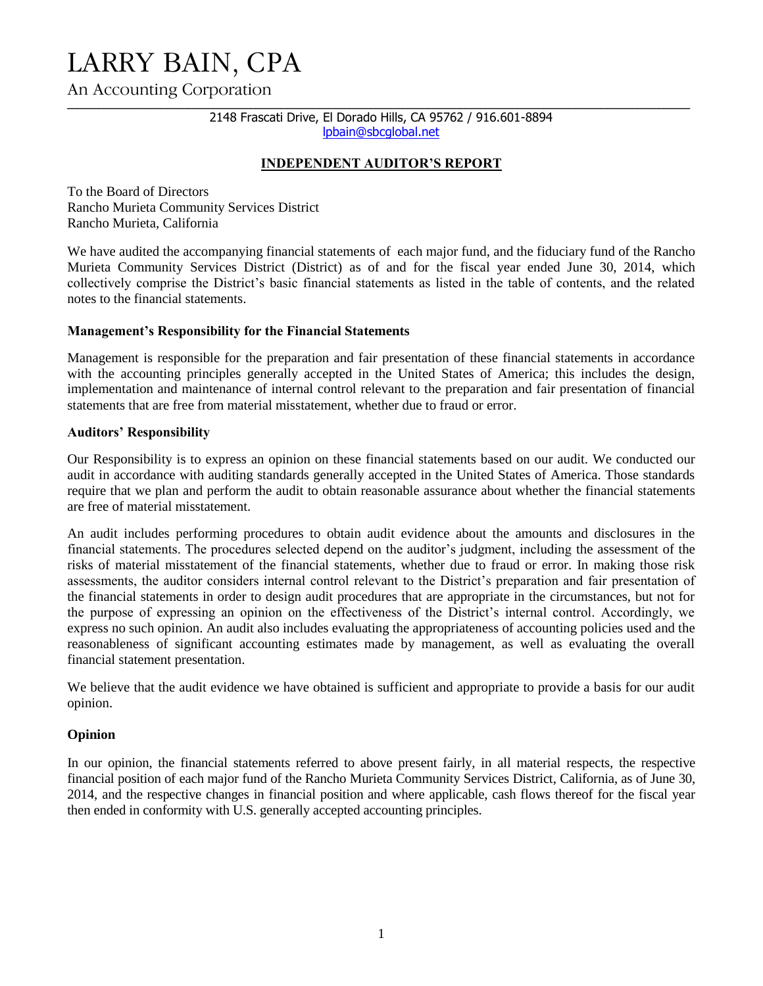# LARRY BAIN, CPA

An Accounting Corporation

2148 Frascati Drive, El Dorado Hills, CA 95762 / 916.601-8894 [lpbain@sbcglobal.net](mailto:auditor@marcello-cpa.com)

# **INDEPENDENT AUDITOR'S REPORT**

To the Board of Directors Rancho Murieta Community Services District Rancho Murieta, California

We have audited the accompanying financial statements of each major fund, and the fiduciary fund of the Rancho Murieta Community Services District (District) as of and for the fiscal year ended June 30, 2014, which collectively comprise the District's basic financial statements as listed in the table of contents, and the related notes to the financial statements.

# **Management's Responsibility for the Financial Statements**

Management is responsible for the preparation and fair presentation of these financial statements in accordance with the accounting principles generally accepted in the United States of America; this includes the design, implementation and maintenance of internal control relevant to the preparation and fair presentation of financial statements that are free from material misstatement, whether due to fraud or error.

# **Auditors' Responsibility**

Our Responsibility is to express an opinion on these financial statements based on our audit. We conducted our audit in accordance with auditing standards generally accepted in the United States of America. Those standards require that we plan and perform the audit to obtain reasonable assurance about whether the financial statements are free of material misstatement.

An audit includes performing procedures to obtain audit evidence about the amounts and disclosures in the financial statements. The procedures selected depend on the auditor's judgment, including the assessment of the risks of material misstatement of the financial statements, whether due to fraud or error. In making those risk assessments, the auditor considers internal control relevant to the District's preparation and fair presentation of the financial statements in order to design audit procedures that are appropriate in the circumstances, but not for the purpose of expressing an opinion on the effectiveness of the District's internal control. Accordingly, we express no such opinion. An audit also includes evaluating the appropriateness of accounting policies used and the reasonableness of significant accounting estimates made by management, as well as evaluating the overall financial statement presentation.

We believe that the audit evidence we have obtained is sufficient and appropriate to provide a basis for our audit opinion.

# **Opinion**

In our opinion, the financial statements referred to above present fairly, in all material respects, the respective financial position of each major fund of the Rancho Murieta Community Services District, California, as of June 30, 2014, and the respective changes in financial position and where applicable, cash flows thereof for the fiscal year then ended in conformity with U.S. generally accepted accounting principles.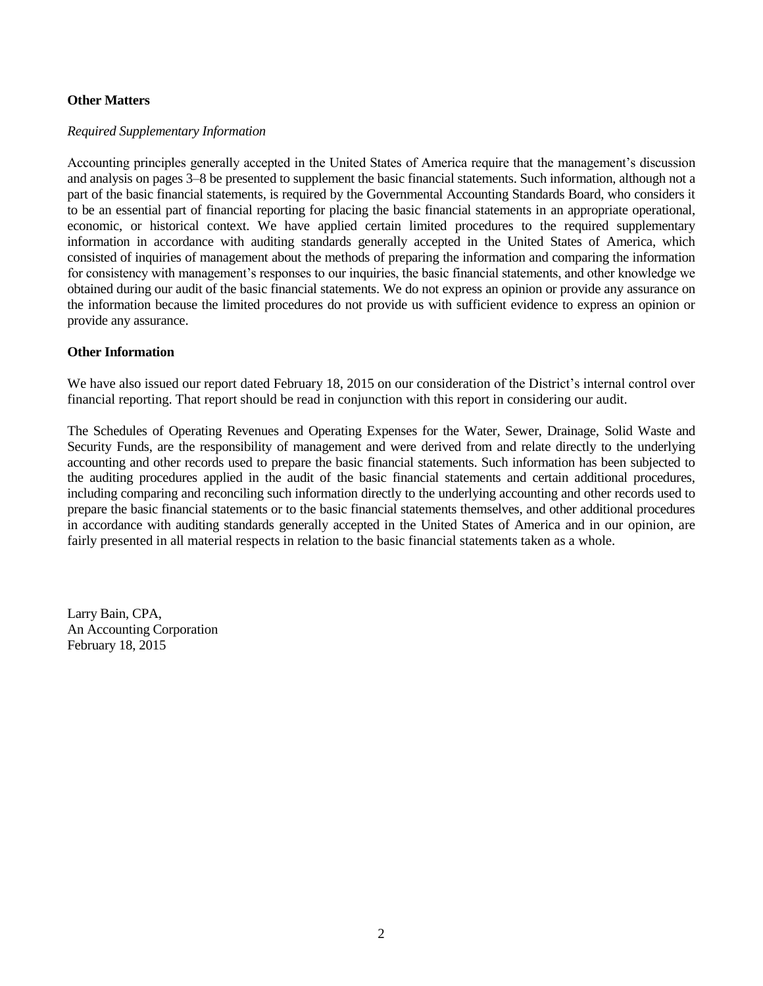# **Other Matters**

#### *Required Supplementary Information*

Accounting principles generally accepted in the United States of America require that the management's discussion and analysis on pages 3–8 be presented to supplement the basic financial statements. Such information, although not a part of the basic financial statements, is required by the Governmental Accounting Standards Board, who considers it to be an essential part of financial reporting for placing the basic financial statements in an appropriate operational, economic, or historical context. We have applied certain limited procedures to the required supplementary information in accordance with auditing standards generally accepted in the United States of America, which consisted of inquiries of management about the methods of preparing the information and comparing the information for consistency with management's responses to our inquiries, the basic financial statements, and other knowledge we obtained during our audit of the basic financial statements. We do not express an opinion or provide any assurance on the information because the limited procedures do not provide us with sufficient evidence to express an opinion or provide any assurance.

#### **Other Information**

We have also issued our report dated February 18, 2015 on our consideration of the District's internal control over financial reporting. That report should be read in conjunction with this report in considering our audit.

The Schedules of Operating Revenues and Operating Expenses for the Water, Sewer, Drainage, Solid Waste and Security Funds, are the responsibility of management and were derived from and relate directly to the underlying accounting and other records used to prepare the basic financial statements. Such information has been subjected to the auditing procedures applied in the audit of the basic financial statements and certain additional procedures, including comparing and reconciling such information directly to the underlying accounting and other records used to prepare the basic financial statements or to the basic financial statements themselves, and other additional procedures in accordance with auditing standards generally accepted in the United States of America and in our opinion, are fairly presented in all material respects in relation to the basic financial statements taken as a whole.

Larry Bain, CPA, An Accounting Corporation February 18, 2015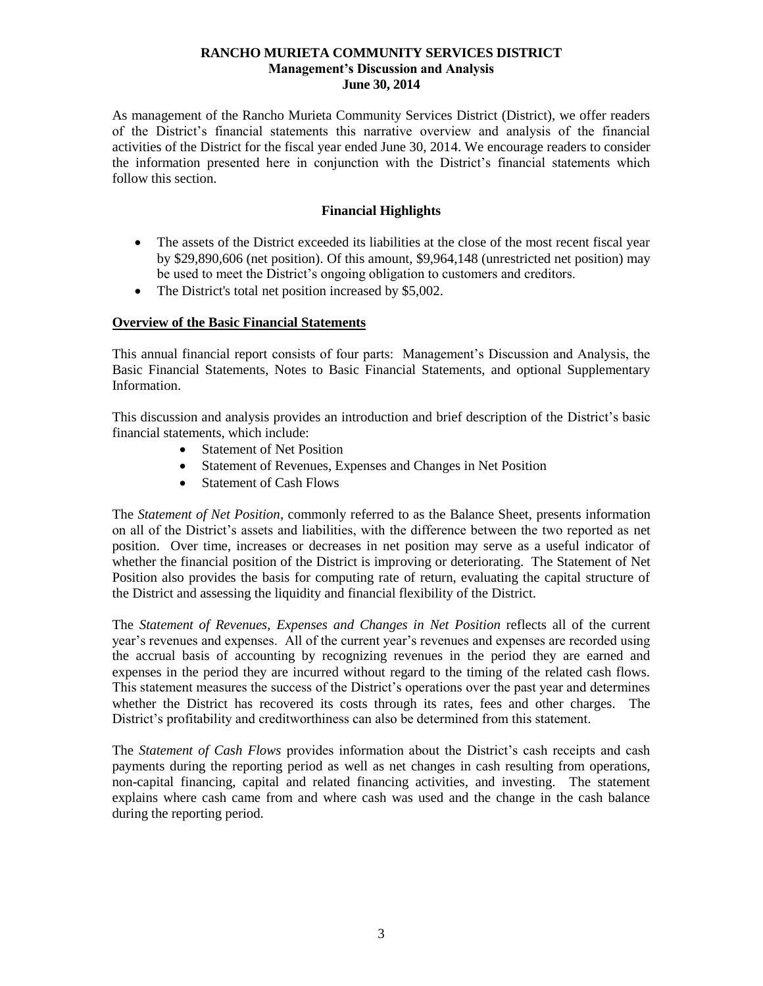As management of the Rancho Murieta Community Services District (District), we offer readers of the District's financial statements this narrative overview and analysis of the financial activities of the District for the fiscal year ended June 30, 2014. We encourage readers to consider the information presented here in conjunction with the District's financial statements which follow this section.

# **Financial Highlights**

- The assets of the District exceeded its liabilities at the close of the most recent fiscal year by \$29,890,606 (net position). Of this amount, \$9,964,148 (unrestricted net position) may be used to meet the District's ongoing obligation to customers and creditors.
- The District's total net position increased by \$5,002.

# **Overview of the Basic Financial Statements**

This annual financial report consists of four parts: Management's Discussion and Analysis, the Basic Financial Statements, Notes to Basic Financial Statements, and optional Supplementary Information.

This discussion and analysis provides an introduction and brief description of the District's basic financial statements, which include:

- Statement of Net Position
- Statement of Revenues, Expenses and Changes in Net Position
- Statement of Cash Flows

The *Statement of Net Position*, commonly referred to as the Balance Sheet, presents information on all of the District's assets and liabilities, with the difference between the two reported as net position. Over time, increases or decreases in net position may serve as a useful indicator of whether the financial position of the District is improving or deteriorating. The Statement of Net Position also provides the basis for computing rate of return, evaluating the capital structure of the District and assessing the liquidity and financial flexibility of the District.

The *Statement of Revenues, Expenses and Changes in Net Position* reflects all of the current year's revenues and expenses. All of the current year's revenues and expenses are recorded using the accrual basis of accounting by recognizing revenues in the period they are earned and expenses in the period they are incurred without regard to the timing of the related cash flows. This statement measures the success of the District's operations over the past year and determines whether the District has recovered its costs through its rates, fees and other charges. The District's profitability and creditworthiness can also be determined from this statement.

The *Statement of Cash Flows* provides information about the District's cash receipts and cash payments during the reporting period as well as net changes in cash resulting from operations, non-capital financing, capital and related financing activities, and investing. The statement explains where cash came from and where cash was used and the change in the cash balance during the reporting period.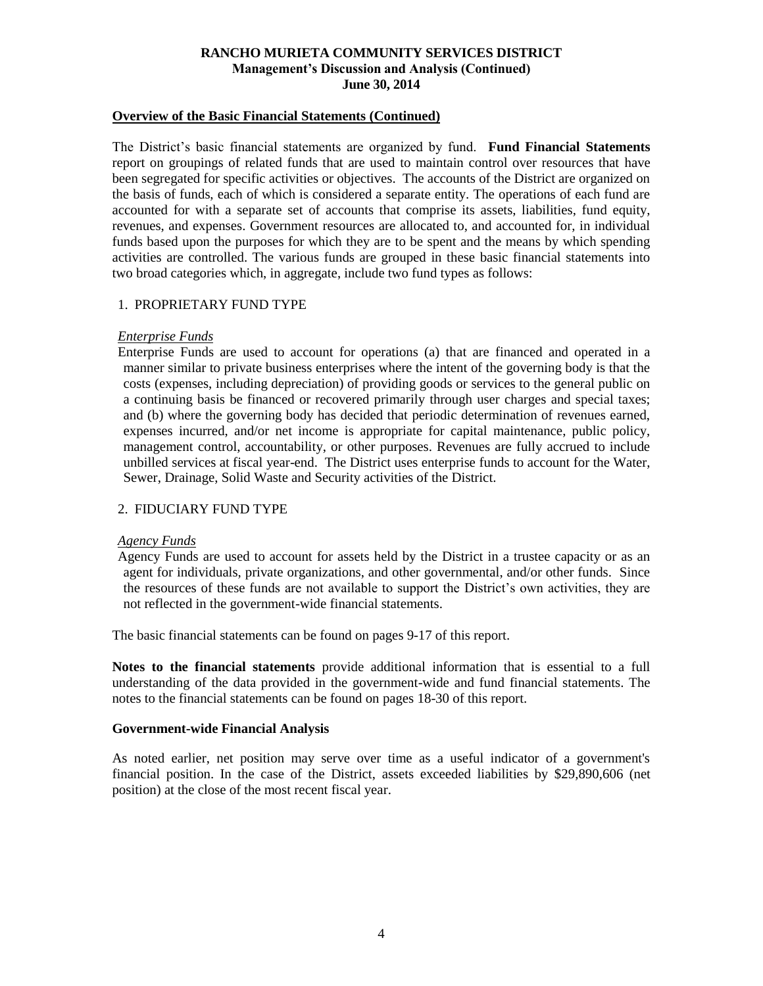#### **Overview of the Basic Financial Statements (Continued)**

The District's basic financial statements are organized by fund. **Fund Financial Statements**  report on groupings of related funds that are used to maintain control over resources that have been segregated for specific activities or objectives. The accounts of the District are organized on the basis of funds, each of which is considered a separate entity. The operations of each fund are accounted for with a separate set of accounts that comprise its assets, liabilities, fund equity, revenues, and expenses. Government resources are allocated to, and accounted for, in individual funds based upon the purposes for which they are to be spent and the means by which spending activities are controlled. The various funds are grouped in these basic financial statements into two broad categories which, in aggregate, include two fund types as follows:

#### 1. PROPRIETARY FUND TYPE

#### *Enterprise Funds*

Enterprise Funds are used to account for operations (a) that are financed and operated in a manner similar to private business enterprises where the intent of the governing body is that the costs (expenses, including depreciation) of providing goods or services to the general public on a continuing basis be financed or recovered primarily through user charges and special taxes; and (b) where the governing body has decided that periodic determination of revenues earned, expenses incurred, and/or net income is appropriate for capital maintenance, public policy, management control, accountability, or other purposes. Revenues are fully accrued to include unbilled services at fiscal year-end. The District uses enterprise funds to account for the Water, Sewer, Drainage, Solid Waste and Security activities of the District.

#### 2. FIDUCIARY FUND TYPE

#### *Agency Funds*

Agency Funds are used to account for assets held by the District in a trustee capacity or as an agent for individuals, private organizations, and other governmental, and/or other funds. Since the resources of these funds are not available to support the District's own activities, they are not reflected in the government-wide financial statements.

The basic financial statements can be found on pages 9-17 of this report.

**Notes to the financial statements** provide additional information that is essential to a full understanding of the data provided in the government-wide and fund financial statements. The notes to the financial statements can be found on pages 18-30 of this report.

#### **Government-wide Financial Analysis**

As noted earlier, net position may serve over time as a useful indicator of a government's financial position. In the case of the District, assets exceeded liabilities by \$29,890,606 (net position) at the close of the most recent fiscal year.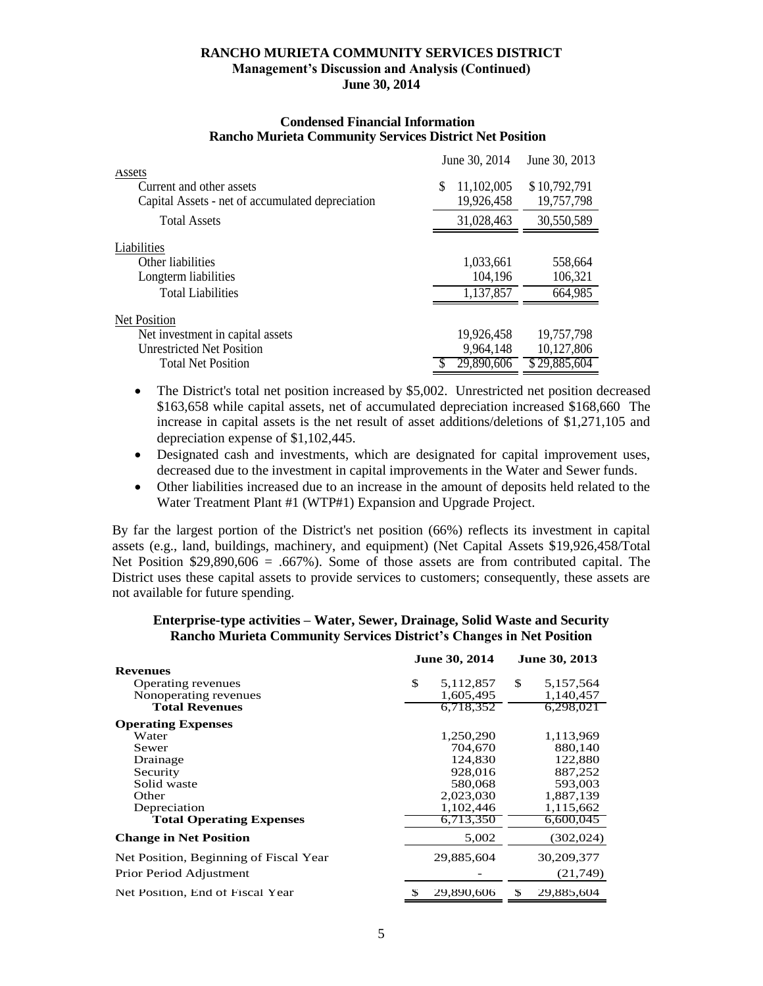|                                                                                        | June 30, 2014                 | June 30, 2013              |
|----------------------------------------------------------------------------------------|-------------------------------|----------------------------|
| Assets<br>Current and other assets<br>Capital Assets - net of accumulated depreciation | 11,102,005<br>S<br>19,926,458 | \$10,792,791<br>19,757,798 |
| <b>Total Assets</b>                                                                    | 31,028,463                    | 30,550,589                 |
| Liabilities                                                                            |                               |                            |
| Other liabilities                                                                      | 1,033,661                     | 558,664                    |
| Longterm liabilities                                                                   | 104,196                       | 106,321                    |
| <b>Total Liabilities</b>                                                               | 1,137,857                     | 664,985                    |
| <b>Net Position</b>                                                                    |                               |                            |
| Net investment in capital assets                                                       | 19,926,458                    | 19,757,798                 |
| <b>Unrestricted Net Position</b>                                                       | 9,964,148                     | 10,127,806                 |
| <b>Total Net Position</b>                                                              | 29,890,606                    | \$29,885,604               |

#### **Condensed Financial Information Rancho Murieta Community Services District Net Position**

- The District's total net position increased by \$5,002. Unrestricted net position decreased \$163,658 while capital assets, net of accumulated depreciation increased \$168,660 The increase in capital assets is the net result of asset additions/deletions of \$1,271,105 and depreciation expense of \$1,102,445.
- Designated cash and investments, which are designated for capital improvement uses, decreased due to the investment in capital improvements in the Water and Sewer funds.
- Other liabilities increased due to an increase in the amount of deposits held related to the Water Treatment Plant #1 (WTP#1) Expansion and Upgrade Project.

By far the largest portion of the District's net position (66%) reflects its investment in capital assets (e.g., land, buildings, machinery, and equipment) (Net Capital Assets \$19,926,458/Total Net Position \$29,890,606 = .667%). Some of those assets are from contributed capital. The District uses these capital assets to provide services to customers; consequently, these assets are not available for future spending.

# **Enterprise-type activities – Water, Sewer, Drainage, Solid Waste and Security Rancho Murieta Community Services District's Changes in Net Position**

|                                        | June 30, 2014    | June 30, 2013    |  |
|----------------------------------------|------------------|------------------|--|
| <b>Revenues</b>                        |                  |                  |  |
| Operating revenues                     | \$.<br>5,112,857 | \$.<br>5,157,564 |  |
| Nonoperating revenues                  | 1,605,495        | 1,140,457        |  |
| <b>Total Revenues</b>                  | 6,718,352        | 6,298,021        |  |
| <b>Operating Expenses</b>              |                  |                  |  |
| Water                                  | 1,250,290        | 1,113,969        |  |
| Sewer                                  | 704.670          | 880,140          |  |
| Drainage                               | 124,830          | 122,880          |  |
| Security                               | 928,016          | 887,252          |  |
| Solid waste                            | 580,068          | 593,003          |  |
| Other                                  | 2,023,030        | 1,887,139        |  |
| Depreciation                           | 1,102,446        | 1,115,662        |  |
| <b>Total Operating Expenses</b>        | 6,713,350        | 6.600.045        |  |
| <b>Change in Net Position</b>          | 5,002            | (302, 024)       |  |
| Net Position, Beginning of Fiscal Year | 29,885,604       | 30,209,377       |  |
| Prior Period Adjustment                |                  | (21,749)         |  |
| Net Position, End of Fiscal Year       | 29,890,606       | 29,885,604<br>S  |  |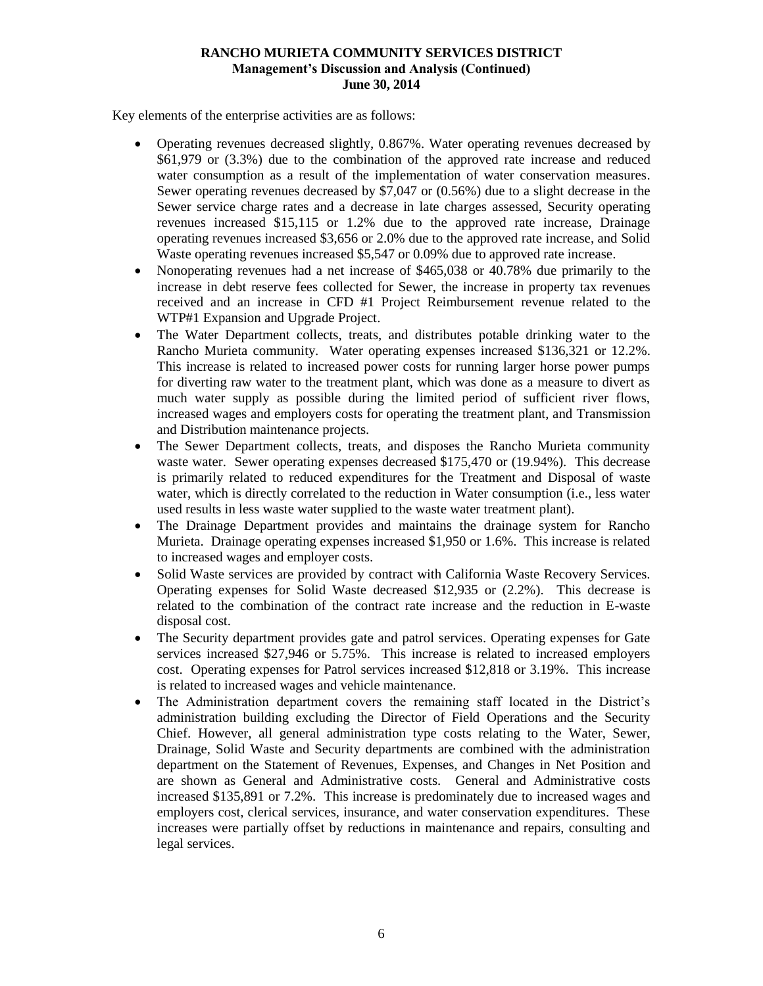Key elements of the enterprise activities are as follows:

- Operating revenues decreased slightly, 0.867%. Water operating revenues decreased by \$61,979 or (3.3%) due to the combination of the approved rate increase and reduced water consumption as a result of the implementation of water conservation measures. Sewer operating revenues decreased by \$7,047 or (0.56%) due to a slight decrease in the Sewer service charge rates and a decrease in late charges assessed, Security operating revenues increased \$15,115 or 1.2% due to the approved rate increase, Drainage operating revenues increased \$3,656 or 2.0% due to the approved rate increase, and Solid Waste operating revenues increased \$5,547 or 0.09% due to approved rate increase.
- Nonoperating revenues had a net increase of \$465,038 or 40.78% due primarily to the increase in debt reserve fees collected for Sewer, the increase in property tax revenues received and an increase in CFD #1 Project Reimbursement revenue related to the WTP#1 Expansion and Upgrade Project.
- The Water Department collects, treats, and distributes potable drinking water to the Rancho Murieta community. Water operating expenses increased \$136,321 or 12.2%. This increase is related to increased power costs for running larger horse power pumps for diverting raw water to the treatment plant, which was done as a measure to divert as much water supply as possible during the limited period of sufficient river flows, increased wages and employers costs for operating the treatment plant, and Transmission and Distribution maintenance projects.
- The Sewer Department collects, treats, and disposes the Rancho Murieta community waste water. Sewer operating expenses decreased \$175,470 or (19.94%). This decrease is primarily related to reduced expenditures for the Treatment and Disposal of waste water, which is directly correlated to the reduction in Water consumption (i.e., less water used results in less waste water supplied to the waste water treatment plant).
- The Drainage Department provides and maintains the drainage system for Rancho Murieta. Drainage operating expenses increased \$1,950 or 1.6%. This increase is related to increased wages and employer costs.
- Solid Waste services are provided by contract with California Waste Recovery Services. Operating expenses for Solid Waste decreased \$12,935 or (2.2%). This decrease is related to the combination of the contract rate increase and the reduction in E-waste disposal cost.
- The Security department provides gate and patrol services. Operating expenses for Gate services increased \$27,946 or 5.75%. This increase is related to increased employers cost. Operating expenses for Patrol services increased \$12,818 or 3.19%. This increase is related to increased wages and vehicle maintenance.
- The Administration department covers the remaining staff located in the District's administration building excluding the Director of Field Operations and the Security Chief. However, all general administration type costs relating to the Water, Sewer, Drainage, Solid Waste and Security departments are combined with the administration department on the Statement of Revenues, Expenses, and Changes in Net Position and are shown as General and Administrative costs. General and Administrative costs increased \$135,891 or 7.2%. This increase is predominately due to increased wages and employers cost, clerical services, insurance, and water conservation expenditures. These increases were partially offset by reductions in maintenance and repairs, consulting and legal services.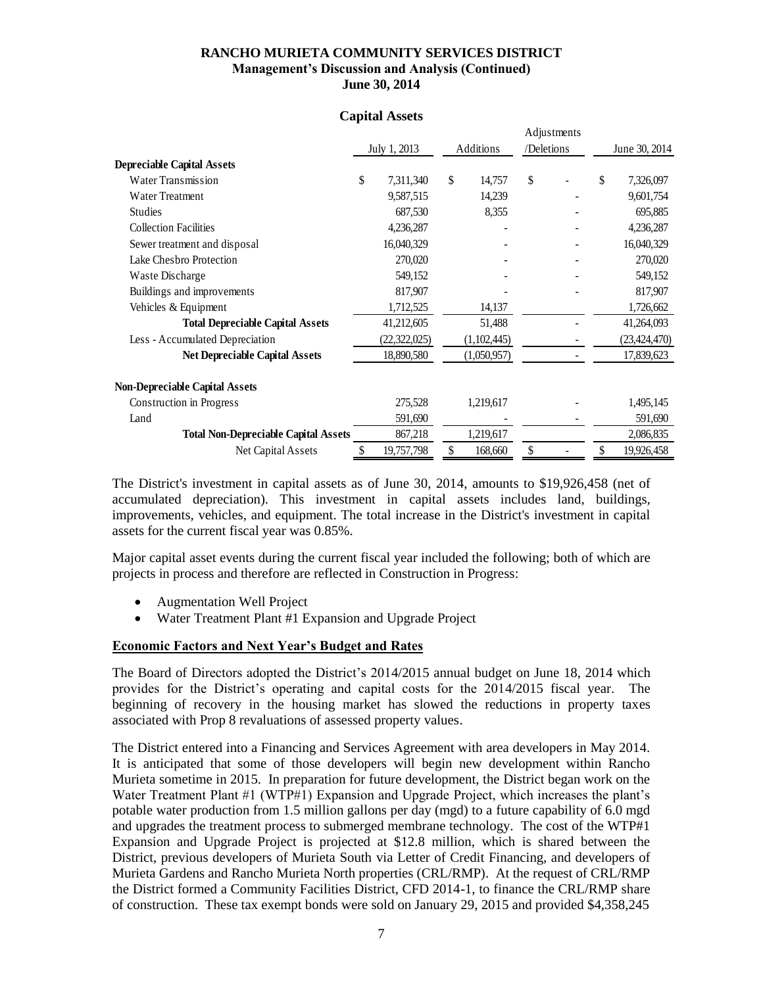|                                             |              |                |           |             |            | Adjustments |               |                |
|---------------------------------------------|--------------|----------------|-----------|-------------|------------|-------------|---------------|----------------|
|                                             | July 1, 2013 |                | Additions |             | /Deletions |             | June 30, 2014 |                |
| <b>Depreciable Capital Assets</b>           |              |                |           |             |            |             |               |                |
| Water Transmission                          | \$           | 7,311,340      | \$        | 14,757      | \$         |             | \$            | 7,326,097      |
| Water Treatment                             |              | 9,587,515      |           | 14,239      |            |             |               | 9,601,754      |
| <b>Studies</b>                              |              | 687,530        |           | 8,355       |            |             |               | 695,885        |
| <b>Collection Facilities</b>                |              | 4,236,287      |           |             |            |             |               | 4,236,287      |
| Sewer treatment and disposal                |              | 16,040,329     |           |             |            |             |               | 16,040,329     |
| Lake Chesbro Protection                     |              | 270,020        |           |             |            |             |               | 270,020        |
| Waste Discharge                             |              | 549,152        |           |             |            |             |               | 549,152        |
| Buildings and improvements                  |              | 817,907        |           |             |            |             |               | 817,907        |
| Vehicles & Equipment                        |              | 1,712,525      |           | 14,137      |            |             |               | 1,726,662      |
| <b>Total Depreciable Capital Assets</b>     |              | 41,212,605     |           | 51,488      |            |             |               | 41,264,093     |
| Less - Accumulated Depreciation             |              | (22, 322, 025) |           | (1,102,445) |            |             |               | (23, 424, 470) |
| <b>Net Depreciable Capital Assets</b>       |              | 18,890,580     |           | (1,050,957) |            |             |               | 17,839,623     |
| <b>Non-Depreciable Capital Assets</b>       |              |                |           |             |            |             |               |                |
| Construction in Progress                    |              | 275,528        |           | 1,219,617   |            |             |               | 1,495,145      |
| Land                                        |              | 591,690        |           |             |            |             |               | 591,690        |
| <b>Total Non-Depreciable Capital Assets</b> |              | 867,218        |           | 1,219,617   |            |             |               | 2,086,835      |
| Net Capital Assets                          | \$           | 19,757,798     | \$        | 168,660     | \$         |             | \$            | 19,926,458     |

## **Capital Assets**

The District's investment in capital assets as of June 30, 2014, amounts to \$19,926,458 (net of accumulated depreciation). This investment in capital assets includes land, buildings, improvements, vehicles, and equipment. The total increase in the District's investment in capital assets for the current fiscal year was 0.85%.

Major capital asset events during the current fiscal year included the following; both of which are projects in process and therefore are reflected in Construction in Progress:

- Augmentation Well Project
- Water Treatment Plant #1 Expansion and Upgrade Project

# **Economic Factors and Next Year's Budget and Rates**

The Board of Directors adopted the District's 2014/2015 annual budget on June 18, 2014 which provides for the District's operating and capital costs for the 2014/2015 fiscal year. The beginning of recovery in the housing market has slowed the reductions in property taxes associated with Prop 8 revaluations of assessed property values.

The District entered into a Financing and Services Agreement with area developers in May 2014. It is anticipated that some of those developers will begin new development within Rancho Murieta sometime in 2015. In preparation for future development, the District began work on the Water Treatment Plant #1 (WTP#1) Expansion and Upgrade Project, which increases the plant's potable water production from 1.5 million gallons per day (mgd) to a future capability of 6.0 mgd and upgrades the treatment process to submerged membrane technology. The cost of the WTP#1 Expansion and Upgrade Project is projected at \$12.8 million, which is shared between the District, previous developers of Murieta South via Letter of Credit Financing, and developers of Murieta Gardens and Rancho Murieta North properties (CRL/RMP). At the request of CRL/RMP the District formed a Community Facilities District, CFD 2014-1, to finance the CRL/RMP share of construction. These tax exempt bonds were sold on January 29, 2015 and provided \$4,358,245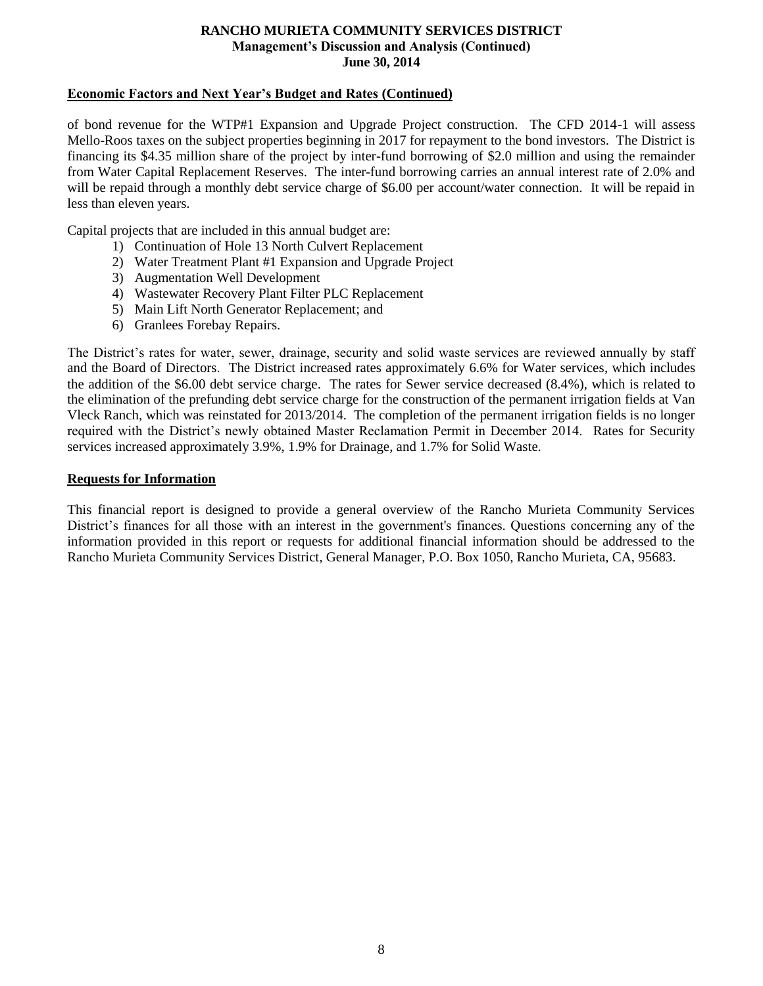## **Economic Factors and Next Year's Budget and Rates (Continued)**

of bond revenue for the WTP#1 Expansion and Upgrade Project construction. The CFD 2014-1 will assess Mello-Roos taxes on the subject properties beginning in 2017 for repayment to the bond investors. The District is financing its \$4.35 million share of the project by inter-fund borrowing of \$2.0 million and using the remainder from Water Capital Replacement Reserves. The inter-fund borrowing carries an annual interest rate of 2.0% and will be repaid through a monthly debt service charge of \$6.00 per account/water connection. It will be repaid in less than eleven years.

Capital projects that are included in this annual budget are:

- 1) Continuation of Hole 13 North Culvert Replacement
- 2) Water Treatment Plant #1 Expansion and Upgrade Project
- 3) Augmentation Well Development
- 4) Wastewater Recovery Plant Filter PLC Replacement
- 5) Main Lift North Generator Replacement; and
- 6) Granlees Forebay Repairs.

The District's rates for water, sewer, drainage, security and solid waste services are reviewed annually by staff and the Board of Directors. The District increased rates approximately 6.6% for Water services, which includes the addition of the \$6.00 debt service charge. The rates for Sewer service decreased (8.4%), which is related to the elimination of the prefunding debt service charge for the construction of the permanent irrigation fields at Van Vleck Ranch, which was reinstated for 2013/2014. The completion of the permanent irrigation fields is no longer required with the District's newly obtained Master Reclamation Permit in December 2014. Rates for Security services increased approximately 3.9%, 1.9% for Drainage, and 1.7% for Solid Waste.

# **Requests for Information**

This financial report is designed to provide a general overview of the Rancho Murieta Community Services District's finances for all those with an interest in the government's finances. Questions concerning any of the information provided in this report or requests for additional financial information should be addressed to the Rancho Murieta Community Services District, General Manager, P.O. Box 1050, Rancho Murieta, CA, 95683.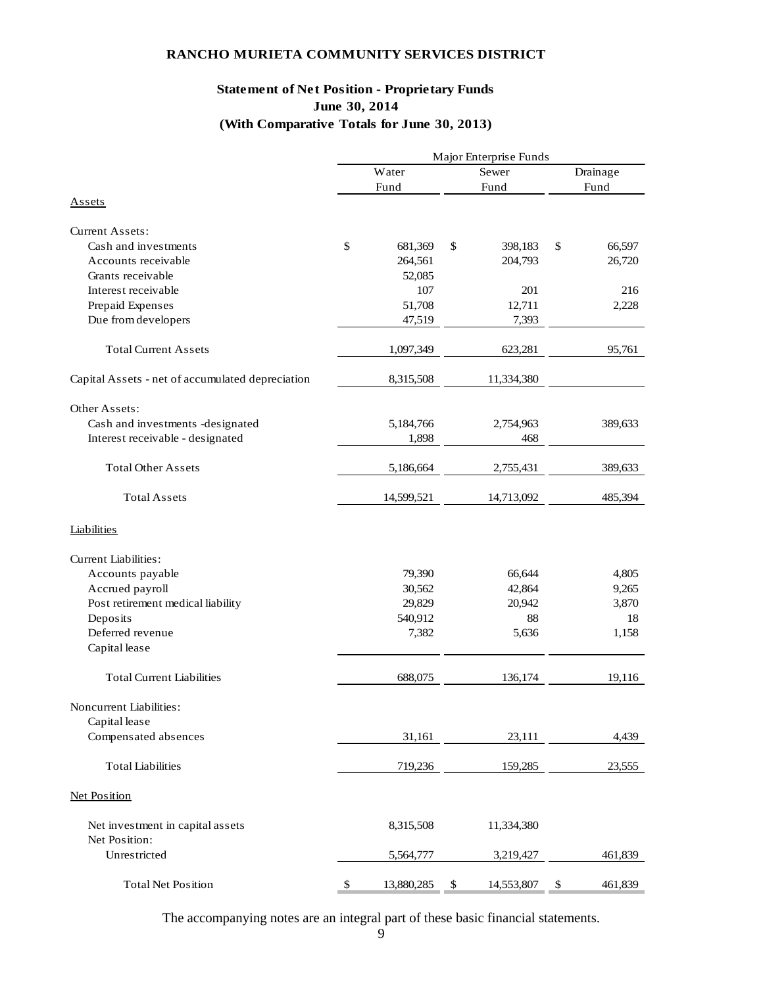# **Statement of Net Position - Proprietary Funds June 30, 2014 (With Comparative Totals for June 30, 2013)**

|                                                  | Major Enterprise Funds |            |              |            |    |          |  |
|--------------------------------------------------|------------------------|------------|--------------|------------|----|----------|--|
|                                                  |                        | Water      |              | Sewer      |    | Drainage |  |
| <b>Assets</b>                                    |                        | Fund       |              | Fund       |    | Fund     |  |
|                                                  |                        |            |              |            |    |          |  |
| <b>Current Assets:</b>                           |                        |            |              |            |    |          |  |
| Cash and investments                             | \$                     | 681,369    | \$           | 398,183    | \$ | 66,597   |  |
| Accounts receivable                              |                        | 264,561    |              | 204,793    |    | 26,720   |  |
| Grants receivable                                |                        | 52,085     |              |            |    |          |  |
| Interest receivable                              |                        | 107        |              | 201        |    | 216      |  |
| Prepaid Expenses                                 |                        | 51,708     |              | 12,711     |    | 2,228    |  |
| Due from developers                              |                        | 47,519     |              | 7,393      |    |          |  |
| <b>Total Current Assets</b>                      |                        | 1,097,349  |              | 623,281    |    | 95,761   |  |
| Capital Assets - net of accumulated depreciation |                        | 8,315,508  |              | 11,334,380 |    |          |  |
| Other Assets:                                    |                        |            |              |            |    |          |  |
| Cash and investments -designated                 |                        | 5,184,766  |              | 2,754,963  |    | 389,633  |  |
| Interest receivable - designated                 |                        | 1,898      |              | 468        |    |          |  |
|                                                  |                        |            |              |            |    |          |  |
| <b>Total Other Assets</b>                        |                        | 5,186,664  |              | 2,755,431  |    | 389,633  |  |
| <b>Total Assets</b>                              |                        | 14,599,521 |              | 14,713,092 |    | 485,394  |  |
| <b>Liabilities</b>                               |                        |            |              |            |    |          |  |
| <b>Current Liabilities:</b>                      |                        |            |              |            |    |          |  |
| Accounts payable                                 |                        | 79,390     |              | 66,644     |    | 4,805    |  |
| Accrued payroll                                  |                        | 30,562     |              | 42,864     |    | 9,265    |  |
| Post retirement medical liability                |                        | 29,829     |              | 20,942     |    | 3,870    |  |
| Deposits                                         |                        | 540,912    |              | 88         |    | 18       |  |
| Deferred revenue                                 |                        | 7,382      |              | 5,636      |    | 1,158    |  |
| Capital lease                                    |                        |            |              |            |    |          |  |
| <b>Total Current Liabilities</b>                 |                        | 688,075    |              | 136,174    |    | 19,116   |  |
| Noncurrent Liabilities:                          |                        |            |              |            |    |          |  |
| Capital lease                                    |                        |            |              |            |    |          |  |
| Compensated absences                             |                        | 31,161     |              | 23,111     |    | 4,439    |  |
| <b>Total Liabilities</b>                         |                        | 719,236    |              | 159,285    |    | 23,555   |  |
| <b>Net Position</b>                              |                        |            |              |            |    |          |  |
| Net investment in capital assets                 |                        | 8,315,508  |              | 11,334,380 |    |          |  |
| Net Position:<br>Unrestricted                    |                        |            |              |            |    |          |  |
|                                                  |                        | 5,564,777  |              | 3,219,427  |    | 461,839  |  |
| <b>Total Net Position</b>                        | \$                     | 13,880,285 | $\mathbb{S}$ | 14,553,807 | \$ | 461,839  |  |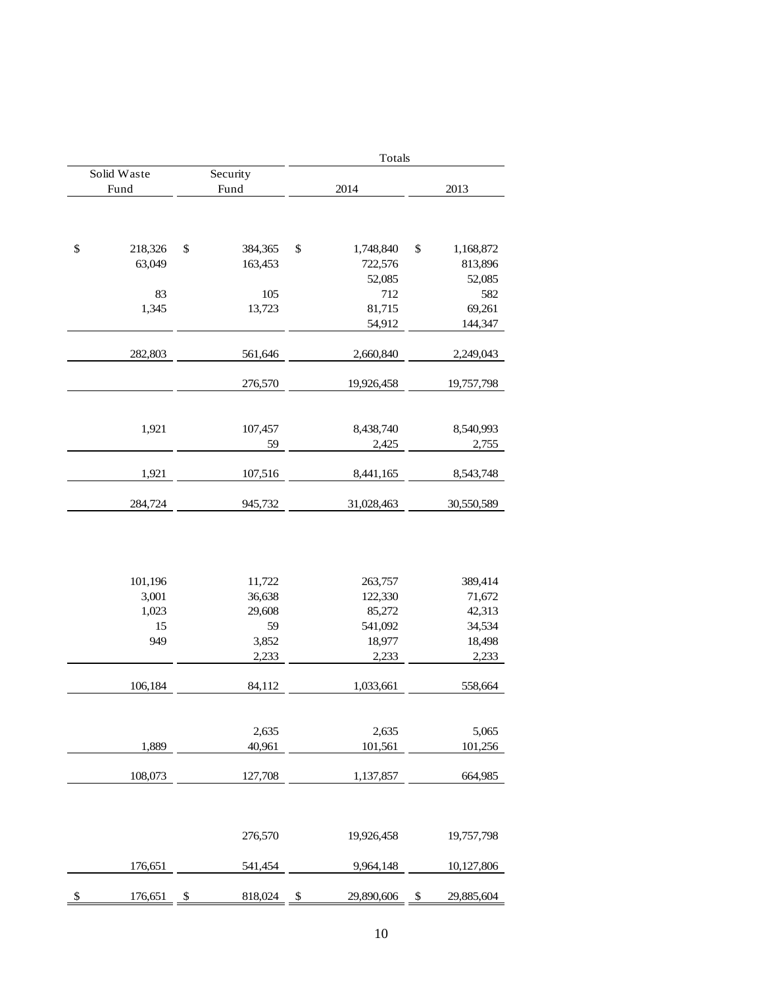|               |               | <b>Totals</b> |               |    |               |  |
|---------------|---------------|---------------|---------------|----|---------------|--|
| Solid Waste   | Security      |               |               |    |               |  |
| Fund          | Fund          |               | 2014          |    | 2013          |  |
|               |               |               |               |    |               |  |
| \$<br>218,326 | \$<br>384,365 | \$            | 1,748,840     | \$ | 1,168,872     |  |
| 63,049        | 163,453       |               | 722,576       |    | 813,896       |  |
|               |               |               | 52,085<br>712 |    | 52,085        |  |
| 83<br>1,345   | 105<br>13,723 |               | 81,715        |    | 582<br>69,261 |  |
|               |               |               | 54,912        |    | 144,347       |  |
|               |               |               |               |    |               |  |
| 282,803       | 561,646       |               | 2,660,840     |    | 2,249,043     |  |
|               | 276,570       |               | 19,926,458    |    | 19,757,798    |  |
|               |               |               |               |    |               |  |
| 1,921         | 107,457       |               | 8,438,740     |    | 8,540,993     |  |
|               | 59            |               | 2,425         |    | 2,755         |  |
| 1,921         | 107,516       |               | 8,441,165     |    | 8,543,748     |  |
| 284,724       | 945,732       |               | 31,028,463    |    | 30,550,589    |  |
|               |               |               |               |    |               |  |
| 101,196       | 11,722        |               | 263,757       |    | 389,414       |  |
| 3,001         | 36,638        |               | 122,330       |    | 71,672        |  |
| 1,023         | 29,608        |               | 85,272        |    | 42,313        |  |
| 15            | 59            |               | 541,092       |    | 34,534        |  |
| 949           | 3,852         |               | 18,977        |    | 18,498        |  |
|               | 2,233         |               | 2,233         |    | 2,233         |  |
| 106,184       | 84,112        |               | 1,033,661     |    | 558,664       |  |
|               |               |               |               |    |               |  |
|               | 2,635         |               | 2,635         |    | 5,065         |  |
| 1,889         | 40,961        |               | 101,561       |    | 101,256       |  |
| 108,073       | 127,708       |               | 1,137,857     |    | 664,985       |  |
|               |               |               |               |    |               |  |
|               | 276,570       |               | 19,926,458    |    | 19,757,798    |  |
| 176,651       | 541,454       |               | 9,964,148     |    | 10,127,806    |  |
| \$<br>176,651 | \$<br>818,024 | \$            | 29,890,606    | \$ | 29,885,604    |  |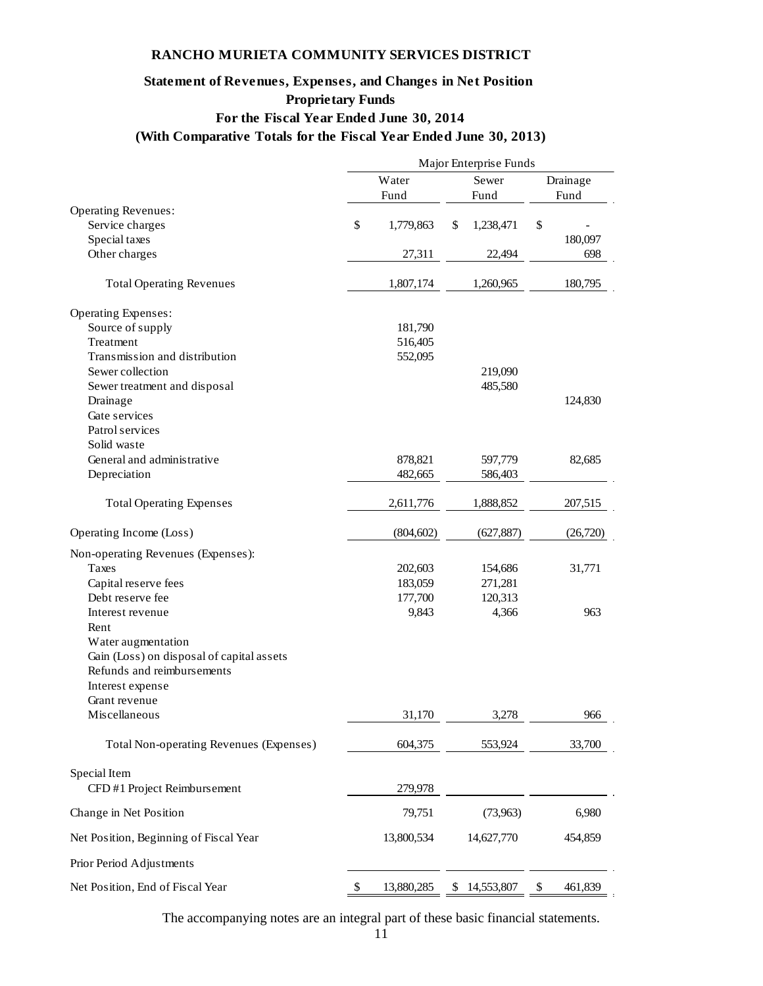# **Statement of Revenues, Expenses, and Changes in Net Position**

#### **Proprietary Funds**

**For the Fiscal Year Ended June 30, 2014**

# **(With Comparative Totals for the Fiscal Year Ended June 30, 2013)**

|                                           | Major Enterprise Funds |               |    |               |    |                  |
|-------------------------------------------|------------------------|---------------|----|---------------|----|------------------|
|                                           |                        | Water<br>Fund |    | Sewer<br>Fund |    | Drainage<br>Fund |
| <b>Operating Revenues:</b>                |                        |               |    |               |    |                  |
| Service charges                           | \$                     | 1,779,863     | \$ | 1,238,471     | \$ |                  |
| Special taxes                             |                        |               |    |               |    | 180,097          |
| Other charges                             |                        | 27,311        |    | 22,494        |    | 698              |
| <b>Total Operating Revenues</b>           |                        | 1,807,174     |    | 1,260,965     |    | 180,795          |
| Operating Expenses:                       |                        |               |    |               |    |                  |
| Source of supply                          |                        | 181,790       |    |               |    |                  |
| Treatment                                 |                        | 516,405       |    |               |    |                  |
| Transmission and distribution             |                        | 552,095       |    |               |    |                  |
| Sewer collection                          |                        |               |    | 219,090       |    |                  |
| Sewer treatment and disposal              |                        |               |    | 485,580       |    |                  |
| Drainage                                  |                        |               |    |               |    | 124,830          |
| Gate services                             |                        |               |    |               |    |                  |
| Patrol services                           |                        |               |    |               |    |                  |
| Solid waste                               |                        |               |    |               |    |                  |
| General and administrative                |                        | 878,821       |    | 597,779       |    | 82,685           |
| Depreciation                              |                        | 482,665       |    | 586,403       |    |                  |
| <b>Total Operating Expenses</b>           |                        | 2,611,776     |    | 1,888,852     |    | 207,515          |
| Operating Income (Loss)                   |                        | (804, 602)    |    | (627, 887)    |    | (26, 720)        |
| Non-operating Revenues (Expenses):        |                        |               |    |               |    |                  |
| Taxes                                     |                        | 202,603       |    | 154,686       |    | 31,771           |
| Capital reserve fees                      |                        | 183,059       |    | 271,281       |    |                  |
| Debt reserve fee                          |                        | 177,700       |    | 120,313       |    |                  |
| Interest revenue                          |                        | 9,843         |    | 4,366         |    | 963              |
| Rent                                      |                        |               |    |               |    |                  |
| Water augmentation                        |                        |               |    |               |    |                  |
| Gain (Loss) on disposal of capital assets |                        |               |    |               |    |                  |
| Refunds and reimbursements                |                        |               |    |               |    |                  |
| Interest expense                          |                        |               |    |               |    |                  |
| Grant revenue                             |                        |               |    |               |    |                  |
| Miscellaneous                             |                        | 31,170        |    | 3,278         |    | 966              |
| Total Non-operating Revenues (Expenses)   |                        | 604,375       |    | 553,924       |    | 33,700           |
| Special Item                              |                        |               |    |               |    |                  |
| CFD #1 Project Reimbursement              |                        | 279,978       |    |               |    |                  |
| Change in Net Position                    |                        | 79,751        |    | (73,963)      |    | 6,980            |
| Net Position, Beginning of Fiscal Year    |                        | 13,800,534    |    | 14,627,770    |    | 454,859          |
| Prior Period Adjustments                  |                        |               |    |               |    |                  |
| Net Position, End of Fiscal Year          | \$                     | 13,880,285    |    | \$14,553,807  | \$ | 461,839          |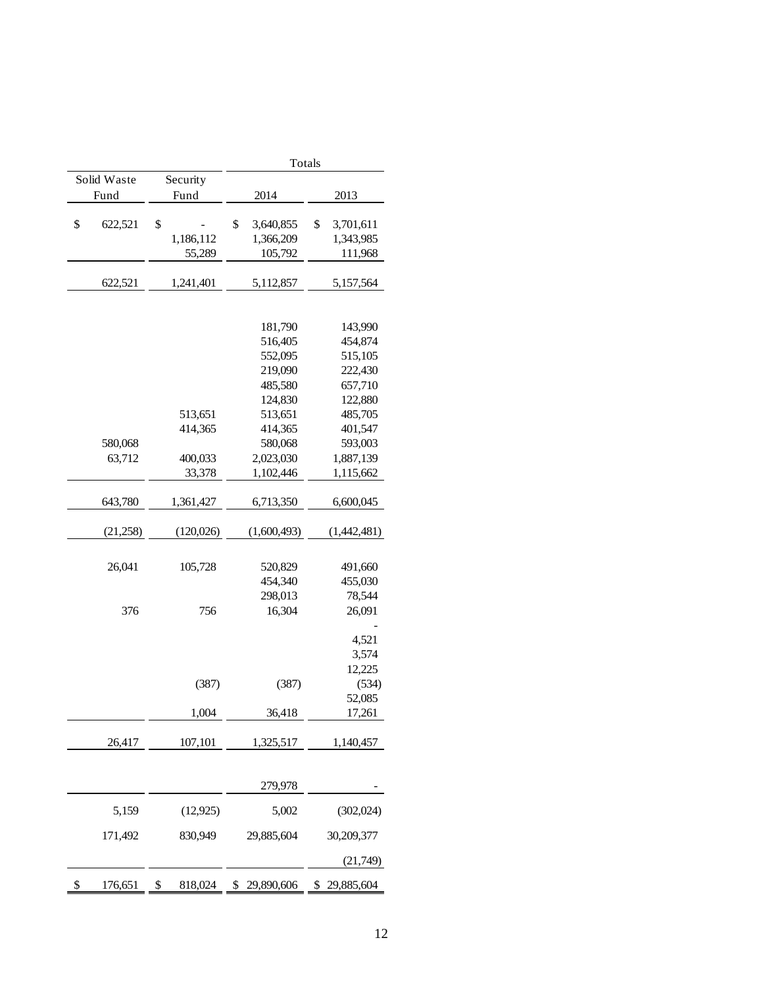|    |             |              | Totals          |                  |  |  |  |  |
|----|-------------|--------------|-----------------|------------------|--|--|--|--|
|    | Solid Waste | Security     |                 |                  |  |  |  |  |
|    | Fund        | Fund         | 2014            | 2013             |  |  |  |  |
|    |             |              |                 |                  |  |  |  |  |
| \$ | 622,521     | \$           | \$<br>3,640,855 | \$<br>3,701,611  |  |  |  |  |
|    |             | 1,186,112    | 1,366,209       | 1,343,985        |  |  |  |  |
|    |             | 55,289       | 105,792         | 111,968          |  |  |  |  |
|    |             |              |                 |                  |  |  |  |  |
|    | 622,521     | 1,241,401    | 5,112,857       | 5,157,564        |  |  |  |  |
|    |             |              |                 |                  |  |  |  |  |
|    |             |              |                 |                  |  |  |  |  |
|    |             |              | 181,790         | 143,990          |  |  |  |  |
|    |             |              | 516,405         | 454,874          |  |  |  |  |
|    |             |              | 552,095         | 515,105          |  |  |  |  |
|    |             |              | 219,090         | 222,430          |  |  |  |  |
|    |             |              | 485,580         | 657,710          |  |  |  |  |
|    |             |              | 124,830         | 122,880          |  |  |  |  |
|    |             | 513,651      | 513,651         | 485,705          |  |  |  |  |
|    |             | 414,365      | 414,365         | 401,547          |  |  |  |  |
|    |             |              | 580,068         | 593,003          |  |  |  |  |
|    | 580,068     |              | 2,023,030       |                  |  |  |  |  |
|    | 63,712      | 400,033      |                 | 1,887,139        |  |  |  |  |
|    |             | 33,378       | 1,102,446       | 1,115,662        |  |  |  |  |
|    |             |              |                 |                  |  |  |  |  |
|    | 643,780     | 1,361,427    | 6,713,350       | 6,600,045        |  |  |  |  |
|    |             |              |                 |                  |  |  |  |  |
|    | (21,258)    | (120, 026)   | (1,600,493)     | (1,442,481)      |  |  |  |  |
|    |             |              |                 |                  |  |  |  |  |
|    | 26,041      | 105,728      | 520,829         | 491,660          |  |  |  |  |
|    |             |              | 454,340         | 455,030          |  |  |  |  |
|    |             |              | 298,013         | 78,544           |  |  |  |  |
|    | 376         | 756          | 16,304          | 26,091           |  |  |  |  |
|    |             |              |                 |                  |  |  |  |  |
|    |             |              |                 | 4,521            |  |  |  |  |
|    |             |              |                 | 3,574            |  |  |  |  |
|    |             |              |                 | 12,225           |  |  |  |  |
|    |             | (387)        | (387)           | (534)            |  |  |  |  |
|    |             |              |                 | 52,085           |  |  |  |  |
|    |             | 1.004        | 36.418          | 17.261           |  |  |  |  |
|    |             |              |                 |                  |  |  |  |  |
|    | 26,417      | 107,101      | 1,325,517       | 1,140,457        |  |  |  |  |
|    |             |              |                 |                  |  |  |  |  |
|    |             |              |                 |                  |  |  |  |  |
|    |             |              | 279,978         |                  |  |  |  |  |
|    | 5,159       | (12, 925)    | 5,002           | (302,024)        |  |  |  |  |
|    |             |              |                 |                  |  |  |  |  |
|    | 171,492     | 830,949      | 29,885,604      | 30,209,377       |  |  |  |  |
|    |             |              |                 | (21,749)         |  |  |  |  |
| S  | 176,651     | 818,024<br>2 | 29,890,606<br>S | 29,885,604<br>\$ |  |  |  |  |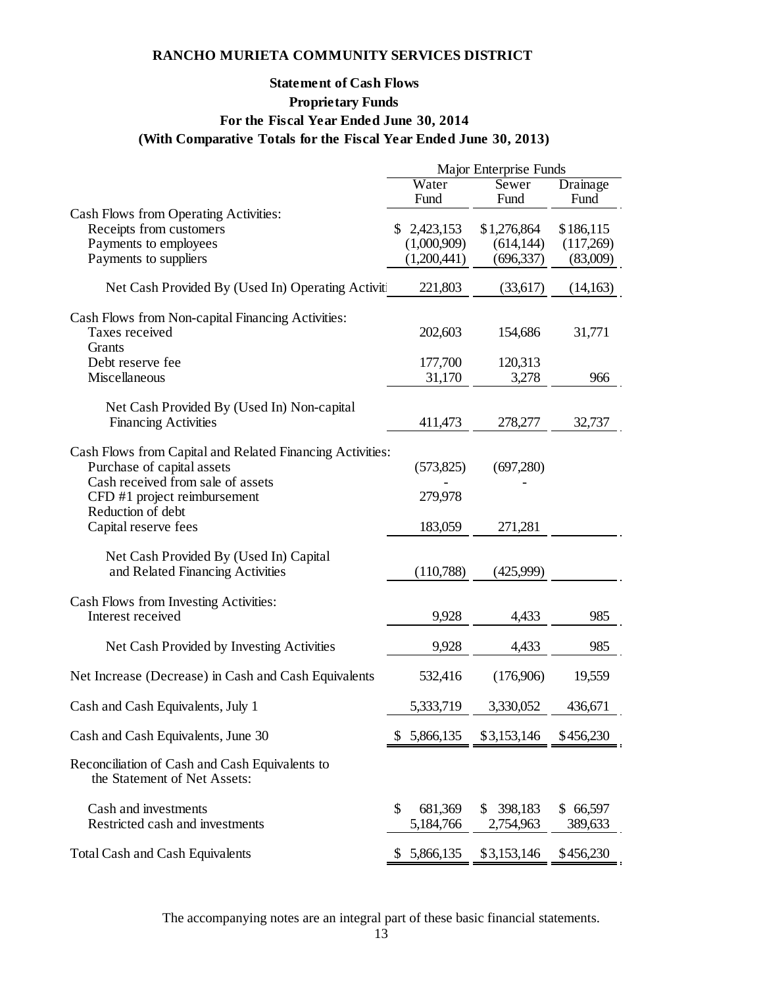# **Statement of Cash Flows Proprietary Funds For the Fiscal Year Ended June 30, 2014 (With Comparative Totals for the Fiscal Year Ended June 30, 2013)**

|                                                                                                                              | Major Enterprise Funds                    |                                         |                                    |
|------------------------------------------------------------------------------------------------------------------------------|-------------------------------------------|-----------------------------------------|------------------------------------|
|                                                                                                                              | Water                                     | Sewer                                   | Drainage                           |
|                                                                                                                              | Fund                                      | Fund                                    | Fund                               |
| Cash Flows from Operating Activities:<br>Receipts from customers<br>Payments to employees<br>Payments to suppliers           | \$2,423,153<br>(1,000,909)<br>(1,200,441) | \$1,276,864<br>(614, 144)<br>(696, 337) | \$186,115<br>(117,269)<br>(83,009) |
| Net Cash Provided By (Used In) Operating Activity                                                                            | 221,803                                   | (33,617)                                | (14,163)                           |
| Cash Flows from Non-capital Financing Activities:<br>Taxes received<br>Grants                                                | 202,603                                   | 154,686                                 | 31,771                             |
| Debt reserve fee<br>Miscellaneous                                                                                            | 177,700<br>31,170                         | 120,313<br>3,278                        | 966                                |
| Net Cash Provided By (Used In) Non-capital<br><b>Financing Activities</b>                                                    | 411,473                                   | 278,277                                 | 32,737                             |
| Cash Flows from Capital and Related Financing Activities:<br>Purchase of capital assets<br>Cash received from sale of assets | (573,825)                                 | (697,280)                               |                                    |
| CFD #1 project reimbursement<br>Reduction of debt                                                                            | 279,978                                   |                                         |                                    |
| Capital reserve fees                                                                                                         | 183,059                                   | 271,281                                 |                                    |
| Net Cash Provided By (Used In) Capital<br>and Related Financing Activities                                                   | (110,788)                                 | (425,999)                               |                                    |
| Cash Flows from Investing Activities:<br>Interest received                                                                   | 9,928                                     | 4,433                                   | 985                                |
| Net Cash Provided by Investing Activities                                                                                    | 9,928                                     | 4,433                                   | 985                                |
| Net Increase (Decrease) in Cash and Cash Equivalents                                                                         | 532,416                                   | (176,906)                               | 19,559                             |
| Cash and Cash Equivalents, July 1                                                                                            | 5,333,719                                 | 3,330,052                               | 436,671                            |
| Cash and Cash Equivalents, June 30                                                                                           | 5,866,135                                 | \$3,153,146                             | \$456,230                          |
| Reconciliation of Cash and Cash Equivalents to<br>the Statement of Net Assets:                                               |                                           |                                         |                                    |
| Cash and investments<br>Restricted cash and investments                                                                      | \$<br>681,369<br>5,184,766                | \$<br>398,183<br>2,754,963              | \$66,597<br>389,633                |
| <b>Total Cash and Cash Equivalents</b>                                                                                       | 5,866,135<br>S                            | \$3,153,146                             | \$456,230                          |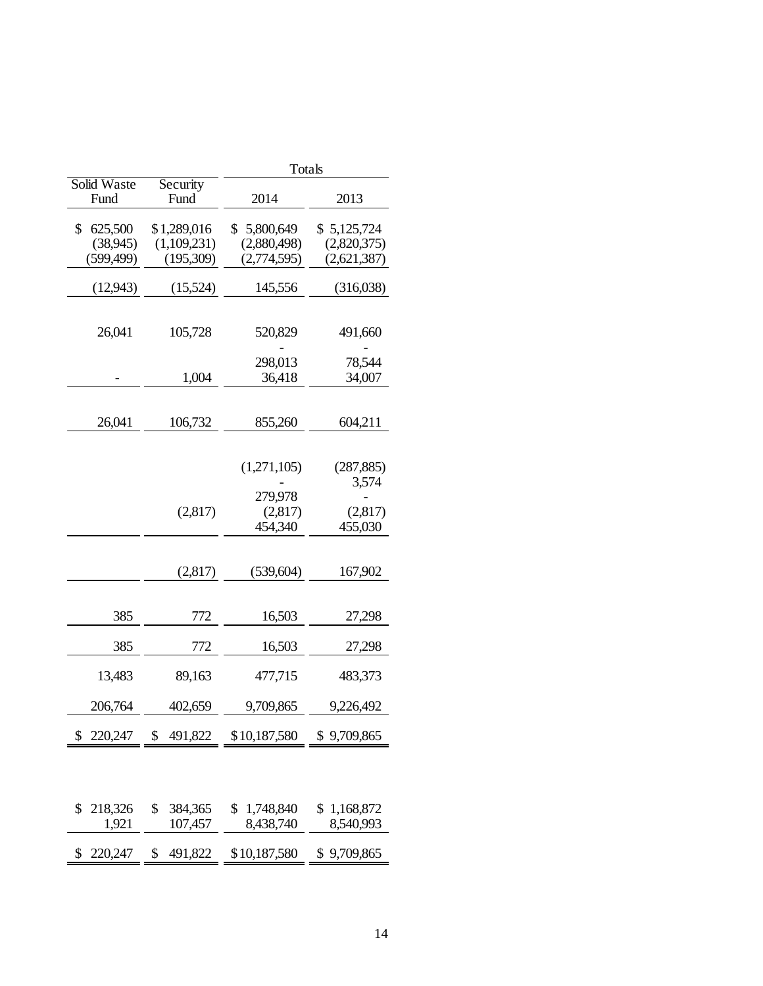|                                          |                                         | Totals                                    |                                           |  |  |  |
|------------------------------------------|-----------------------------------------|-------------------------------------------|-------------------------------------------|--|--|--|
| Solid Waste<br>Fund                      | Security<br>Fund                        | 2014                                      | 2013                                      |  |  |  |
| \$<br>625,500<br>(38, 945)<br>(599, 499) | \$1,289,016<br>(1,109,231)<br>(195,309) | \$5,800,649<br>(2,880,498)<br>(2,774,595) | \$5,125,724<br>(2,820,375)<br>(2,621,387) |  |  |  |
| (12, 943)                                | (15,524)                                | 145,556                                   | (316,038)                                 |  |  |  |
| 26,041                                   | 105,728                                 | 520,829                                   | 491,660                                   |  |  |  |
|                                          | 1,004                                   | 298,013<br>36,418                         | 78,544<br>34,007                          |  |  |  |
| 26,041                                   | 106,732                                 | 855,260                                   | 604,211                                   |  |  |  |
|                                          |                                         | (1,271,105)                               | (287, 885)<br>3,574                       |  |  |  |
|                                          | (2,817)                                 | 279,978<br>(2,817)<br>454,340             | (2,817)<br>455,030                        |  |  |  |
|                                          | (2,817)                                 | (539, 604)                                | 167,902                                   |  |  |  |
| 385                                      | 772                                     | 16,503                                    | 27,298                                    |  |  |  |
| 385                                      | 772                                     | 16,503                                    | 27,298                                    |  |  |  |
| 13,483                                   | 89,163                                  | 477,715                                   | 483,373                                   |  |  |  |
| 206,764                                  | 402,659                                 | 9,709,865                                 | 9,226,492                                 |  |  |  |
| \$<br>220,247                            | \$<br>491,822                           | \$10,187,580                              | \$9,709,865                               |  |  |  |
|                                          |                                         |                                           |                                           |  |  |  |
| 218,326<br>\$<br>1,921                   | \$<br>384,365<br>107,457                | \$<br>1,748,840<br>8,438,740              | 1,168,872<br>\$<br>8,540,993              |  |  |  |
| \$<br>220,247                            | \$<br>491,822                           | \$10,187,580                              | \$9,709,865                               |  |  |  |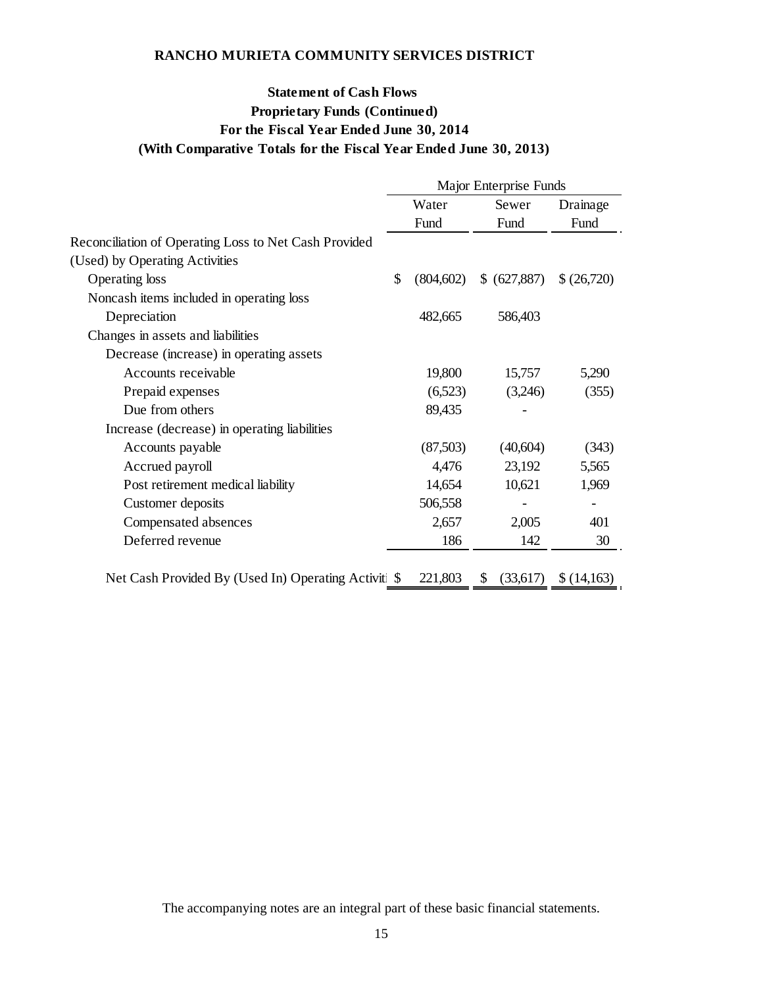# **(With Comparative Totals for the Fiscal Year Ended June 30, 2013) Statement of Cash Flows Proprietary Funds (Continued) For the Fiscal Year Ended June 30, 2014**

|                                                       | Major Enterprise Funds |            |              |            |
|-------------------------------------------------------|------------------------|------------|--------------|------------|
|                                                       |                        | Water      | Sewer        | Drainage   |
|                                                       |                        | Fund       | Fund         | Fund       |
| Reconciliation of Operating Loss to Net Cash Provided |                        |            |              |            |
| (Used) by Operating Activities                        |                        |            |              |            |
| Operating loss                                        | $\mathcal{S}$          | (804, 602) | \$ (627,887) | \$(26,720) |
| Noncash items included in operating loss              |                        |            |              |            |
| Depreciation                                          |                        | 482,665    | 586,403      |            |
| Changes in assets and liabilities                     |                        |            |              |            |
| Decrease (increase) in operating assets               |                        |            |              |            |
| Accounts receivable                                   |                        | 19,800     | 15,757       | 5,290      |
| Prepaid expenses                                      |                        | (6,523)    | (3,246)      | (355)      |
| Due from others                                       |                        | 89,435     |              |            |
| Increase (decrease) in operating liabilities          |                        |            |              |            |
| Accounts payable                                      |                        | (87,503)   | (40, 604)    | (343)      |
| Accrued payroll                                       |                        | 4,476      | 23,192       | 5,565      |
| Post retirement medical liability                     |                        | 14,654     | 10,621       | 1,969      |
| Customer deposits                                     |                        | 506,558    |              |            |
| Compensated absences                                  |                        | 2,657      | 2,005        | 401        |
| Deferred revenue                                      |                        | 186        | 142          | 30         |
| Net Cash Provided By (Used In) Operating Activiti \$  |                        | 221,803    | (33,617)     | \$(14,163) |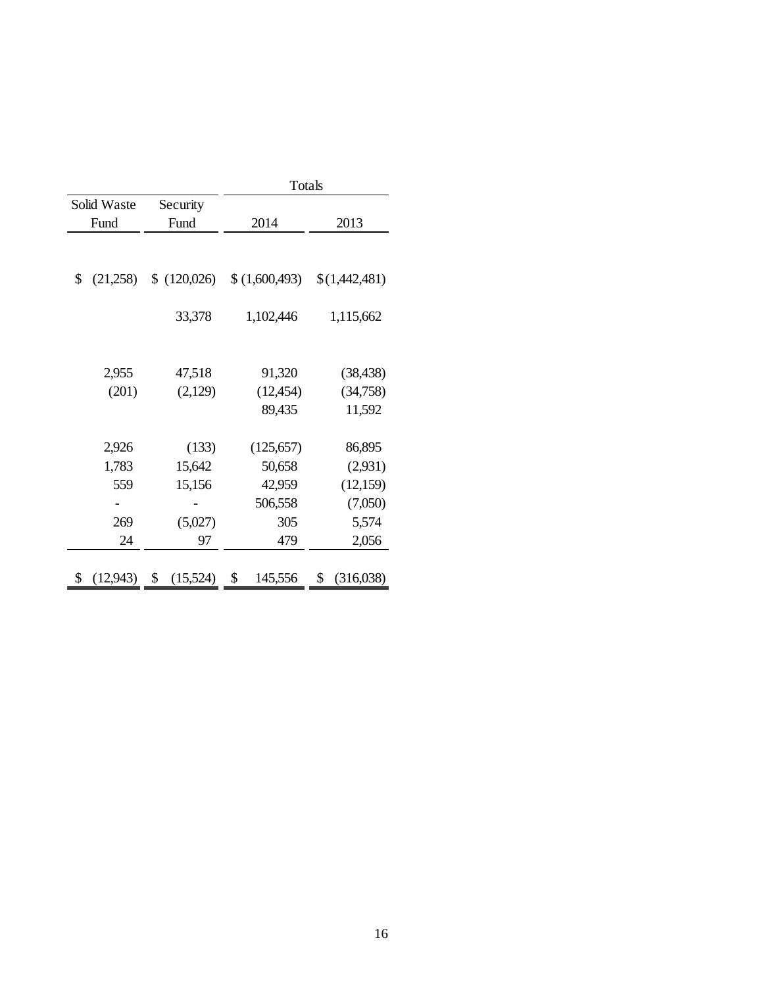|                 |                | Totals        |                 |  |  |  |
|-----------------|----------------|---------------|-----------------|--|--|--|
| Solid Waste     | Security       |               |                 |  |  |  |
| Fund            | Fund           | 2014          | 2013            |  |  |  |
|                 |                |               |                 |  |  |  |
| \$<br>(21,258)  | \$(120,026)    | \$(1,600,493) | \$(1,442,481)   |  |  |  |
|                 | 33,378         | 1,102,446     | 1,115,662       |  |  |  |
|                 |                |               |                 |  |  |  |
| 2,955           | 47,518         | 91,320        | (38, 438)       |  |  |  |
| (201)           | (2,129)        | (12, 454)     | (34,758)        |  |  |  |
|                 |                | 89,435        | 11,592          |  |  |  |
| 2,926           | (133)          | (125, 657)    | 86,895          |  |  |  |
| 1,783           | 15,642         | 50,658        | (2,931)         |  |  |  |
| 559             | 15,156         | 42,959        | (12,159)        |  |  |  |
|                 |                | 506,558       | (7,050)         |  |  |  |
| 269             | (5,027)        | 305           | 5,574           |  |  |  |
| 24              | 97             | 479           | 2,056           |  |  |  |
|                 |                |               |                 |  |  |  |
| \$<br>(12, 943) | \$<br>(15,524) | \$<br>145,556 | \$<br>(316,038) |  |  |  |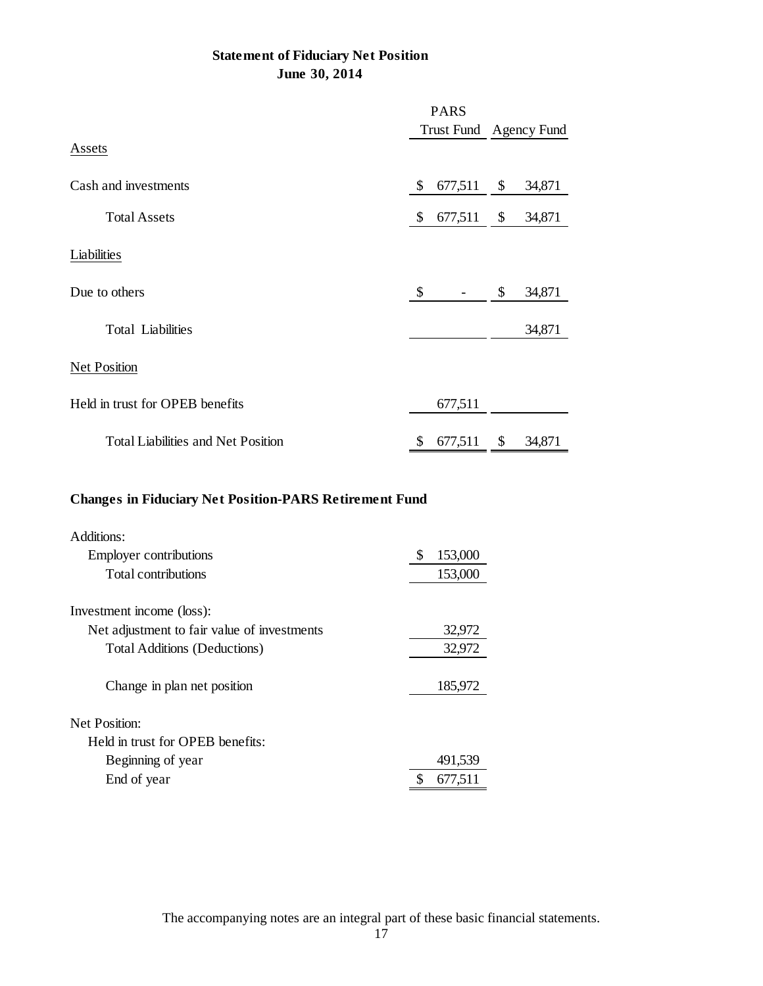# **Statement of Fiduciary Net Position June 30, 2014**

|                                           |    | <b>PARS</b>              |                        |        |
|-------------------------------------------|----|--------------------------|------------------------|--------|
|                                           |    |                          | Trust Fund Agency Fund |        |
| Assets                                    |    |                          |                        |        |
| Cash and investments                      | \$ | 677,511                  | \$                     | 34,871 |
| <b>Total Assets</b>                       | \$ | 677,511                  | \$                     | 34,871 |
| Liabilities                               |    |                          |                        |        |
| Due to others                             | \$ | $\overline{\phantom{a}}$ | \$                     | 34,871 |
| <b>Total Liabilities</b>                  |    |                          |                        | 34,871 |
| <b>Net Position</b>                       |    |                          |                        |        |
| Held in trust for OPEB benefits           |    | 677,511                  |                        |        |
| <b>Total Liabilities and Net Position</b> | \$ | 677,511                  | \$                     | 34,871 |

# **Changes in Fiduciary Net Position-PARS Retirement Fund**

| Additions:                                  |               |
|---------------------------------------------|---------------|
| <b>Employer contributions</b>               | \$<br>153,000 |
| Total contributions                         | 153,000       |
| Investment income (loss):                   |               |
| Net adjustment to fair value of investments | 32,972        |
| <b>Total Additions (Deductions)</b>         | 32,972        |
| Change in plan net position                 | 185,972       |
| <b>Net Position:</b>                        |               |
| Held in trust for OPEB benefits:            |               |
| Beginning of year                           | 491,539       |
| End of year                                 | 677,511       |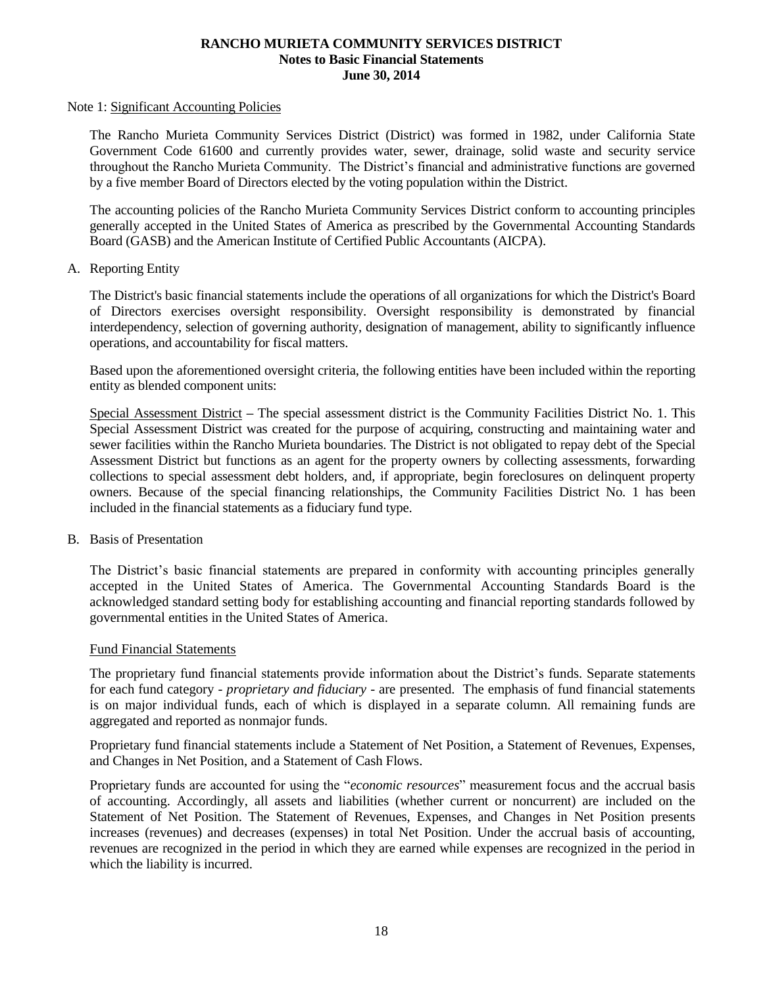#### Note 1: Significant Accounting Policies

The Rancho Murieta Community Services District (District) was formed in 1982, under California State Government Code 61600 and currently provides water, sewer, drainage, solid waste and security service throughout the Rancho Murieta Community. The District's financial and administrative functions are governed by a five member Board of Directors elected by the voting population within the District.

The accounting policies of the Rancho Murieta Community Services District conform to accounting principles generally accepted in the United States of America as prescribed by the Governmental Accounting Standards Board (GASB) and the American Institute of Certified Public Accountants (AICPA).

## A. Reporting Entity

The District's basic financial statements include the operations of all organizations for which the District's Board of Directors exercises oversight responsibility. Oversight responsibility is demonstrated by financial interdependency, selection of governing authority, designation of management, ability to significantly influence operations, and accountability for fiscal matters.

Based upon the aforementioned oversight criteria, the following entities have been included within the reporting entity as blended component units:

Special Assessment District **–** The special assessment district is the Community Facilities District No. 1. This Special Assessment District was created for the purpose of acquiring, constructing and maintaining water and sewer facilities within the Rancho Murieta boundaries. The District is not obligated to repay debt of the Special Assessment District but functions as an agent for the property owners by collecting assessments, forwarding collections to special assessment debt holders, and, if appropriate, begin foreclosures on delinquent property owners. Because of the special financing relationships, the Community Facilities District No. 1 has been included in the financial statements as a fiduciary fund type.

#### B. Basis of Presentation

The District's basic financial statements are prepared in conformity with accounting principles generally accepted in the United States of America. The Governmental Accounting Standards Board is the acknowledged standard setting body for establishing accounting and financial reporting standards followed by governmental entities in the United States of America.

#### Fund Financial Statements

The proprietary fund financial statements provide information about the District's funds. Separate statements for each fund category - *proprietary and fiduciary* - are presented. The emphasis of fund financial statements is on major individual funds, each of which is displayed in a separate column. All remaining funds are aggregated and reported as nonmajor funds.

Proprietary fund financial statements include a Statement of Net Position, a Statement of Revenues, Expenses, and Changes in Net Position, and a Statement of Cash Flows.

Proprietary funds are accounted for using the "*economic resources*" measurement focus and the accrual basis of accounting. Accordingly, all assets and liabilities (whether current or noncurrent) are included on the Statement of Net Position. The Statement of Revenues, Expenses, and Changes in Net Position presents increases (revenues) and decreases (expenses) in total Net Position. Under the accrual basis of accounting, revenues are recognized in the period in which they are earned while expenses are recognized in the period in which the liability is incurred.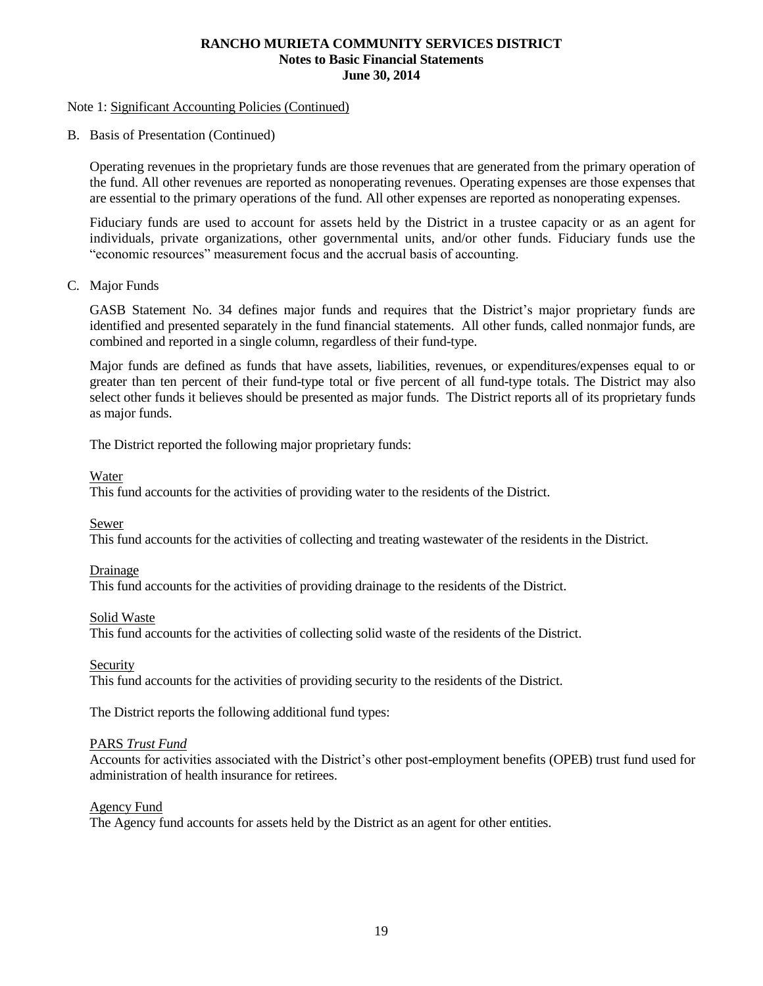#### Note 1: Significant Accounting Policies (Continued)

B. Basis of Presentation (Continued)

Operating revenues in the proprietary funds are those revenues that are generated from the primary operation of the fund. All other revenues are reported as nonoperating revenues. Operating expenses are those expenses that are essential to the primary operations of the fund. All other expenses are reported as nonoperating expenses.

Fiduciary funds are used to account for assets held by the District in a trustee capacity or as an agent for individuals, private organizations, other governmental units, and/or other funds. Fiduciary funds use the "economic resources" measurement focus and the accrual basis of accounting.

C. Major Funds

GASB Statement No. 34 defines major funds and requires that the District's major proprietary funds are identified and presented separately in the fund financial statements. All other funds, called nonmajor funds, are combined and reported in a single column, regardless of their fund-type.

Major funds are defined as funds that have assets, liabilities, revenues, or expenditures/expenses equal to or greater than ten percent of their fund-type total or five percent of all fund-type totals. The District may also select other funds it believes should be presented as major funds. The District reports all of its proprietary funds as major funds.

The District reported the following major proprietary funds:

#### Water

This fund accounts for the activities of providing water to the residents of the District.

Sewer

This fund accounts for the activities of collecting and treating wastewater of the residents in the District.

#### Drainage

This fund accounts for the activities of providing drainage to the residents of the District.

#### Solid Waste

This fund accounts for the activities of collecting solid waste of the residents of the District.

Security

This fund accounts for the activities of providing security to the residents of the District.

The District reports the following additional fund types:

#### PARS *Trust Fund*

Accounts for activities associated with the District's other post-employment benefits (OPEB) trust fund used for administration of health insurance for retirees.

#### Agency Fund

The Agency fund accounts for assets held by the District as an agent for other entities.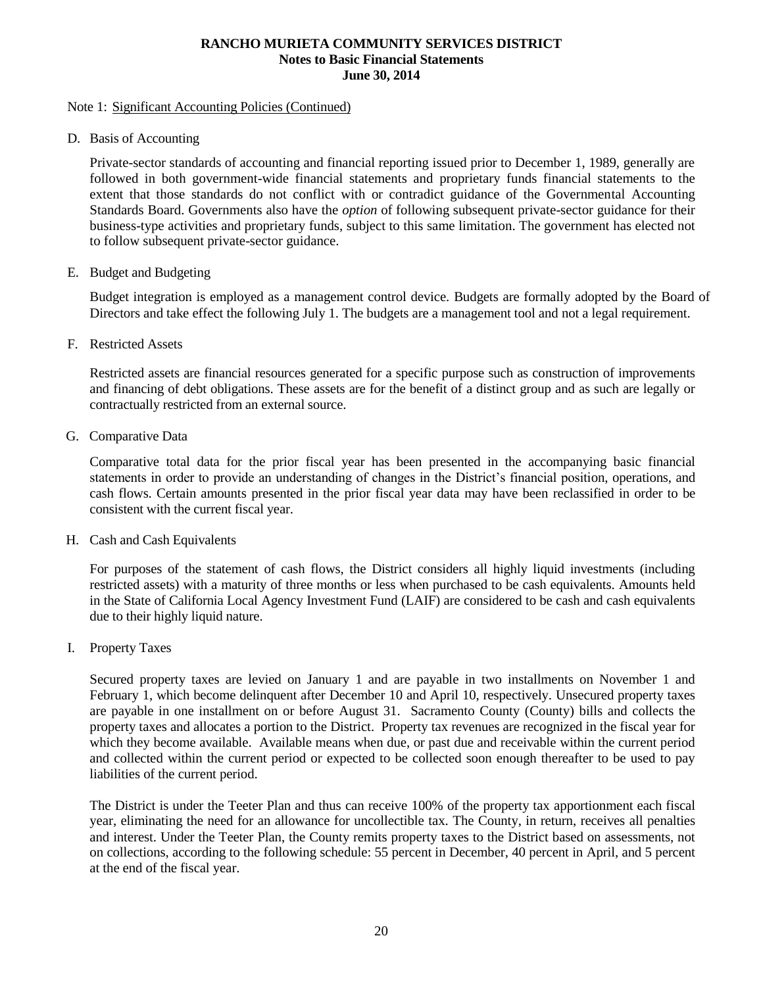#### Note 1: Significant Accounting Policies (Continued)

D. Basis of Accounting

Private-sector standards of accounting and financial reporting issued prior to December 1, 1989, generally are followed in both government-wide financial statements and proprietary funds financial statements to the extent that those standards do not conflict with or contradict guidance of the Governmental Accounting Standards Board. Governments also have the *option* of following subsequent private-sector guidance for their business-type activities and proprietary funds, subject to this same limitation. The government has elected not to follow subsequent private-sector guidance.

E. Budget and Budgeting

Budget integration is employed as a management control device. Budgets are formally adopted by the Board of Directors and take effect the following July 1. The budgets are a management tool and not a legal requirement.

F. Restricted Assets

Restricted assets are financial resources generated for a specific purpose such as construction of improvements and financing of debt obligations. These assets are for the benefit of a distinct group and as such are legally or contractually restricted from an external source.

G. Comparative Data

Comparative total data for the prior fiscal year has been presented in the accompanying basic financial statements in order to provide an understanding of changes in the District's financial position, operations, and cash flows. Certain amounts presented in the prior fiscal year data may have been reclassified in order to be consistent with the current fiscal year.

H. Cash and Cash Equivalents

For purposes of the statement of cash flows, the District considers all highly liquid investments (including restricted assets) with a maturity of three months or less when purchased to be cash equivalents. Amounts held in the State of California Local Agency Investment Fund (LAIF) are considered to be cash and cash equivalents due to their highly liquid nature.

I. Property Taxes

Secured property taxes are levied on January 1 and are payable in two installments on November 1 and February 1, which become delinquent after December 10 and April 10, respectively. Unsecured property taxes are payable in one installment on or before August 31. Sacramento County (County) bills and collects the property taxes and allocates a portion to the District. Property tax revenues are recognized in the fiscal year for which they become available. Available means when due, or past due and receivable within the current period and collected within the current period or expected to be collected soon enough thereafter to be used to pay liabilities of the current period.

The District is under the Teeter Plan and thus can receive 100% of the property tax apportionment each fiscal year, eliminating the need for an allowance for uncollectible tax. The County, in return, receives all penalties and interest. Under the Teeter Plan, the County remits property taxes to the District based on assessments, not on collections, according to the following schedule: 55 percent in December, 40 percent in April, and 5 percent at the end of the fiscal year.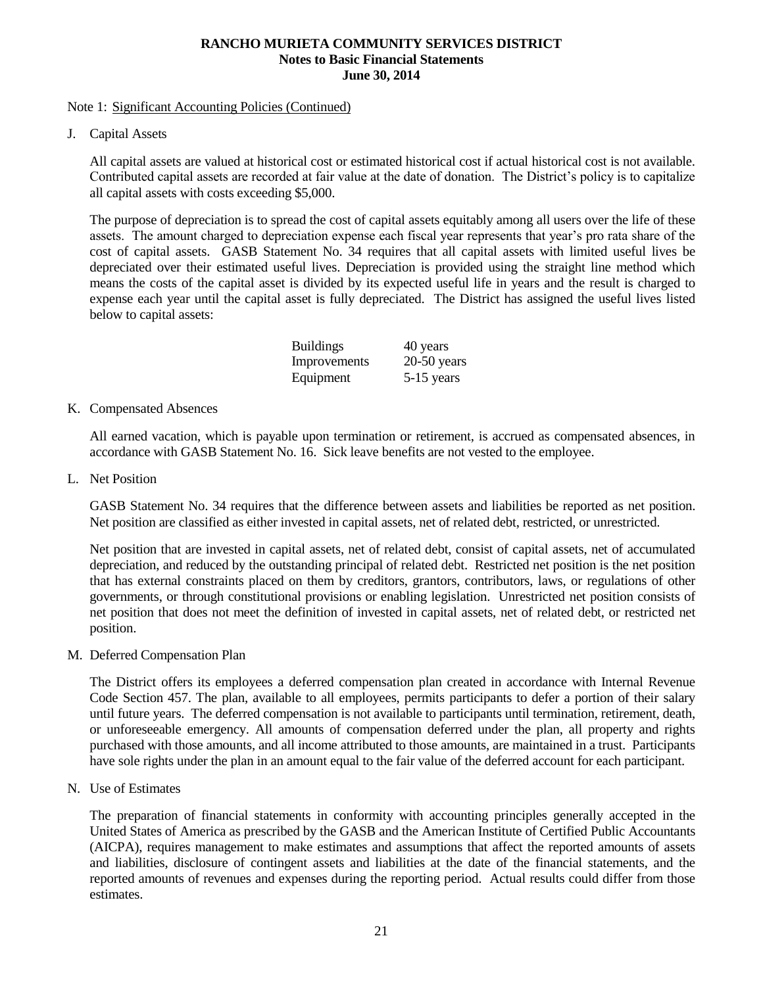#### Note 1: Significant Accounting Policies (Continued)

J. Capital Assets

All capital assets are valued at historical cost or estimated historical cost if actual historical cost is not available. Contributed capital assets are recorded at fair value at the date of donation. The District's policy is to capitalize all capital assets with costs exceeding \$5,000.

The purpose of depreciation is to spread the cost of capital assets equitably among all users over the life of these assets. The amount charged to depreciation expense each fiscal year represents that year's pro rata share of the cost of capital assets. GASB Statement No. 34 requires that all capital assets with limited useful lives be depreciated over their estimated useful lives. Depreciation is provided using the straight line method which means the costs of the capital asset is divided by its expected useful life in years and the result is charged to expense each year until the capital asset is fully depreciated. The District has assigned the useful lives listed below to capital assets:

| <b>Buildings</b> | 40 years      |
|------------------|---------------|
| Improvements     | $20-50$ years |
| Equipment        | 5-15 years    |

K. Compensated Absences

All earned vacation, which is payable upon termination or retirement, is accrued as compensated absences, in accordance with GASB Statement No. 16. Sick leave benefits are not vested to the employee.

L. Net Position

GASB Statement No. 34 requires that the difference between assets and liabilities be reported as net position. Net position are classified as either invested in capital assets, net of related debt, restricted, or unrestricted.

Net position that are invested in capital assets, net of related debt, consist of capital assets, net of accumulated depreciation, and reduced by the outstanding principal of related debt. Restricted net position is the net position that has external constraints placed on them by creditors, grantors, contributors, laws, or regulations of other governments, or through constitutional provisions or enabling legislation. Unrestricted net position consists of net position that does not meet the definition of invested in capital assets, net of related debt, or restricted net position.

M. Deferred Compensation Plan

The District offers its employees a deferred compensation plan created in accordance with Internal Revenue Code Section 457. The plan, available to all employees, permits participants to defer a portion of their salary until future years. The deferred compensation is not available to participants until termination, retirement, death, or unforeseeable emergency. All amounts of compensation deferred under the plan, all property and rights purchased with those amounts, and all income attributed to those amounts, are maintained in a trust. Participants have sole rights under the plan in an amount equal to the fair value of the deferred account for each participant.

N. Use of Estimates

The preparation of financial statements in conformity with accounting principles generally accepted in the United States of America as prescribed by the GASB and the American Institute of Certified Public Accountants (AICPA), requires management to make estimates and assumptions that affect the reported amounts of assets and liabilities, disclosure of contingent assets and liabilities at the date of the financial statements, and the reported amounts of revenues and expenses during the reporting period. Actual results could differ from those estimates.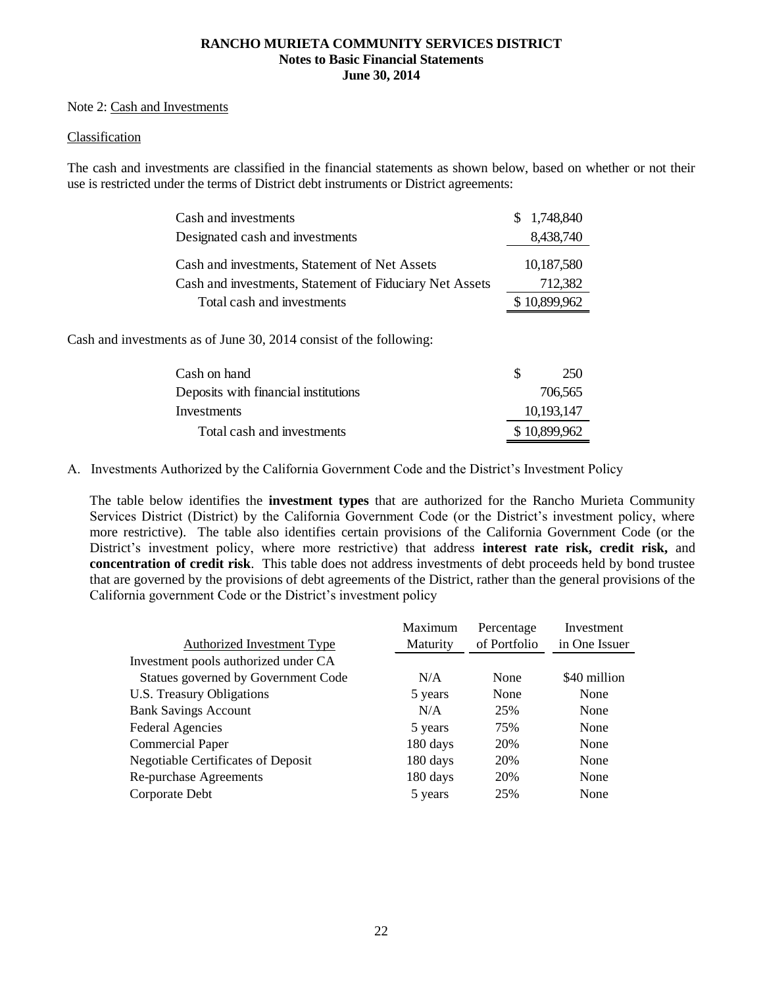# Note 2: Cash and Investments

# Classification

The cash and investments are classified in the financial statements as shown below, based on whether or not their use is restricted under the terms of District debt instruments or District agreements:

| Cash and investments                                    | 1,748,840    |
|---------------------------------------------------------|--------------|
| Designated cash and investments                         | 8,438,740    |
| Cash and investments, Statement of Net Assets           | 10,187,580   |
| Cash and investments, Statement of Fiduciary Net Assets | 712,382      |
| Total cash and investments                              | \$10,899,962 |
|                                                         |              |

Cash and investments as of June 30, 2014 consist of the following:

| Cash on hand                         | 250<br>-SS   |
|--------------------------------------|--------------|
| Deposits with financial institutions | 706.565      |
| Investments                          | 10,193,147   |
| Total cash and investments           | \$10,899,962 |

A. Investments Authorized by the California Government Code and the District's Investment Policy

The table below identifies the **investment types** that are authorized for the Rancho Murieta Community Services District (District) by the California Government Code (or the District's investment policy, where more restrictive). The table also identifies certain provisions of the California Government Code (or the District's investment policy, where more restrictive) that address **interest rate risk, credit risk,** and **concentration of credit risk**. This table does not address investments of debt proceeds held by bond trustee that are governed by the provisions of debt agreements of the District, rather than the general provisions of the California government Code or the District's investment policy

|                                      | Maximum  | Percentage   | Investment    |
|--------------------------------------|----------|--------------|---------------|
| Authorized Investment Type           | Maturity | of Portfolio | in One Issuer |
| Investment pools authorized under CA |          |              |               |
| Statues governed by Government Code  | N/A      | None         | \$40 million  |
| U.S. Treasury Obligations            | 5 years  | None         | None          |
| <b>Bank Savings Account</b>          | N/A      | 25%          | None          |
| <b>Federal Agencies</b>              | 5 years  | 75%          | None          |
| <b>Commercial Paper</b>              | 180 days | 20%          | None          |
| Negotiable Certificates of Deposit   | 180 days | 20%          | None          |
| Re-purchase Agreements               | 180 days | 20%          | None          |
| Corporate Debt                       | 5 years  | 25%          | None          |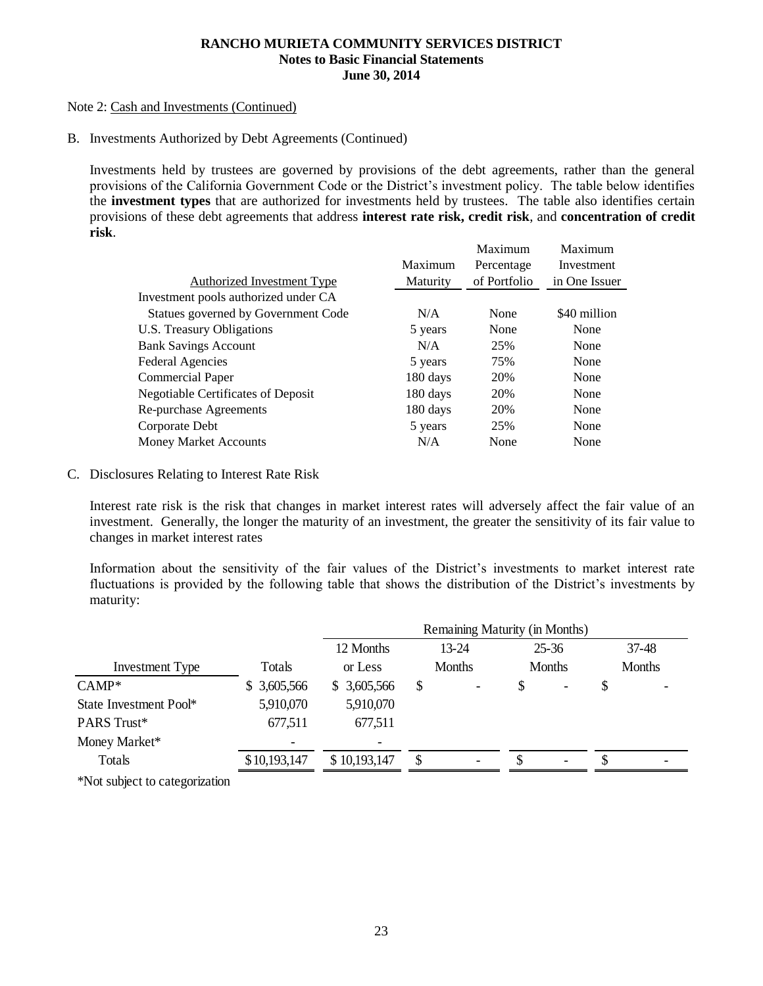## Note 2: Cash and Investments (Continued)

#### B. Investments Authorized by Debt Agreements (Continued)

Investments held by trustees are governed by provisions of the debt agreements, rather than the general provisions of the California Government Code or the District's investment policy. The table below identifies the **investment types** that are authorized for investments held by trustees. The table also identifies certain provisions of these debt agreements that address **interest rate risk, credit risk**, and **concentration of credit risk**.

|                                      |          | Maximum      | Maximum       |
|--------------------------------------|----------|--------------|---------------|
|                                      | Maximum  | Percentage   | Investment    |
| Authorized Investment Type           | Maturity | of Portfolio | in One Issuer |
| Investment pools authorized under CA |          |              |               |
| Statues governed by Government Code  | N/A      | None         | \$40 million  |
| U.S. Treasury Obligations            | 5 years  | None         | None          |
| <b>Bank Savings Account</b>          | N/A      | 25%          | None          |
| <b>Federal Agencies</b>              | 5 years  | 75%          | None          |
| Commercial Paper                     | 180 days | 20%          | None          |
| Negotiable Certificates of Deposit   | 180 days | 20%          | None          |
| Re-purchase Agreements               | 180 days | 20%          | None          |
| Corporate Debt                       | 5 years  | 25%          | None          |
| <b>Money Market Accounts</b>         | N/A      | None         | None          |

C. Disclosures Relating to Interest Rate Risk

Interest rate risk is the risk that changes in market interest rates will adversely affect the fair value of an investment. Generally, the longer the maturity of an investment, the greater the sensitivity of its fair value to changes in market interest rates

Information about the sensitivity of the fair values of the District's investments to market interest rate fluctuations is provided by the following table that shows the distribution of the District's investments by maturity:

|                                |              | Remaining Maturity (in Months) |        |                          |           |                          |    |           |  |
|--------------------------------|--------------|--------------------------------|--------|--------------------------|-----------|--------------------------|----|-----------|--|
|                                |              | 12 Months                      | 13-24  |                          | $25 - 36$ |                          |    | $37 - 48$ |  |
| <b>Investment Type</b>         | Totals       | or Less                        | Months |                          | Months    |                          |    | Months    |  |
| $CAMP^*$                       | \$ 3,605,566 | 3,605,566<br>S.                | \$     | $\overline{\phantom{a}}$ | \$        |                          | \$ |           |  |
| State Investment Pool*         | 5,910,070    | 5,910,070                      |        |                          |           |                          |    |           |  |
| PARS Trust*                    | 677,511      | 677,511                        |        |                          |           |                          |    |           |  |
| Money Market*                  |              |                                |        |                          |           |                          |    |           |  |
| Totals                         | \$10,193,147 | \$10,193,147                   | S      |                          |           | $\overline{\phantom{a}}$ | S. |           |  |
| *Not subject to categorization |              |                                |        |                          |           |                          |    |           |  |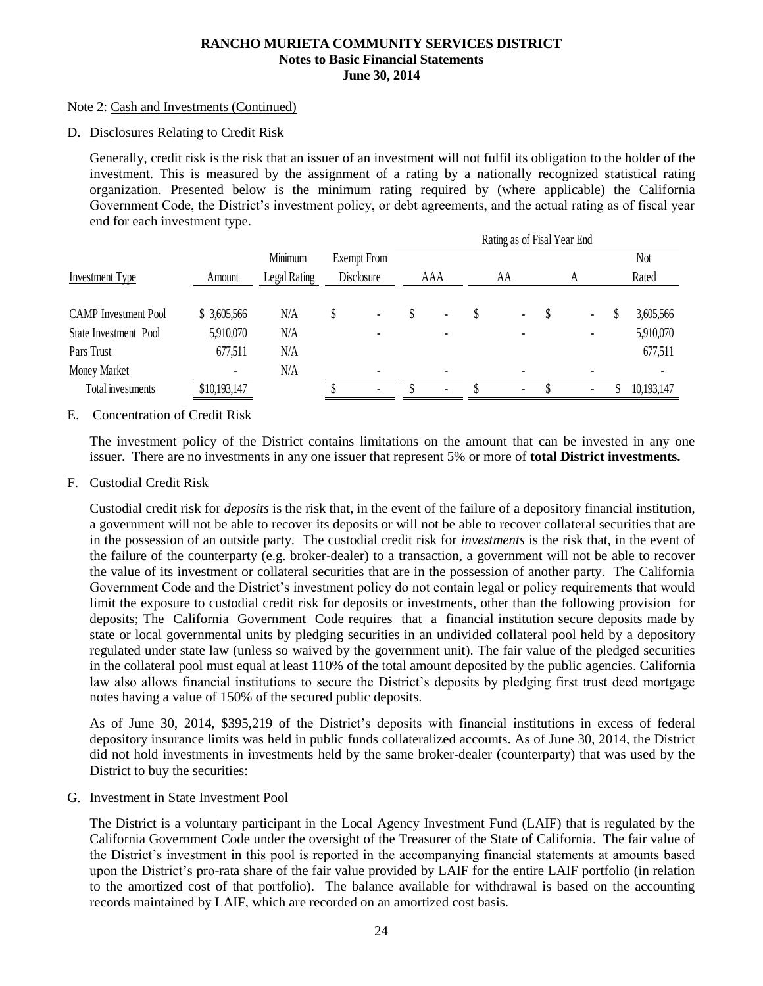# Note 2: Cash and Investments (Continued)

D. Disclosures Relating to Credit Risk

Generally, credit risk is the risk that an issuer of an investment will not fulfil its obligation to the holder of the investment. This is measured by the assignment of a rating by a nationally recognized statistical rating organization. Presented below is the minimum rating required by (where applicable) the California Government Code, the District's investment policy, or debt agreements, and the actual rating as of fiscal year end for each investment type.

|                             |              |              | Rating as of Fisal Year End    |  |     |  |                          |                          |            |
|-----------------------------|--------------|--------------|--------------------------------|--|-----|--|--------------------------|--------------------------|------------|
|                             |              | Minimum      | <b>Exempt</b> From             |  |     |  |                          |                          | Not        |
| <b>Investment Type</b>      | Amount       | Legal Rating | Disclosure                     |  | AAA |  | AA                       | А                        | Rated      |
|                             |              |              |                                |  |     |  |                          |                          |            |
| <b>CAMP</b> Investment Pool | \$3,605,566  | N/A          | \$<br>$\overline{\phantom{a}}$ |  | ۰   |  |                          | $\overline{\phantom{0}}$ | 3,605,566  |
| State Investment Pool       | 5,910,070    | N/A          |                                |  |     |  | $\overline{\phantom{a}}$ |                          | 5,910,070  |
| Pars Trust                  | 677,511      | N/A          |                                |  |     |  |                          |                          | 677,511    |
| Money Market                | ٠            | N/A          |                                |  |     |  |                          |                          |            |
| Total investments           | \$10,193,147 |              | $\overline{\phantom{a}}$       |  | ۰   |  | $\overline{\phantom{a}}$ |                          | 10,193,147 |

# E. Concentration of Credit Risk

The investment policy of the District contains limitations on the amount that can be invested in any one issuer. There are no investments in any one issuer that represent 5% or more of **total District investments.**

F. Custodial Credit Risk

Custodial credit risk for *deposits* is the risk that, in the event of the failure of a depository financial institution, a government will not be able to recover its deposits or will not be able to recover collateral securities that are in the possession of an outside party. The custodial credit risk for *investments* is the risk that, in the event of the failure of the counterparty (e.g. broker-dealer) to a transaction, a government will not be able to recover the value of its investment or collateral securities that are in the possession of another party. The California Government Code and the District's investment policy do not contain legal or policy requirements that would limit the exposure to custodial credit risk for deposits or investments, other than the following provision for deposits; The California Government Code requires that a financial institution secure deposits made by state or local governmental units by pledging securities in an undivided collateral pool held by a depository regulated under state law (unless so waived by the government unit). The fair value of the pledged securities in the collateral pool must equal at least 110% of the total amount deposited by the public agencies. California law also allows financial institutions to secure the District's deposits by pledging first trust deed mortgage notes having a value of 150% of the secured public deposits.

As of June 30, 2014, \$395,219 of the District's deposits with financial institutions in excess of federal depository insurance limits was held in public funds collateralized accounts. As of June 30, 2014, the District did not hold investments in investments held by the same broker-dealer (counterparty) that was used by the District to buy the securities:

G. Investment in State Investment Pool

The District is a voluntary participant in the Local Agency Investment Fund (LAIF) that is regulated by the California Government Code under the oversight of the Treasurer of the State of California. The fair value of the District's investment in this pool is reported in the accompanying financial statements at amounts based upon the District's pro-rata share of the fair value provided by LAIF for the entire LAIF portfolio (in relation to the amortized cost of that portfolio). The balance available for withdrawal is based on the accounting records maintained by LAIF, which are recorded on an amortized cost basis.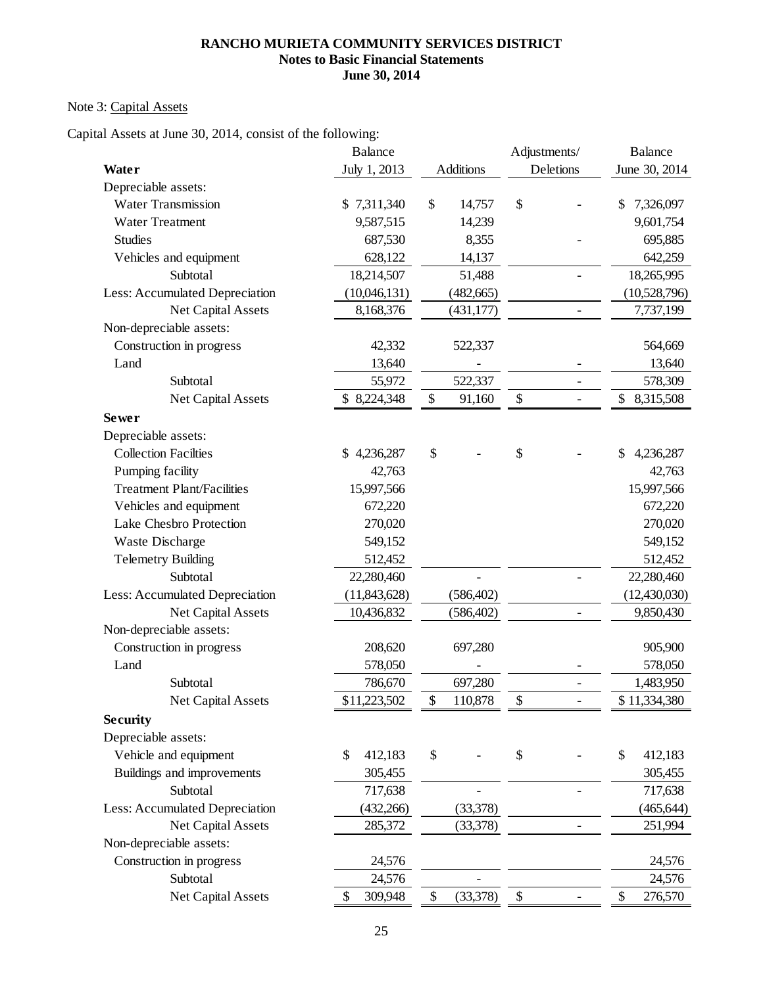# Note 3: Capital Assets

Capital Assets at June 30, 2014, consist of the following:

|                                   | <b>Balance</b> |                          | Adjustments/ | <b>Balance</b>  |
|-----------------------------------|----------------|--------------------------|--------------|-----------------|
| Water                             | July 1, 2013   | <b>Additions</b>         | Deletions    | June 30, 2014   |
| Depreciable assets:               |                |                          |              |                 |
| <b>Water Transmission</b>         | \$7,311,340    | \$<br>14,757             | \$           | 7,326,097<br>\$ |
| <b>Water Treatment</b>            | 9,587,515      | 14,239                   |              | 9,601,754       |
| <b>Studies</b>                    | 687,530        | 8,355                    |              | 695,885         |
| Vehicles and equipment            | 628,122        | 14,137                   |              | 642,259         |
| Subtotal                          | 18,214,507     | 51,488                   |              | 18,265,995      |
| Less: Accumulated Depreciation    | (10,046,131)   | (482, 665)               |              | (10,528,796)    |
| Net Capital Assets                | 8,168,376      | (431, 177)               |              | 7,737,199       |
| Non-depreciable assets:           |                |                          |              |                 |
| Construction in progress          | 42,332         | 522,337                  |              | 564,669         |
| Land                              | 13,640         |                          |              | 13,640          |
| Subtotal                          | 55,972         | 522,337                  |              | 578,309         |
| Net Capital Assets                | \$8,224,348    | \$<br>91,160             | \$           | \$<br>8,315,508 |
| <b>Sewer</b>                      |                |                          |              |                 |
| Depreciable assets:               |                |                          |              |                 |
| <b>Collection Facilties</b>       | \$4,236,287    | \$                       | \$           | \$<br>4,236,287 |
| Pumping facility                  | 42,763         |                          |              | 42,763          |
| <b>Treatment Plant/Facilities</b> | 15,997,566     |                          |              | 15,997,566      |
| Vehicles and equipment            | 672,220        |                          |              | 672,220         |
| Lake Chesbro Protection           | 270,020        |                          |              | 270,020         |
| Waste Discharge                   | 549,152        |                          |              | 549,152         |
| <b>Telemetry Building</b>         | 512,452        |                          |              | 512,452         |
| Subtotal                          | 22,280,460     |                          |              | 22,280,460      |
| Less: Accumulated Depreciation    | (11, 843, 628) | (586, 402)               |              | (12, 430, 030)  |
| Net Capital Assets                | 10,436,832     | (586, 402)               |              | 9,850,430       |
| Non-depreciable assets:           |                |                          |              |                 |
| Construction in progress          | 208,620        | 697,280                  |              | 905,900         |
| Land                              | 578,050        |                          |              | 578,050         |
| Subtotal                          | 786,670        | 697,280                  |              | 1,483,950       |
| <b>Net Capital Assets</b>         | \$11,223,502   | \$<br>110,878            | \$           | \$11,334,380    |
| <b>Security</b>                   |                |                          |              |                 |
| Depreciable assets:               |                |                          |              |                 |
| Vehicle and equipment             | \$<br>412,183  | \$                       | \$           | \$<br>412,183   |
| Buildings and improvements        | 305,455        |                          |              | 305,455         |
| Subtotal                          | 717,638        |                          |              | 717,638         |
| Less: Accumulated Depreciation    | (432, 266)     | (33,378)                 |              | (465, 644)      |
| Net Capital Assets                | 285,372        | (33,378)                 |              | 251,994         |
| Non-depreciable assets:           |                |                          |              |                 |
| Construction in progress          | 24,576         |                          |              | 24,576          |
| Subtotal                          | 24,576         |                          |              | 24,576          |
| Net Capital Assets                | 309,948<br>\$  | $\mathbb{S}$<br>(33,378) | $\$$         | \$<br>276,570   |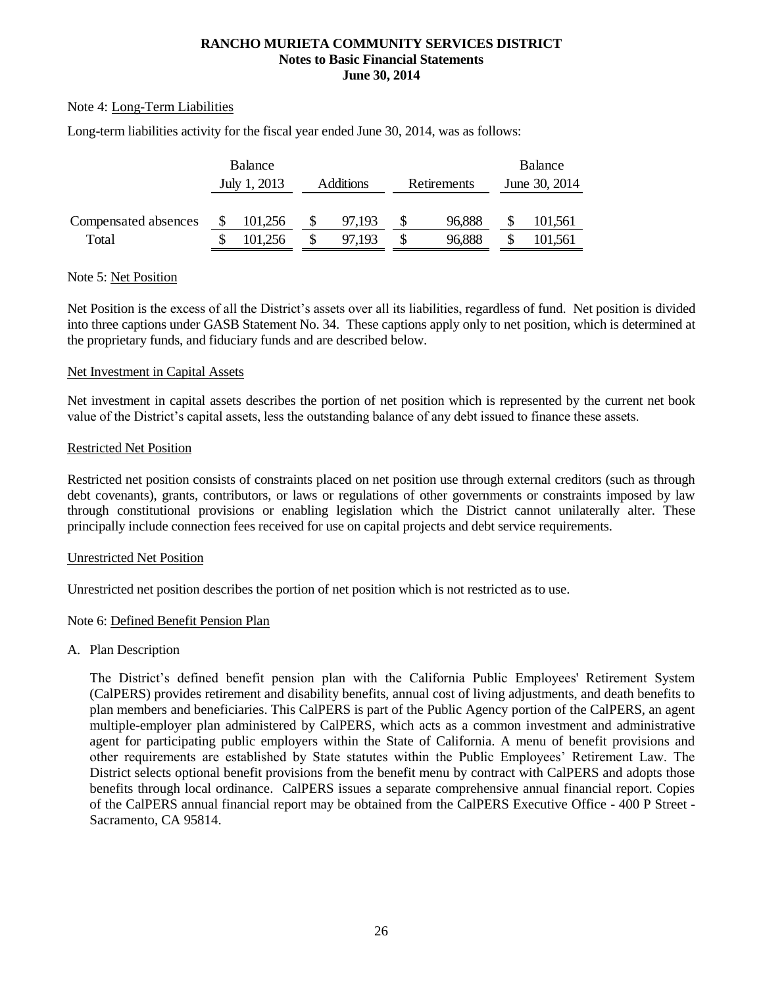# Note 4: Long-Term Liabilities

Long-term liabilities activity for the fiscal year ended June 30, 2014, was as follows:

|                      |              | Balance |                  |        |             |        |               | Balance |
|----------------------|--------------|---------|------------------|--------|-------------|--------|---------------|---------|
|                      | July 1, 2013 |         | <b>Additions</b> |        | Retirements |        | June 30, 2014 |         |
| Compensated absences |              | 101,256 |                  | 97.193 |             | 96,888 |               | 101,561 |
| Total                |              | 101,256 |                  | 97.193 |             | 96,888 |               | 101,561 |

# Note 5: Net Position

Net Position is the excess of all the District's assets over all its liabilities, regardless of fund. Net position is divided into three captions under GASB Statement No. 34. These captions apply only to net position, which is determined at the proprietary funds, and fiduciary funds and are described below.

#### Net Investment in Capital Assets

Net investment in capital assets describes the portion of net position which is represented by the current net book value of the District's capital assets, less the outstanding balance of any debt issued to finance these assets.

#### Restricted Net Position

Restricted net position consists of constraints placed on net position use through external creditors (such as through debt covenants), grants, contributors, or laws or regulations of other governments or constraints imposed by law through constitutional provisions or enabling legislation which the District cannot unilaterally alter. These principally include connection fees received for use on capital projects and debt service requirements.

#### Unrestricted Net Position

Unrestricted net position describes the portion of net position which is not restricted as to use.

#### Note 6: Defined Benefit Pension Plan

#### A. Plan Description

The District's defined benefit pension plan with the California Public Employees' Retirement System (CalPERS) provides retirement and disability benefits, annual cost of living adjustments, and death benefits to plan members and beneficiaries. This CalPERS is part of the Public Agency portion of the CalPERS, an agent multiple-employer plan administered by CalPERS, which acts as a common investment and administrative agent for participating public employers within the State of California. A menu of benefit provisions and other requirements are established by State statutes within the Public Employees' Retirement Law. The District selects optional benefit provisions from the benefit menu by contract with CalPERS and adopts those benefits through local ordinance. CalPERS issues a separate comprehensive annual financial report. Copies of the CalPERS annual financial report may be obtained from the CalPERS Executive Office - 400 P Street - Sacramento, CA 95814.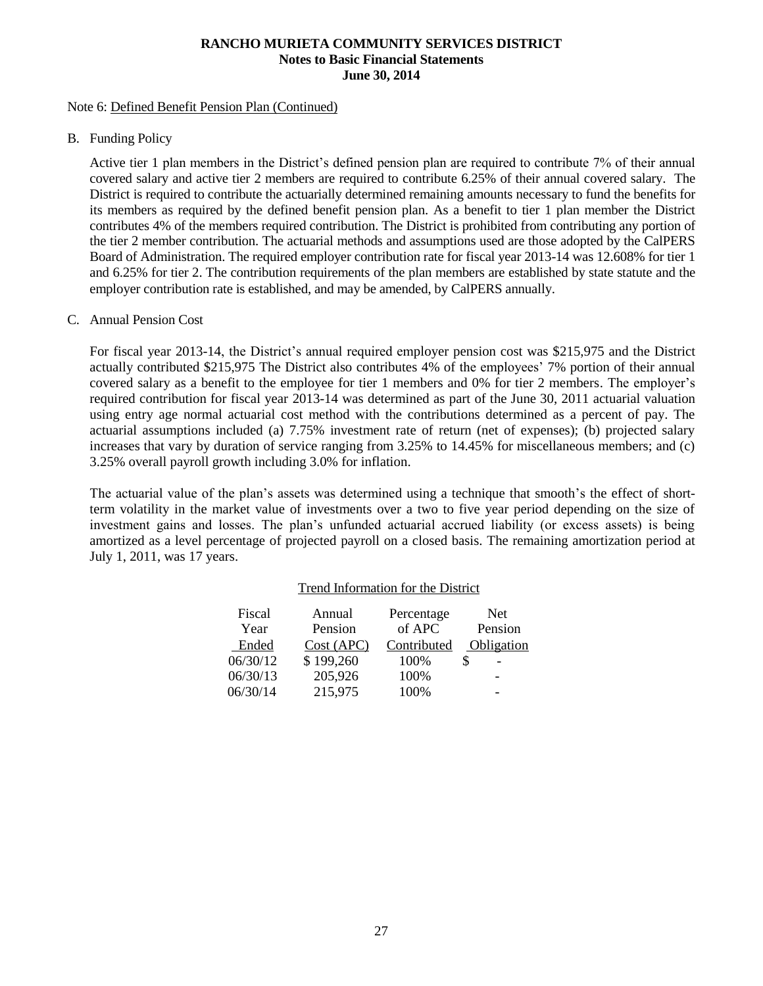#### Note 6: Defined Benefit Pension Plan (Continued)

B. Funding Policy

Active tier 1 plan members in the District's defined pension plan are required to contribute 7% of their annual covered salary and active tier 2 members are required to contribute 6.25% of their annual covered salary. The District is required to contribute the actuarially determined remaining amounts necessary to fund the benefits for its members as required by the defined benefit pension plan. As a benefit to tier 1 plan member the District contributes 4% of the members required contribution. The District is prohibited from contributing any portion of the tier 2 member contribution. The actuarial methods and assumptions used are those adopted by the CalPERS Board of Administration. The required employer contribution rate for fiscal year 2013-14 was 12.608% for tier 1 and 6.25% for tier 2. The contribution requirements of the plan members are established by state statute and the employer contribution rate is established, and may be amended, by CalPERS annually.

#### C. Annual Pension Cost

For fiscal year 2013-14, the District's annual required employer pension cost was \$215,975 and the District actually contributed \$215,975 The District also contributes 4% of the employees' 7% portion of their annual covered salary as a benefit to the employee for tier 1 members and 0% for tier 2 members. The employer's required contribution for fiscal year 2013-14 was determined as part of the June 30, 2011 actuarial valuation using entry age normal actuarial cost method with the contributions determined as a percent of pay. The actuarial assumptions included (a) 7.75% investment rate of return (net of expenses); (b) projected salary increases that vary by duration of service ranging from 3.25% to 14.45% for miscellaneous members; and (c) 3.25% overall payroll growth including 3.0% for inflation.

The actuarial value of the plan's assets was determined using a technique that smooth's the effect of shortterm volatility in the market value of investments over a two to five year period depending on the size of investment gains and losses. The plan's unfunded actuarial accrued liability (or excess assets) is being amortized as a level percentage of projected payroll on a closed basis. The remaining amortization period at July 1, 2011, was 17 years.

#### Trend Information for the District

| Fiscal   | Annual     | Percentage  | Net.                     |
|----------|------------|-------------|--------------------------|
| Year     | Pension    | of APC      | Pension                  |
| Ended    | Cost (APC) | Contributed | Obligation               |
| 06/30/12 | \$199,260  | 100%        |                          |
| 06/30/13 | 205,926    | 100%        | $\overline{\phantom{0}}$ |
| 06/30/14 | 215,975    | 100%        | -                        |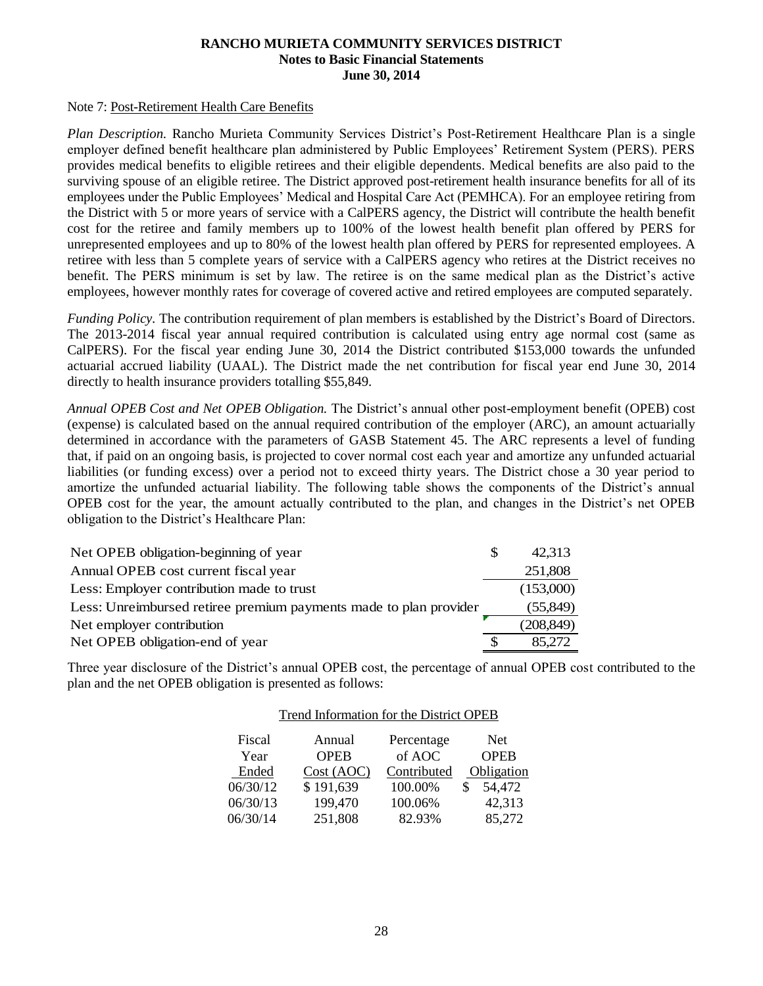# Note 7: Post-Retirement Health Care Benefits

*Plan Description.* Rancho Murieta Community Services District's Post-Retirement Healthcare Plan is a single employer defined benefit healthcare plan administered by Public Employees' Retirement System (PERS). PERS provides medical benefits to eligible retirees and their eligible dependents. Medical benefits are also paid to the surviving spouse of an eligible retiree. The District approved post-retirement health insurance benefits for all of its employees under the Public Employees' Medical and Hospital Care Act (PEMHCA). For an employee retiring from the District with 5 or more years of service with a CalPERS agency, the District will contribute the health benefit cost for the retiree and family members up to 100% of the lowest health benefit plan offered by PERS for unrepresented employees and up to 80% of the lowest health plan offered by PERS for represented employees. A retiree with less than 5 complete years of service with a CalPERS agency who retires at the District receives no benefit. The PERS minimum is set by law. The retiree is on the same medical plan as the District's active employees, however monthly rates for coverage of covered active and retired employees are computed separately.

*Funding Policy.* The contribution requirement of plan members is established by the District's Board of Directors. The 2013-2014 fiscal year annual required contribution is calculated using entry age normal cost (same as CalPERS). For the fiscal year ending June 30, 2014 the District contributed \$153,000 towards the unfunded actuarial accrued liability (UAAL). The District made the net contribution for fiscal year end June 30, 2014 directly to health insurance providers totalling \$55,849.

*Annual OPEB Cost and Net OPEB Obligation.* The District's annual other post-employment benefit (OPEB) cost (expense) is calculated based on the annual required contribution of the employer (ARC), an amount actuarially determined in accordance with the parameters of GASB Statement 45. The ARC represents a level of funding that, if paid on an ongoing basis, is projected to cover normal cost each year and amortize any unfunded actuarial liabilities (or funding excess) over a period not to exceed thirty years. The District chose a 30 year period to amortize the unfunded actuarial liability. The following table shows the components of the District's annual OPEB cost for the year, the amount actually contributed to the plan, and changes in the District's net OPEB obligation to the District's Healthcare Plan:

| Net OPEB obligation-beginning of year                             | 42,313     |
|-------------------------------------------------------------------|------------|
| Annual OPEB cost current fiscal year                              | 251,808    |
| Less: Employer contribution made to trust                         | (153,000)  |
| Less: Unreimbursed retiree premium payments made to plan provider | (55, 849)  |
| Net employer contribution                                         | (208, 849) |
| Net OPEB obligation-end of year                                   | 85,272     |

Three year disclosure of the District's annual OPEB cost, the percentage of annual OPEB cost contributed to the plan and the net OPEB obligation is presented as follows:

| Fiscal   | Annual      | Percentage  | Net.        |
|----------|-------------|-------------|-------------|
| Year     | <b>OPEB</b> | of AOC      | <b>OPEB</b> |
| Ended    | Cost (AOC)  | Contributed | Obligation  |
| 06/30/12 | \$191,639   | 100.00%     | 54,472      |
| 06/30/13 | 199,470     | 100.06%     | 42,313      |
| 06/30/14 | 251,808     | 82.93%      | 85,272      |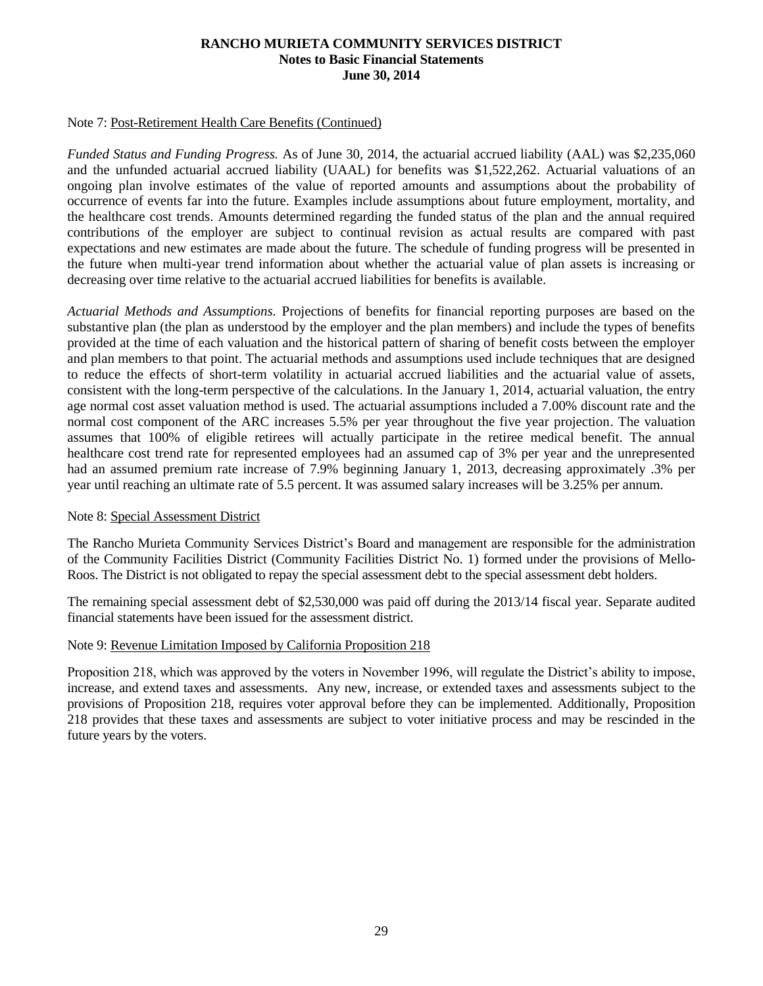#### Note 7: Post-Retirement Health Care Benefits (Continued)

*Funded Status and Funding Progress.* As of June 30, 2014, the actuarial accrued liability (AAL) was \$2,235,060 and the unfunded actuarial accrued liability (UAAL) for benefits was \$1,522,262. Actuarial valuations of an ongoing plan involve estimates of the value of reported amounts and assumptions about the probability of occurrence of events far into the future. Examples include assumptions about future employment, mortality, and the healthcare cost trends. Amounts determined regarding the funded status of the plan and the annual required contributions of the employer are subject to continual revision as actual results are compared with past expectations and new estimates are made about the future. The schedule of funding progress will be presented in the future when multi-year trend information about whether the actuarial value of plan assets is increasing or decreasing over time relative to the actuarial accrued liabilities for benefits is available.

*Actuarial Methods and Assumptions.* Projections of benefits for financial reporting purposes are based on the substantive plan (the plan as understood by the employer and the plan members) and include the types of benefits provided at the time of each valuation and the historical pattern of sharing of benefit costs between the employer and plan members to that point. The actuarial methods and assumptions used include techniques that are designed to reduce the effects of short-term volatility in actuarial accrued liabilities and the actuarial value of assets, consistent with the long-term perspective of the calculations. In the January 1, 2014, actuarial valuation, the entry age normal cost asset valuation method is used. The actuarial assumptions included a 7.00% discount rate and the normal cost component of the ARC increases 5.5% per year throughout the five year projection. The valuation assumes that 100% of eligible retirees will actually participate in the retiree medical benefit. The annual healthcare cost trend rate for represented employees had an assumed cap of 3% per year and the unrepresented had an assumed premium rate increase of 7.9% beginning January 1, 2013, decreasing approximately .3% per year until reaching an ultimate rate of 5.5 percent. It was assumed salary increases will be 3.25% per annum.

#### Note 8: Special Assessment District

The Rancho Murieta Community Services District's Board and management are responsible for the administration of the Community Facilities District (Community Facilities District No. 1) formed under the provisions of Mello-Roos. The District is not obligated to repay the special assessment debt to the special assessment debt holders.

The remaining special assessment debt of \$2,530,000 was paid off during the 2013/14 fiscal year. Separate audited financial statements have been issued for the assessment district.

#### Note 9: Revenue Limitation Imposed by California Proposition 218

Proposition 218, which was approved by the voters in November 1996, will regulate the District's ability to impose, increase, and extend taxes and assessments. Any new, increase, or extended taxes and assessments subject to the provisions of Proposition 218, requires voter approval before they can be implemented. Additionally, Proposition 218 provides that these taxes and assessments are subject to voter initiative process and may be rescinded in the future years by the voters.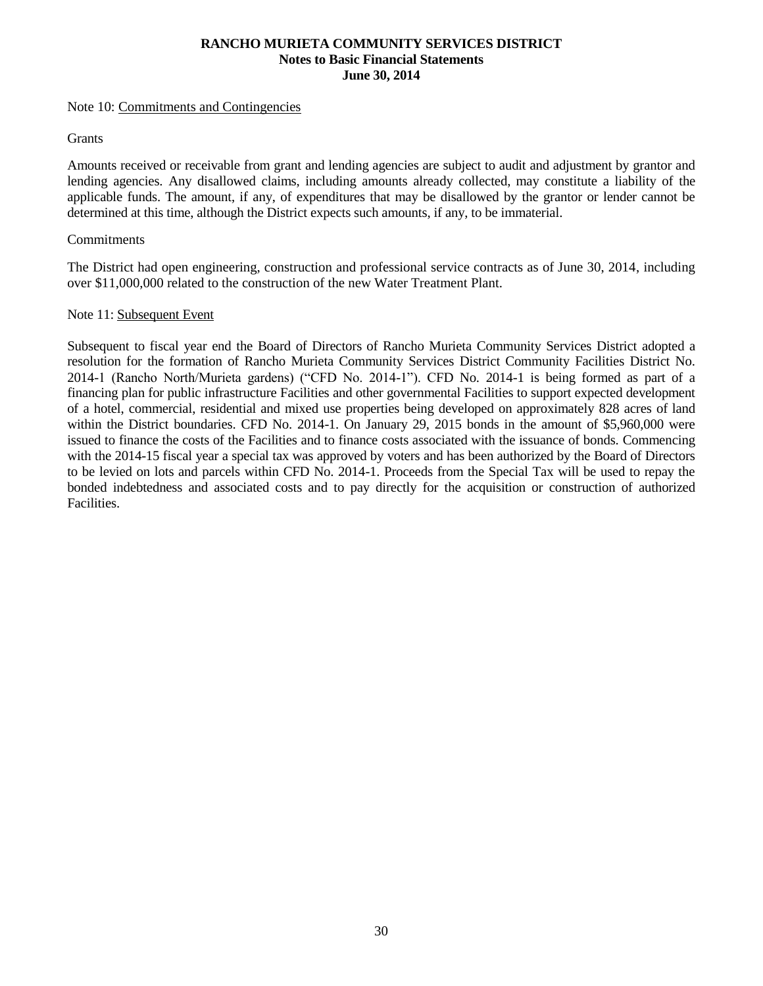#### Note 10: Commitments and Contingencies

#### **Grants**

Amounts received or receivable from grant and lending agencies are subject to audit and adjustment by grantor and lending agencies. Any disallowed claims, including amounts already collected, may constitute a liability of the applicable funds. The amount, if any, of expenditures that may be disallowed by the grantor or lender cannot be determined at this time, although the District expects such amounts, if any, to be immaterial.

#### Commitments

The District had open engineering, construction and professional service contracts as of June 30, 2014, including over \$11,000,000 related to the construction of the new Water Treatment Plant.

## Note 11: Subsequent Event

Subsequent to fiscal year end the Board of Directors of Rancho Murieta Community Services District adopted a resolution for the formation of Rancho Murieta Community Services District Community Facilities District No. 2014-1 (Rancho North/Murieta gardens) ("CFD No. 2014-1"). CFD No. 2014-1 is being formed as part of a financing plan for public infrastructure Facilities and other governmental Facilities to support expected development of a hotel, commercial, residential and mixed use properties being developed on approximately 828 acres of land within the District boundaries. CFD No. 2014-1. On January 29, 2015 bonds in the amount of \$5,960,000 were issued to finance the costs of the Facilities and to finance costs associated with the issuance of bonds. Commencing with the 2014-15 fiscal year a special tax was approved by voters and has been authorized by the Board of Directors to be levied on lots and parcels within CFD No. 2014-1. Proceeds from the Special Tax will be used to repay the bonded indebtedness and associated costs and to pay directly for the acquisition or construction of authorized Facilities.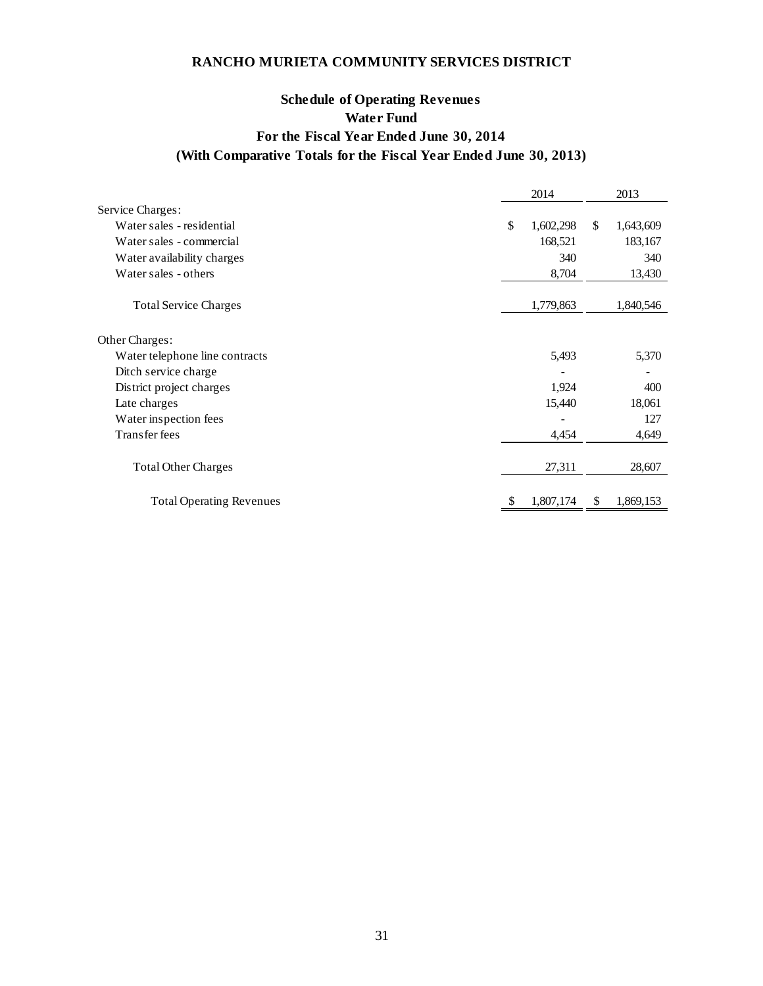# **Schedule of Operating Revenues Water Fund For the Fiscal Year Ended June 30, 2014 (With Comparative Totals for the Fiscal Year Ended June 30, 2013)**

|                                 | 2014 |           |     | 2013      |
|---------------------------------|------|-----------|-----|-----------|
| Service Charges:                |      |           |     |           |
| Water sales - residential       | \$   | 1,602,298 | \$  | 1,643,609 |
| Water sales - commercial        |      | 168,521   |     | 183,167   |
| Water availability charges      |      | 340       |     | 340       |
| Water sales - others            |      | 8,704     |     | 13,430    |
| <b>Total Service Charges</b>    |      | 1,779,863 |     | 1,840,546 |
| Other Charges:                  |      |           |     |           |
| Water telephone line contracts  |      | 5,493     |     | 5,370     |
| Ditch service charge            |      |           |     |           |
| District project charges        |      | 1,924     |     | 400       |
| Late charges                    |      | 15,440    |     | 18,061    |
| Water inspection fees           |      |           |     | 127       |
| Transfer fees                   |      | 4,454     |     | 4,649     |
| <b>Total Other Charges</b>      |      | 27,311    |     | 28,607    |
| <b>Total Operating Revenues</b> |      | 1,807,174 | \$. | 1,869,153 |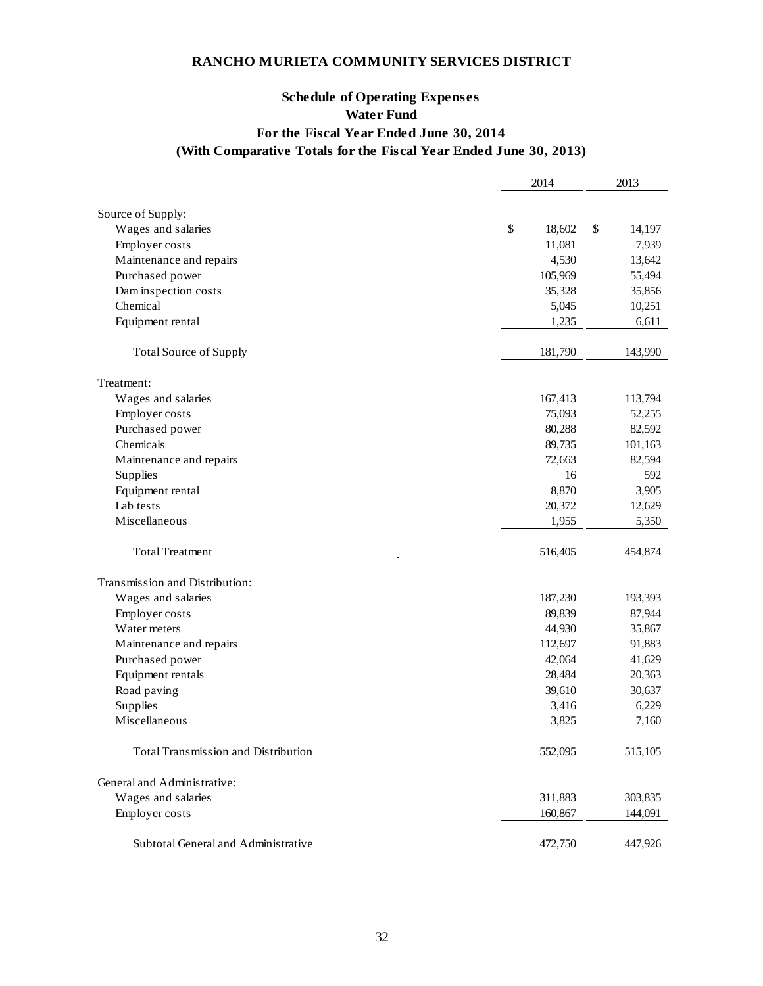# **Schedule of Operating Expenses Water Fund For the Fiscal Year Ended June 30, 2014 (With Comparative Totals for the Fiscal Year Ended June 30, 2013)**

|                                     |              | 2014    |    | 2013    |
|-------------------------------------|--------------|---------|----|---------|
|                                     |              |         |    |         |
| Source of Supply:                   |              |         |    |         |
| Wages and salaries                  | $\mathbb{S}$ | 18,602  | \$ | 14,197  |
| Employer costs                      |              | 11,081  |    | 7,939   |
| Maintenance and repairs             |              | 4,530   |    | 13,642  |
| Purchased power                     |              | 105,969 |    | 55,494  |
| Daminspection costs                 |              | 35,328  |    | 35,856  |
| Chemical                            |              | 5,045   |    | 10,251  |
| Equipment rental                    |              | 1,235   |    | 6,611   |
| <b>Total Source of Supply</b>       |              | 181,790 |    | 143,990 |
| Treatment:                          |              |         |    |         |
| Wages and salaries                  |              | 167,413 |    | 113,794 |
| Employer costs                      |              | 75,093  |    | 52,255  |
| Purchased power                     |              | 80,288  |    | 82,592  |
| Chemicals                           |              | 89,735  |    | 101,163 |
| Maintenance and repairs             |              | 72,663  |    | 82,594  |
| Supplies                            |              | 16      |    | 592     |
| Equipment rental                    |              | 8,870   |    | 3,905   |
| Lab tests                           |              | 20,372  |    | 12,629  |
| Miscellaneous                       |              | 1,955   |    | 5,350   |
| <b>Total Treatment</b>              |              | 516,405 |    | 454,874 |
| Transmission and Distribution:      |              |         |    |         |
| Wages and salaries                  |              | 187,230 |    | 193,393 |
| Employer costs                      |              | 89,839  |    | 87,944  |
| Water meters                        |              | 44,930  |    | 35,867  |
| Maintenance and repairs             |              | 112,697 |    | 91,883  |
| Purchased power                     |              | 42,064  |    | 41,629  |
| Equipment rentals                   |              | 28,484  |    | 20,363  |
| Road paving                         |              | 39,610  |    | 30,637  |
| Supplies                            |              | 3,416   |    | 6,229   |
| Miscellaneous                       |              | 3,825   |    | 7,160   |
|                                     |              |         |    |         |
| Total Transmission and Distribution |              | 552,095 |    | 515,105 |
| General and Administrative:         |              |         |    |         |
| Wages and salaries                  |              | 311,883 |    | 303,835 |
| Employer costs                      |              | 160,867 |    | 144,091 |
| Subtotal General and Administrative |              | 472,750 |    | 447,926 |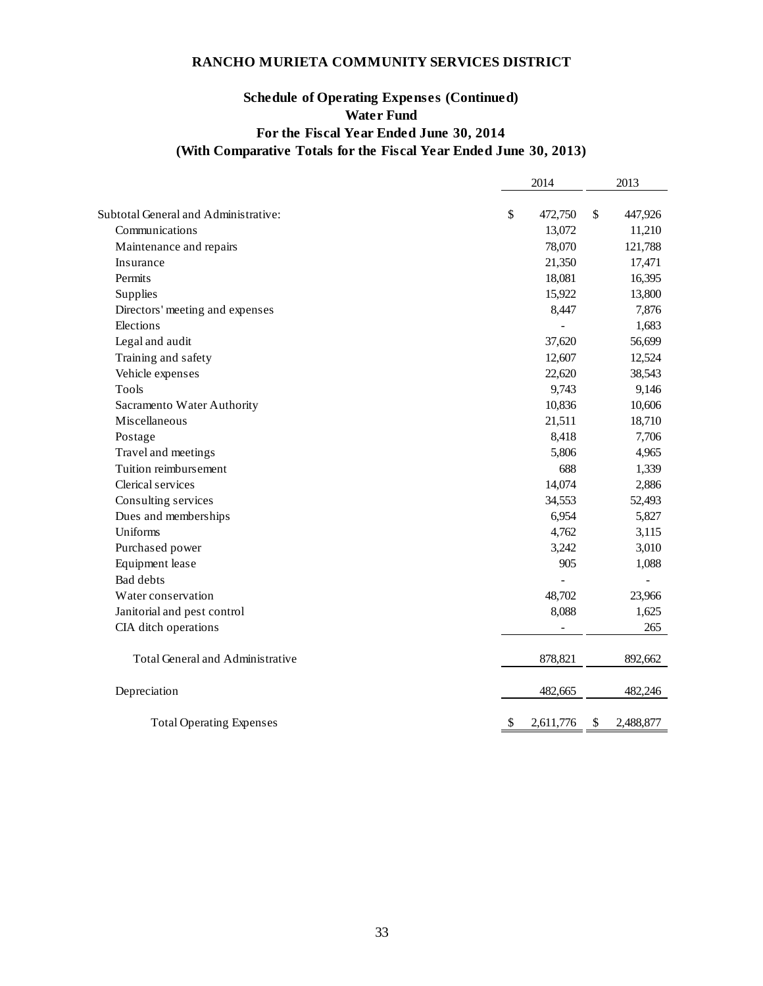# **Schedule of Operating Expenses (Continued) Water Fund For the Fiscal Year Ended June 30, 2014 (With Comparative Totals for the Fiscal Year Ended June 30, 2013)**

|                                      | 2014            |    | 2013      |  |
|--------------------------------------|-----------------|----|-----------|--|
|                                      |                 |    |           |  |
| Subtotal General and Administrative: | \$<br>472,750   | \$ | 447,926   |  |
| Communications                       | 13,072          |    | 11,210    |  |
| Maintenance and repairs              | 78,070          |    | 121,788   |  |
| Insurance                            | 21,350          |    | 17,471    |  |
| Permits                              | 18,081          |    | 16,395    |  |
| Supplies                             | 15,922          |    | 13,800    |  |
| Directors' meeting and expenses      | 8,447           |    | 7,876     |  |
| Elections                            |                 |    | 1,683     |  |
| Legal and audit                      | 37,620          |    | 56,699    |  |
| Training and safety                  | 12,607          |    | 12,524    |  |
| Vehicle expenses                     | 22,620          |    | 38,543    |  |
| Tools                                | 9,743           |    | 9,146     |  |
| Sacramento Water Authority           | 10,836          |    | 10,606    |  |
| Miscellaneous                        | 21,511          |    | 18,710    |  |
| Postage                              | 8,418           |    | 7,706     |  |
| Travel and meetings                  | 5,806           |    | 4,965     |  |
| Tuition reimbursement                | 688             |    | 1,339     |  |
| Clerical services                    | 14,074          |    | 2,886     |  |
| Consulting services                  | 34,553          |    | 52,493    |  |
| Dues and memberships                 | 6,954           |    | 5,827     |  |
| Uniforms                             | 4,762           |    | 3,115     |  |
| Purchased power                      | 3,242           |    | 3,010     |  |
| Equipment lease                      | 905             |    | 1,088     |  |
| Bad debts                            |                 |    |           |  |
| Water conservation                   | 48,702          |    | 23,966    |  |
| Janitorial and pest control          | 8,088           |    | 1,625     |  |
| CIA ditch operations                 |                 |    | 265       |  |
| Total General and Administrative     | 878,821         |    | 892,662   |  |
| Depreciation                         | 482,665         |    | 482,246   |  |
| <b>Total Operating Expenses</b>      | \$<br>2,611,776 | \$ | 2,488,877 |  |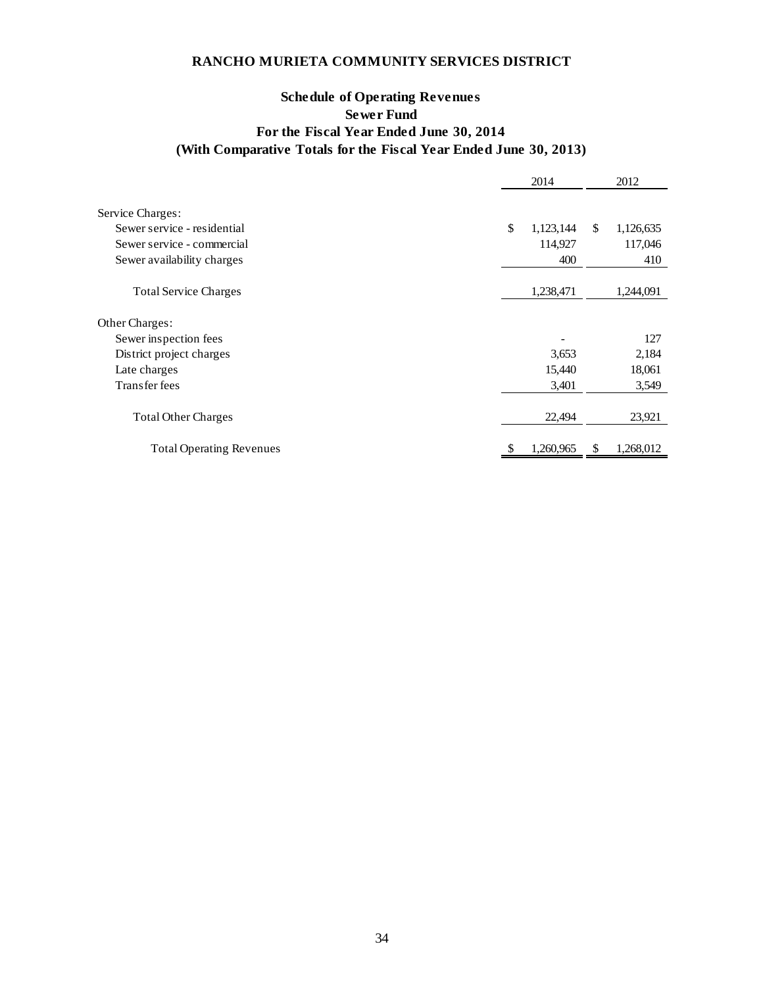# **Schedule of Operating Revenues Sewer Fund For the Fiscal Year Ended June 30, 2014 (With Comparative Totals for the Fiscal Year Ended June 30, 2013)**

|                                 | 2014            |    | 2012      |
|---------------------------------|-----------------|----|-----------|
|                                 |                 |    |           |
| Service Charges:                |                 |    |           |
| Sewer service - residential     | \$<br>1,123,144 | \$ | 1,126,635 |
| Sewer service - commercial      | 114,927         |    | 117,046   |
| Sewer availability charges      | 400             |    | 410       |
|                                 |                 |    |           |
| <b>Total Service Charges</b>    | 1,238,471       |    | 1,244,091 |
|                                 |                 |    |           |
| Other Charges:                  |                 |    |           |
| Sewer inspection fees           |                 |    | 127       |
| District project charges        | 3,653           |    | 2,184     |
| Late charges                    | 15,440          |    | 18,061    |
| Transfer fees                   | 3,401           |    | 3,549     |
|                                 |                 |    |           |
| <b>Total Other Charges</b>      | 22,494          |    | 23,921    |
|                                 |                 |    |           |
| <b>Total Operating Revenues</b> | 1,260,965       |    | 1,268,012 |
|                                 |                 |    |           |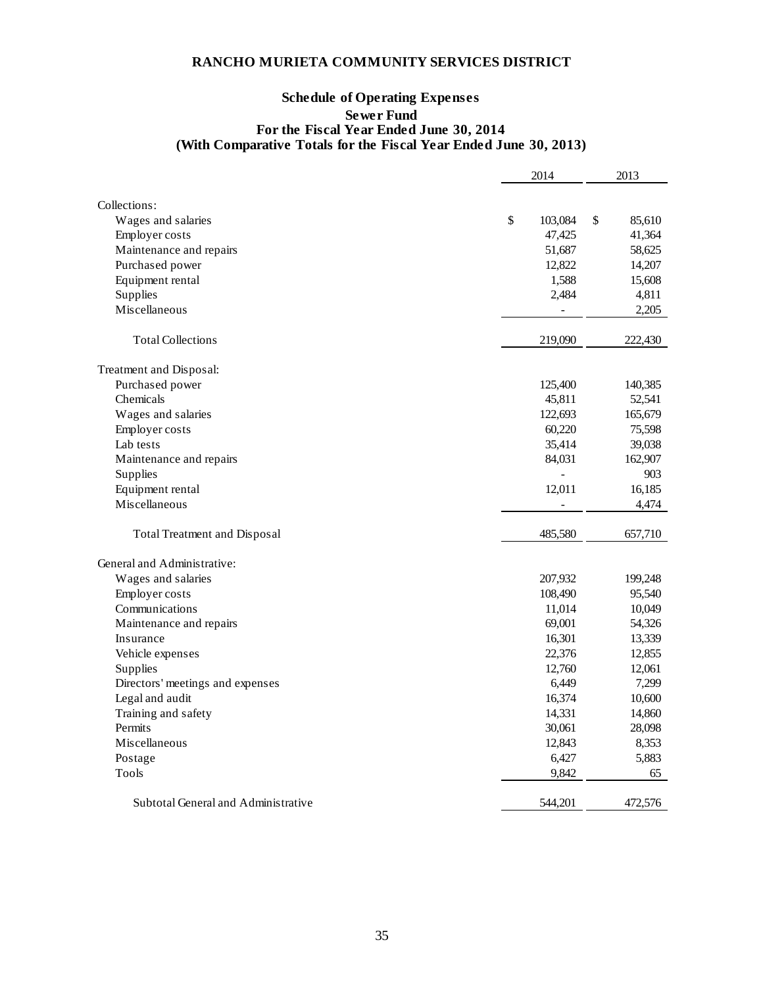# **Schedule of Operating Expenses Sewer Fund For the Fiscal Year Ended June 30, 2014 (With Comparative Totals for the Fiscal Year Ended June 30, 2013)**

|                                            |    | 2014             |    | 2013             |  |  |
|--------------------------------------------|----|------------------|----|------------------|--|--|
|                                            |    |                  |    |                  |  |  |
| Collections:                               |    |                  |    |                  |  |  |
| Wages and salaries                         | \$ | 103,084          | \$ | 85,610           |  |  |
| Employer costs                             |    | 47,425           |    | 41,364           |  |  |
| Maintenance and repairs<br>Purchased power |    | 51,687<br>12,822 |    | 58,625<br>14,207 |  |  |
| Equipment rental                           |    | 1,588            |    | 15,608           |  |  |
| Supplies                                   |    | 2,484            |    | 4,811            |  |  |
| Miscellaneous                              |    | $\overline{a}$   |    | 2,205            |  |  |
|                                            |    |                  |    |                  |  |  |
| <b>Total Collections</b>                   |    | 219,090          |    | 222,430          |  |  |
| Treatment and Disposal:                    |    |                  |    |                  |  |  |
| Purchased power                            |    | 125,400          |    | 140,385          |  |  |
| Chemicals                                  |    | 45,811           |    | 52,541           |  |  |
| Wages and salaries                         |    | 122,693          |    | 165,679          |  |  |
| Employer costs                             |    | 60,220           |    | 75,598           |  |  |
| Lab tests                                  |    | 35,414           |    | 39,038           |  |  |
| Maintenance and repairs                    |    | 84,031           |    | 162,907          |  |  |
| Supplies                                   |    | $\overline{a}$   |    | 903              |  |  |
| Equipment rental                           |    | 12,011           |    | 16,185           |  |  |
| Miscellaneous                              |    |                  |    | 4,474            |  |  |
| Total Treatment and Disposal               |    | 485,580          |    | 657,710          |  |  |
| General and Administrative:                |    |                  |    |                  |  |  |
| Wages and salaries                         |    | 207,932          |    | 199,248          |  |  |
| Employer costs                             |    | 108,490          |    | 95,540           |  |  |
| Communications                             |    | 11,014           |    | 10,049           |  |  |
| Maintenance and repairs                    |    | 69,001           |    | 54,326           |  |  |
| Insurance                                  |    | 16,301           |    | 13,339           |  |  |
| Vehicle expenses                           |    | 22,376           |    | 12,855           |  |  |
| Supplies                                   |    | 12,760           |    | 12,061           |  |  |
| Directors' meetings and expenses           |    | 6,449            |    | 7,299            |  |  |
| Legal and audit                            |    | 16,374           |    | 10,600           |  |  |
| Training and safety                        |    | 14,331           |    | 14,860           |  |  |
| Permits                                    |    | 30,061           |    | 28,098           |  |  |
| Miscellaneous                              |    | 12,843           |    | 8,353            |  |  |
| Postage                                    |    | 6,427            |    | 5,883            |  |  |
| Tools                                      |    | 9,842            |    | 65               |  |  |
| Subtotal General and Administrative        |    | 544,201          |    | 472,576          |  |  |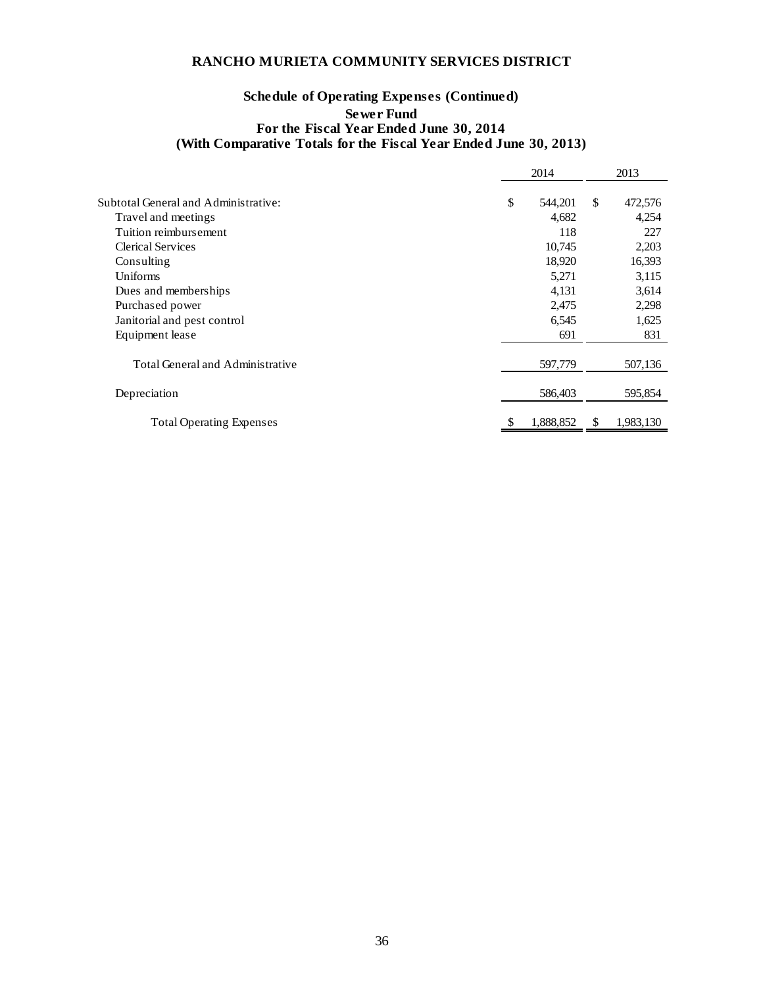# **Schedule of Operating Expenses (Continued) Sewer Fund For the Fiscal Year Ended June 30, 2014 (With Comparative Totals for the Fiscal Year Ended June 30, 2013)**

|                                      | 2014          |    | 2013      |  |
|--------------------------------------|---------------|----|-----------|--|
|                                      |               |    |           |  |
| Subtotal General and Administrative: | \$<br>544,201 | \$ | 472,576   |  |
| Travel and meetings                  | 4,682         |    | 4,254     |  |
| Tuition reimbursement                | 118           |    | 227       |  |
| <b>Clerical Services</b>             | 10,745        |    | 2,203     |  |
| Consulting                           | 18,920        |    | 16,393    |  |
| Uniforms                             | 5,271         |    | 3,115     |  |
| Dues and memberships                 | 4,131         |    | 3,614     |  |
| Purchased power                      | 2,475         |    | 2,298     |  |
| Janitorial and pest control          | 6,545         |    | 1,625     |  |
| Equipment lease                      | 691           |    | 831       |  |
| Total General and Administrative     | 597,779       |    | 507,136   |  |
| Depreciation                         | 586,403       |    | 595,854   |  |
| <b>Total Operating Expenses</b>      | 1,888,852     | Ж  | 1,983,130 |  |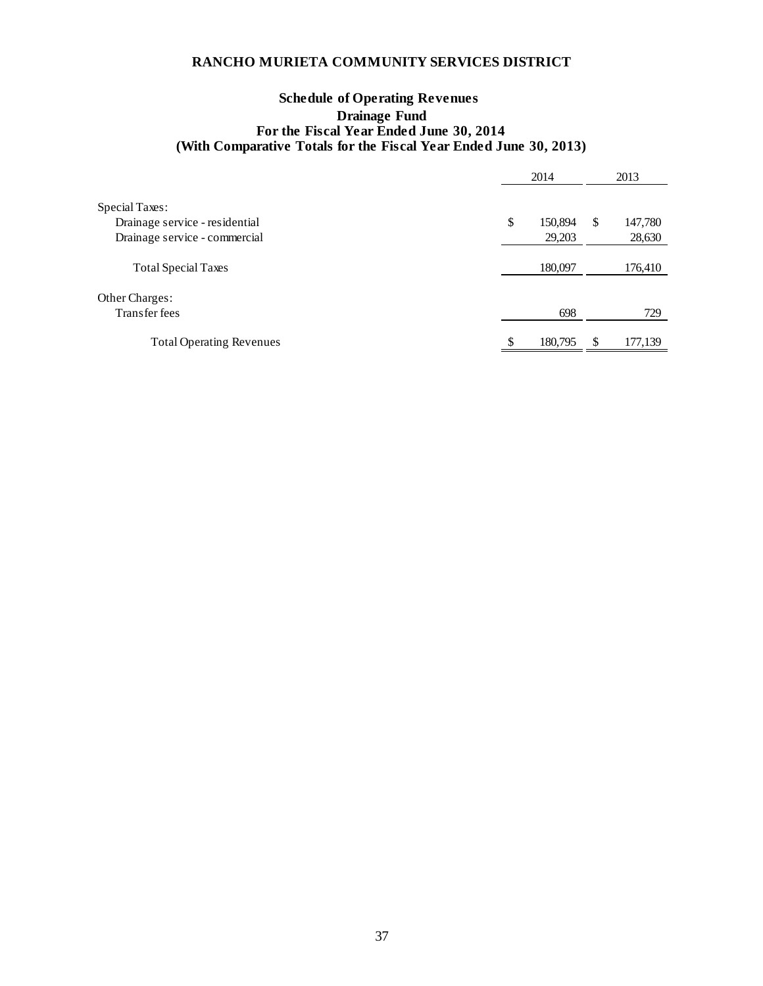# **Schedule of Operating Revenues Drainage Fund For the Fiscal Year Ended June 30, 2014 (With Comparative Totals for the Fiscal Year Ended June 30, 2013)**

|                                 |    | 2014    |     | 2013    |
|---------------------------------|----|---------|-----|---------|
| Special Taxes:                  |    |         |     |         |
| Drainage service - residential  | \$ | 150,894 | \$. | 147,780 |
| Drainage service - commercial   |    | 29,203  |     | 28,630  |
| <b>Total Special Taxes</b>      |    | 180,097 |     | 176,410 |
| Other Charges:                  |    |         |     |         |
| Transfer fees                   |    | 698     |     | 729     |
| <b>Total Operating Revenues</b> | \$ | 180,795 |     | 177,139 |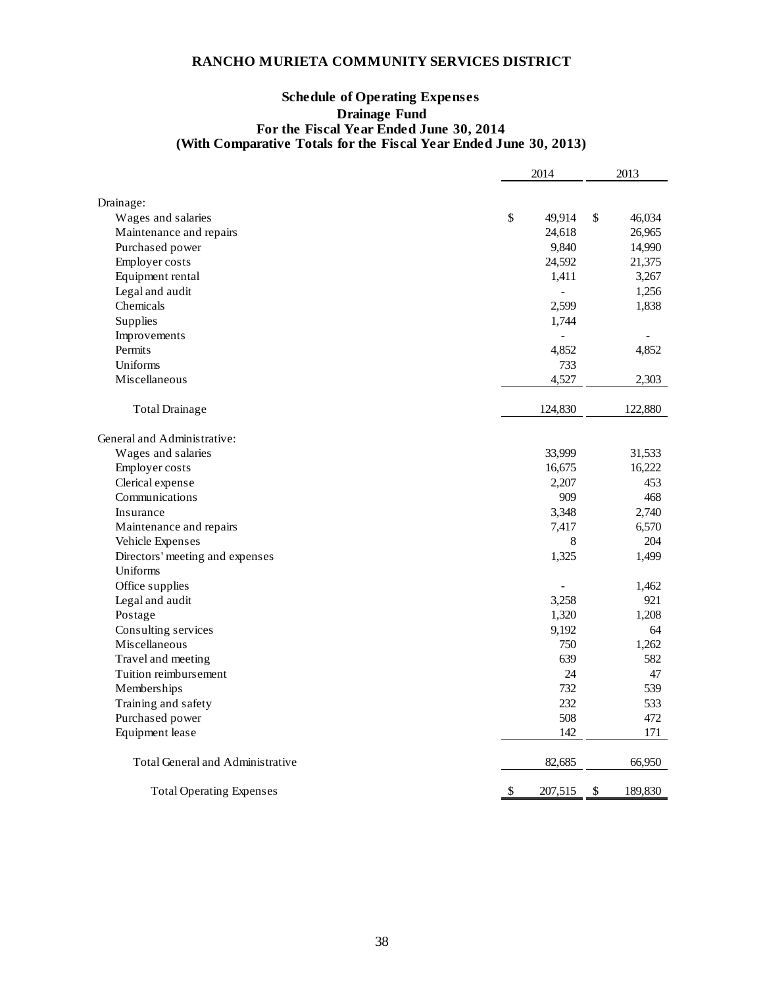# **Schedule of Operating Expenses Drainage Fund For the Fiscal Year Ended June 30, 2014 (With Comparative Totals for the Fiscal Year Ended June 30, 2013)**

| Drainage:<br>\$<br>Wages and salaries<br>49,914<br>\$<br>46,034<br>Maintenance and repairs<br>24,618<br>26,965<br>Purchased power<br>9,840<br>14,990<br>Employer costs<br>24,592<br>21,375<br>Equipment rental<br>1,411<br>3,267<br>Legal and audit<br>1,256<br>$\overline{a}$<br>Chemicals<br>2,599<br>1,838<br>Supplies<br>1,744<br>Improvements<br>$\overline{a}$<br>Permits<br>4,852<br>4,852<br>Uniforms<br>733<br>Miscellaneous<br>4,527<br>2,303<br>124,830<br>122,880<br><b>Total Drainage</b><br>General and Administrative:<br>Wages and salaries<br>33,999<br>31,533<br>Employer costs<br>16,222<br>16,675<br>Clerical expense<br>2,207<br>453<br>Communications<br>909<br>468<br>Insurance<br>3,348<br>2,740<br>6,570<br>Maintenance and repairs<br>7,417<br>Vehicle Expenses<br>204<br>8<br>Directors' meeting and expenses<br>1,325<br>1,499<br>Uniforms<br>Office supplies<br>1,462<br>Legal and audit<br>3,258<br>921<br>Postage<br>1,320<br>1,208<br>Consulting services<br>9,192<br>64<br>Miscellaneous<br>750<br>1,262<br>639<br>Travel and meeting<br>582<br>Tuition reimbursement<br>24<br>47<br>Memberships<br>732<br>539<br>Training and safety<br>232<br>533<br>508<br>Purchased power<br>472<br>142<br>Equipment lease<br>171<br>Total General and Administrative<br>82,685<br>66,950<br>$\boldsymbol{\mathsf{S}}$<br>207,515<br>\$<br>189,830<br><b>Total Operating Expenses</b> | 2014 |  | 2013 |
|------------------------------------------------------------------------------------------------------------------------------------------------------------------------------------------------------------------------------------------------------------------------------------------------------------------------------------------------------------------------------------------------------------------------------------------------------------------------------------------------------------------------------------------------------------------------------------------------------------------------------------------------------------------------------------------------------------------------------------------------------------------------------------------------------------------------------------------------------------------------------------------------------------------------------------------------------------------------------------------------------------------------------------------------------------------------------------------------------------------------------------------------------------------------------------------------------------------------------------------------------------------------------------------------------------------------------------------------------------------------------------------------------------|------|--|------|
|                                                                                                                                                                                                                                                                                                                                                                                                                                                                                                                                                                                                                                                                                                                                                                                                                                                                                                                                                                                                                                                                                                                                                                                                                                                                                                                                                                                                            |      |  |      |
|                                                                                                                                                                                                                                                                                                                                                                                                                                                                                                                                                                                                                                                                                                                                                                                                                                                                                                                                                                                                                                                                                                                                                                                                                                                                                                                                                                                                            |      |  |      |
|                                                                                                                                                                                                                                                                                                                                                                                                                                                                                                                                                                                                                                                                                                                                                                                                                                                                                                                                                                                                                                                                                                                                                                                                                                                                                                                                                                                                            |      |  |      |
|                                                                                                                                                                                                                                                                                                                                                                                                                                                                                                                                                                                                                                                                                                                                                                                                                                                                                                                                                                                                                                                                                                                                                                                                                                                                                                                                                                                                            |      |  |      |
|                                                                                                                                                                                                                                                                                                                                                                                                                                                                                                                                                                                                                                                                                                                                                                                                                                                                                                                                                                                                                                                                                                                                                                                                                                                                                                                                                                                                            |      |  |      |
|                                                                                                                                                                                                                                                                                                                                                                                                                                                                                                                                                                                                                                                                                                                                                                                                                                                                                                                                                                                                                                                                                                                                                                                                                                                                                                                                                                                                            |      |  |      |
|                                                                                                                                                                                                                                                                                                                                                                                                                                                                                                                                                                                                                                                                                                                                                                                                                                                                                                                                                                                                                                                                                                                                                                                                                                                                                                                                                                                                            |      |  |      |
|                                                                                                                                                                                                                                                                                                                                                                                                                                                                                                                                                                                                                                                                                                                                                                                                                                                                                                                                                                                                                                                                                                                                                                                                                                                                                                                                                                                                            |      |  |      |
|                                                                                                                                                                                                                                                                                                                                                                                                                                                                                                                                                                                                                                                                                                                                                                                                                                                                                                                                                                                                                                                                                                                                                                                                                                                                                                                                                                                                            |      |  |      |
|                                                                                                                                                                                                                                                                                                                                                                                                                                                                                                                                                                                                                                                                                                                                                                                                                                                                                                                                                                                                                                                                                                                                                                                                                                                                                                                                                                                                            |      |  |      |
|                                                                                                                                                                                                                                                                                                                                                                                                                                                                                                                                                                                                                                                                                                                                                                                                                                                                                                                                                                                                                                                                                                                                                                                                                                                                                                                                                                                                            |      |  |      |
|                                                                                                                                                                                                                                                                                                                                                                                                                                                                                                                                                                                                                                                                                                                                                                                                                                                                                                                                                                                                                                                                                                                                                                                                                                                                                                                                                                                                            |      |  |      |
|                                                                                                                                                                                                                                                                                                                                                                                                                                                                                                                                                                                                                                                                                                                                                                                                                                                                                                                                                                                                                                                                                                                                                                                                                                                                                                                                                                                                            |      |  |      |
|                                                                                                                                                                                                                                                                                                                                                                                                                                                                                                                                                                                                                                                                                                                                                                                                                                                                                                                                                                                                                                                                                                                                                                                                                                                                                                                                                                                                            |      |  |      |
|                                                                                                                                                                                                                                                                                                                                                                                                                                                                                                                                                                                                                                                                                                                                                                                                                                                                                                                                                                                                                                                                                                                                                                                                                                                                                                                                                                                                            |      |  |      |
|                                                                                                                                                                                                                                                                                                                                                                                                                                                                                                                                                                                                                                                                                                                                                                                                                                                                                                                                                                                                                                                                                                                                                                                                                                                                                                                                                                                                            |      |  |      |
|                                                                                                                                                                                                                                                                                                                                                                                                                                                                                                                                                                                                                                                                                                                                                                                                                                                                                                                                                                                                                                                                                                                                                                                                                                                                                                                                                                                                            |      |  |      |
|                                                                                                                                                                                                                                                                                                                                                                                                                                                                                                                                                                                                                                                                                                                                                                                                                                                                                                                                                                                                                                                                                                                                                                                                                                                                                                                                                                                                            |      |  |      |
|                                                                                                                                                                                                                                                                                                                                                                                                                                                                                                                                                                                                                                                                                                                                                                                                                                                                                                                                                                                                                                                                                                                                                                                                                                                                                                                                                                                                            |      |  |      |
|                                                                                                                                                                                                                                                                                                                                                                                                                                                                                                                                                                                                                                                                                                                                                                                                                                                                                                                                                                                                                                                                                                                                                                                                                                                                                                                                                                                                            |      |  |      |
|                                                                                                                                                                                                                                                                                                                                                                                                                                                                                                                                                                                                                                                                                                                                                                                                                                                                                                                                                                                                                                                                                                                                                                                                                                                                                                                                                                                                            |      |  |      |
|                                                                                                                                                                                                                                                                                                                                                                                                                                                                                                                                                                                                                                                                                                                                                                                                                                                                                                                                                                                                                                                                                                                                                                                                                                                                                                                                                                                                            |      |  |      |
|                                                                                                                                                                                                                                                                                                                                                                                                                                                                                                                                                                                                                                                                                                                                                                                                                                                                                                                                                                                                                                                                                                                                                                                                                                                                                                                                                                                                            |      |  |      |
|                                                                                                                                                                                                                                                                                                                                                                                                                                                                                                                                                                                                                                                                                                                                                                                                                                                                                                                                                                                                                                                                                                                                                                                                                                                                                                                                                                                                            |      |  |      |
|                                                                                                                                                                                                                                                                                                                                                                                                                                                                                                                                                                                                                                                                                                                                                                                                                                                                                                                                                                                                                                                                                                                                                                                                                                                                                                                                                                                                            |      |  |      |
|                                                                                                                                                                                                                                                                                                                                                                                                                                                                                                                                                                                                                                                                                                                                                                                                                                                                                                                                                                                                                                                                                                                                                                                                                                                                                                                                                                                                            |      |  |      |
|                                                                                                                                                                                                                                                                                                                                                                                                                                                                                                                                                                                                                                                                                                                                                                                                                                                                                                                                                                                                                                                                                                                                                                                                                                                                                                                                                                                                            |      |  |      |
|                                                                                                                                                                                                                                                                                                                                                                                                                                                                                                                                                                                                                                                                                                                                                                                                                                                                                                                                                                                                                                                                                                                                                                                                                                                                                                                                                                                                            |      |  |      |
|                                                                                                                                                                                                                                                                                                                                                                                                                                                                                                                                                                                                                                                                                                                                                                                                                                                                                                                                                                                                                                                                                                                                                                                                                                                                                                                                                                                                            |      |  |      |
|                                                                                                                                                                                                                                                                                                                                                                                                                                                                                                                                                                                                                                                                                                                                                                                                                                                                                                                                                                                                                                                                                                                                                                                                                                                                                                                                                                                                            |      |  |      |
|                                                                                                                                                                                                                                                                                                                                                                                                                                                                                                                                                                                                                                                                                                                                                                                                                                                                                                                                                                                                                                                                                                                                                                                                                                                                                                                                                                                                            |      |  |      |
|                                                                                                                                                                                                                                                                                                                                                                                                                                                                                                                                                                                                                                                                                                                                                                                                                                                                                                                                                                                                                                                                                                                                                                                                                                                                                                                                                                                                            |      |  |      |
|                                                                                                                                                                                                                                                                                                                                                                                                                                                                                                                                                                                                                                                                                                                                                                                                                                                                                                                                                                                                                                                                                                                                                                                                                                                                                                                                                                                                            |      |  |      |
|                                                                                                                                                                                                                                                                                                                                                                                                                                                                                                                                                                                                                                                                                                                                                                                                                                                                                                                                                                                                                                                                                                                                                                                                                                                                                                                                                                                                            |      |  |      |
|                                                                                                                                                                                                                                                                                                                                                                                                                                                                                                                                                                                                                                                                                                                                                                                                                                                                                                                                                                                                                                                                                                                                                                                                                                                                                                                                                                                                            |      |  |      |
|                                                                                                                                                                                                                                                                                                                                                                                                                                                                                                                                                                                                                                                                                                                                                                                                                                                                                                                                                                                                                                                                                                                                                                                                                                                                                                                                                                                                            |      |  |      |
|                                                                                                                                                                                                                                                                                                                                                                                                                                                                                                                                                                                                                                                                                                                                                                                                                                                                                                                                                                                                                                                                                                                                                                                                                                                                                                                                                                                                            |      |  |      |
|                                                                                                                                                                                                                                                                                                                                                                                                                                                                                                                                                                                                                                                                                                                                                                                                                                                                                                                                                                                                                                                                                                                                                                                                                                                                                                                                                                                                            |      |  |      |
|                                                                                                                                                                                                                                                                                                                                                                                                                                                                                                                                                                                                                                                                                                                                                                                                                                                                                                                                                                                                                                                                                                                                                                                                                                                                                                                                                                                                            |      |  |      |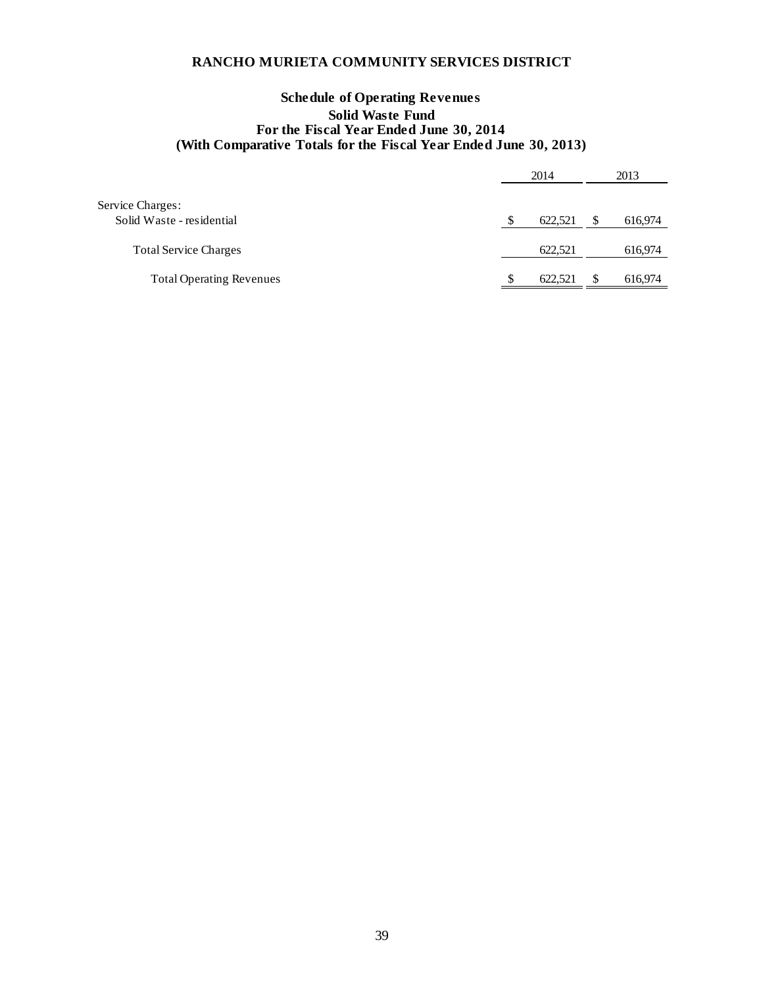# **Schedule of Operating Revenues Solid Waste Fund For the Fiscal Year Ended June 30, 2014 (With Comparative Totals for the Fiscal Year Ended June 30, 2013)**

|                                 | 2014 |         | 2013 |         |
|---------------------------------|------|---------|------|---------|
| Service Charges:                |      |         |      |         |
| Solid Waste - residential       | \$   | 622.521 |      | 616,974 |
| <b>Total Service Charges</b>    |      | 622,521 |      | 616,974 |
| <b>Total Operating Revenues</b> | S.   | 622.521 |      | 616,974 |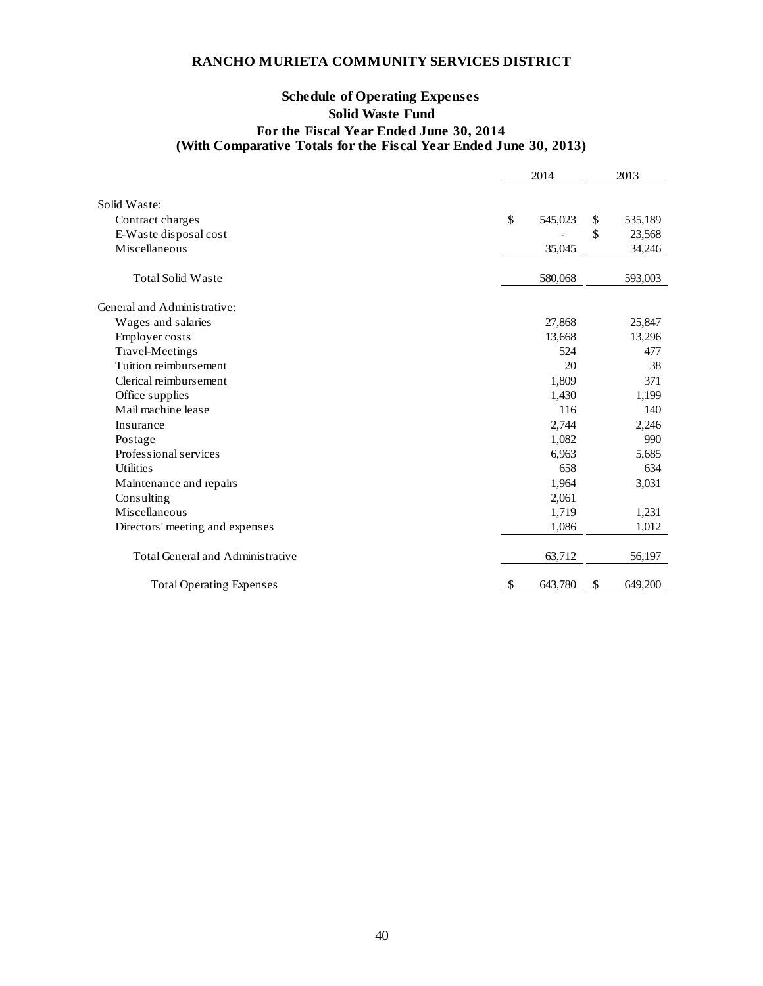# **Schedule of Operating Expenses Solid Waste Fund For the Fiscal Year Ended June 30, 2014 (With Comparative Totals for the Fiscal Year Ended June 30, 2013)**

|                                  | 2014          |    | 2013    |  |
|----------------------------------|---------------|----|---------|--|
| Solid Waste:                     |               |    |         |  |
| Contract charges                 | \$<br>545,023 | \$ | 535,189 |  |
| E-Waste disposal cost            |               | \$ | 23,568  |  |
| Miscellaneous                    | 35,045        |    | 34,246  |  |
|                                  |               |    |         |  |
| <b>Total Solid Waste</b>         | 580,068       |    | 593,003 |  |
| General and Administrative:      |               |    |         |  |
| Wages and salaries               | 27,868        |    | 25,847  |  |
| Employer costs                   | 13,668        |    | 13,296  |  |
| Travel-Meetings                  | 524           |    | 477     |  |
| Tuition reimbursement            | 20            |    | 38      |  |
| Clerical reimbursement           | 1,809         |    | 371     |  |
| Office supplies                  | 1,430         |    | 1,199   |  |
| Mail machine lease               | 116           |    | 140     |  |
| Insurance                        | 2,744         |    | 2,246   |  |
| Postage                          | 1,082         |    | 990     |  |
| Professional services            | 6,963         |    | 5,685   |  |
| <b>Utilities</b>                 | 658           |    | 634     |  |
| Maintenance and repairs          | 1,964         |    | 3,031   |  |
| Consulting                       | 2,061         |    |         |  |
| Miscellaneous                    | 1,719         |    | 1,231   |  |
| Directors' meeting and expenses  | 1,086         |    | 1,012   |  |
| Total General and Administrative | 63,712        |    | 56,197  |  |
| <b>Total Operating Expenses</b>  | \$<br>643,780 | \$ | 649,200 |  |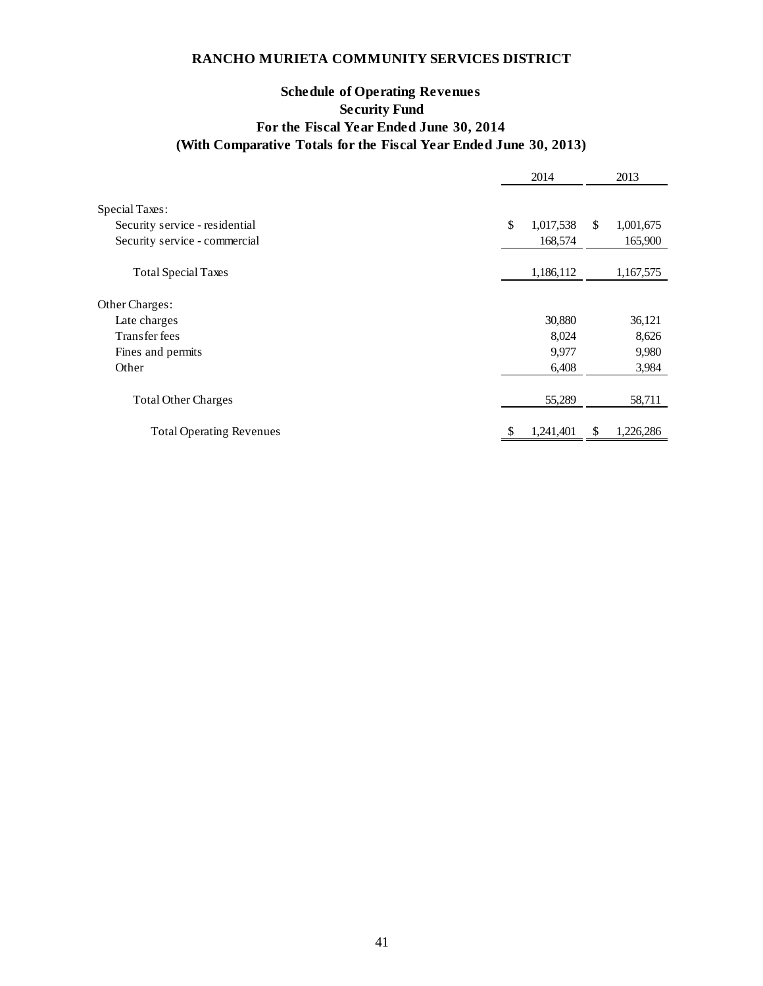# **Schedule of Operating Revenues Security Fund For the Fiscal Year Ended June 30, 2014 (With Comparative Totals for the Fiscal Year Ended June 30, 2013)**

|                                 | 2014            | 2013          |           |
|---------------------------------|-----------------|---------------|-----------|
| Special Taxes:                  |                 |               |           |
| Security service - residential  | \$<br>1,017,538 | \$            | 1,001,675 |
| Security service - commercial   | 168,574         |               | 165,900   |
| <b>Total Special Taxes</b>      | 1,186,112       |               | 1,167,575 |
| Other Charges:                  |                 |               |           |
| Late charges                    | 30,880          |               | 36,121    |
| Transfer fees                   | 8,024           |               | 8,626     |
| Fines and permits               | 9,977           |               | 9,980     |
| Other                           | 6,408           |               | 3,984     |
| <b>Total Other Charges</b>      | 55,289          |               | 58,711    |
| <b>Total Operating Revenues</b> | 1,241,401       | <sup>\$</sup> | 1,226,286 |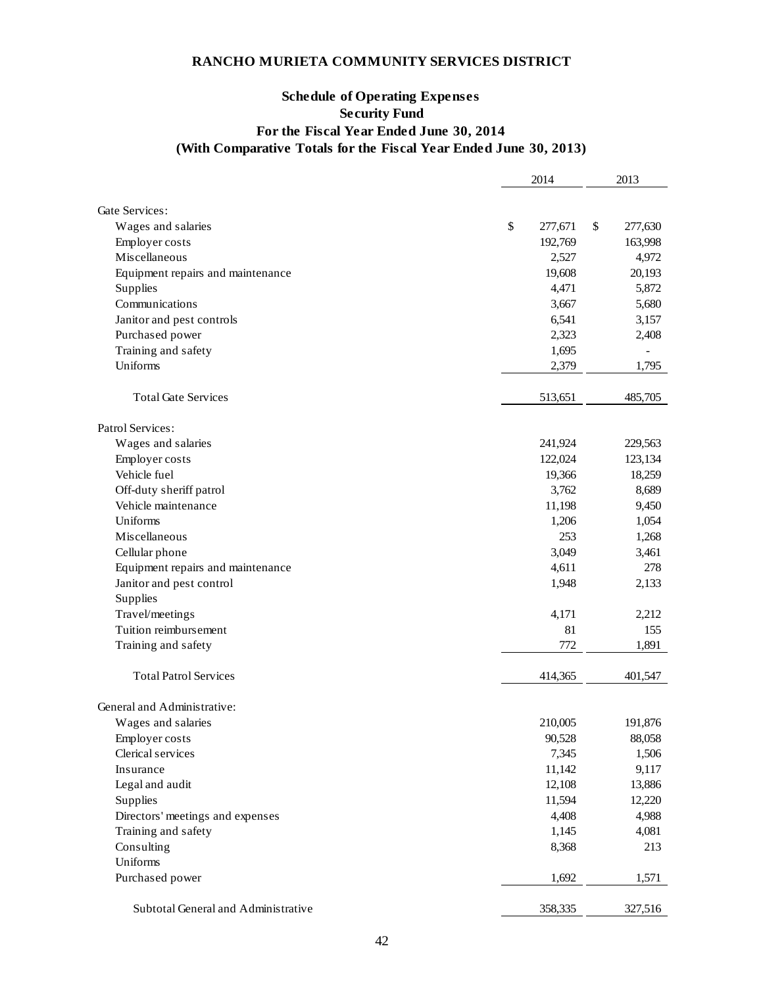# **Schedule of Operating Expenses Security Fund For the Fiscal Year Ended June 30, 2014 (With Comparative Totals for the Fiscal Year Ended June 30, 2013)**

|                                     | 2014 |         | 2013 |         |
|-------------------------------------|------|---------|------|---------|
|                                     |      |         |      |         |
| Gate Services:                      |      |         |      |         |
| Wages and salaries                  | \$   | 277,671 | \$   | 277,630 |
| Employer costs                      |      | 192,769 |      | 163,998 |
| Miscellaneous                       |      | 2,527   |      | 4,972   |
| Equipment repairs and maintenance   |      | 19,608  |      | 20,193  |
| Supplies                            |      | 4,471   |      | 5,872   |
| Communications                      |      | 3,667   |      | 5,680   |
| Janitor and pest controls           |      | 6,541   |      | 3,157   |
| Purchased power                     |      | 2,323   |      | 2,408   |
| Training and safety                 |      | 1,695   |      |         |
| Uniforms                            |      | 2,379   |      | 1,795   |
| <b>Total Gate Services</b>          |      | 513,651 |      | 485,705 |
| Patrol Services:                    |      |         |      |         |
| Wages and salaries                  |      | 241,924 |      | 229,563 |
| Employer costs                      |      | 122,024 |      | 123,134 |
| Vehicle fuel                        |      | 19,366  |      | 18,259  |
| Off-duty sheriff patrol             |      | 3,762   |      | 8,689   |
| Vehicle maintenance                 |      | 11,198  |      | 9,450   |
| Uniforms                            |      | 1,206   |      | 1,054   |
| Miscellaneous                       |      | 253     |      | 1,268   |
| Cellular phone                      |      | 3,049   |      | 3,461   |
| Equipment repairs and maintenance   |      | 4,611   |      | 278     |
| Janitor and pest control            |      | 1,948   |      | 2,133   |
| Supplies                            |      |         |      |         |
| Travel/meetings                     |      | 4,171   |      | 2,212   |
| Tuition reimbursement               |      | 81      |      | 155     |
| Training and safety                 |      | 772     |      | 1,891   |
| <b>Total Patrol Services</b>        |      | 414,365 |      | 401,547 |
| General and Administrative:         |      |         |      |         |
| Wages and salaries                  |      | 210,005 |      | 191,876 |
| Employer costs                      |      | 90,528  |      | 88,058  |
| Clerical services                   |      | 7,345   |      | 1,506   |
| Insurance                           |      | 11,142  |      | 9,117   |
| Legal and audit                     |      | 12,108  |      | 13,886  |
| Supplies                            |      | 11,594  |      | 12,220  |
| Directors' meetings and expenses    |      | 4,408   |      | 4,988   |
| Training and safety                 |      | 1,145   |      | 4,081   |
| Consulting                          |      | 8,368   |      | 213     |
| Uniforms                            |      |         |      |         |
| Purchased power                     |      | 1,692   |      | 1,571   |
|                                     |      |         |      |         |
| Subtotal General and Administrative |      | 358,335 |      | 327,516 |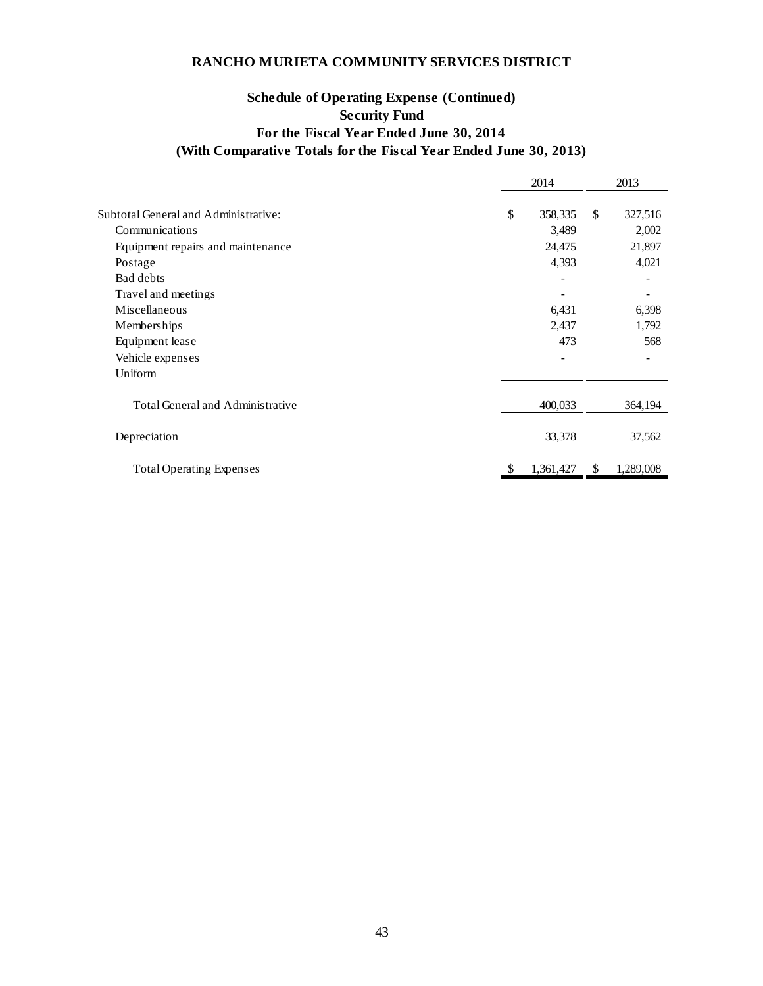# **Schedule of Operating Expense (Continued) Security Fund For the Fiscal Year Ended June 30, 2014 (With Comparative Totals for the Fiscal Year Ended June 30, 2013)**

|                                      | 2014 |           | 2013 |           |
|--------------------------------------|------|-----------|------|-----------|
|                                      |      |           |      |           |
| Subtotal General and Administrative: | \$   | 358,335   | \$   | 327,516   |
| Communications                       |      | 3,489     |      | 2,002     |
| Equipment repairs and maintenance    |      | 24,475    |      | 21,897    |
| Postage                              |      | 4,393     |      | 4,021     |
| Bad debts                            |      |           |      |           |
| Travel and meetings                  |      |           |      |           |
| Miscellaneous                        |      | 6,431     |      | 6,398     |
| Memberships                          |      | 2,437     |      | 1,792     |
| Equipment lease                      |      | 473       |      | 568       |
| Vehicle expenses                     |      |           |      |           |
| Uniform                              |      |           |      |           |
| Total General and Administrative     |      | 400,033   |      | 364,194   |
|                                      |      |           |      |           |
| Depreciation                         |      | 33,378    |      | 37,562    |
| <b>Total Operating Expenses</b>      |      | 1,361,427 | S    | 1,289,008 |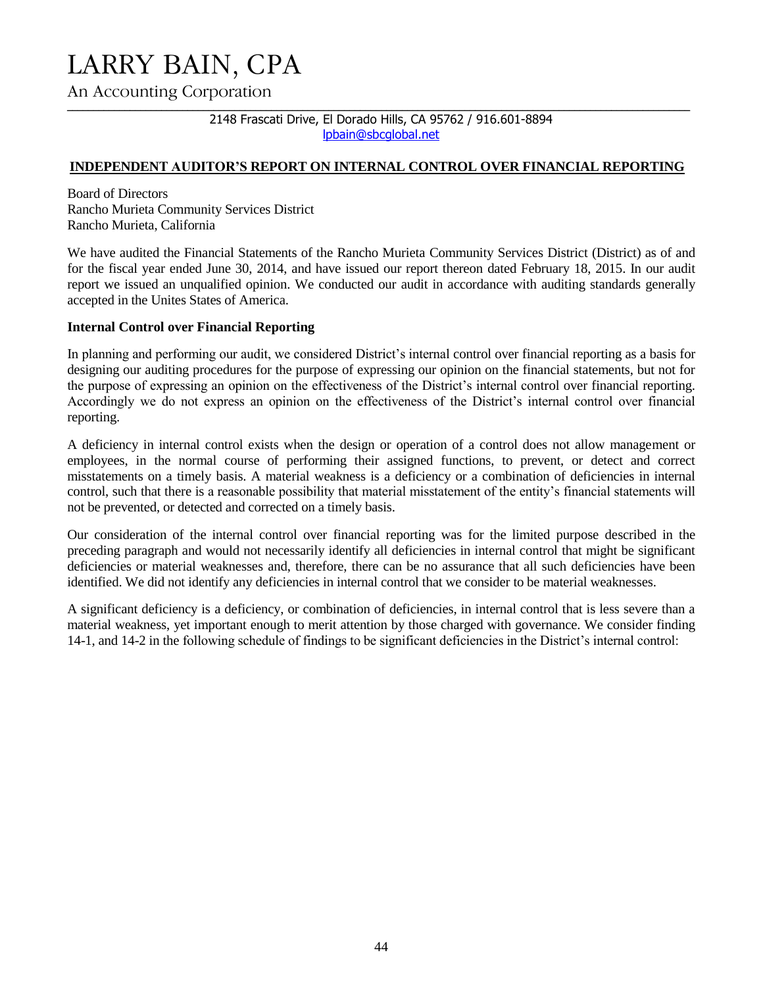# LARRY BAIN, CPA

An Accounting Corporation

2148 Frascati Drive, El Dorado Hills, CA 95762 / 916.601-8894 [lpbain@sbcglobal.net](mailto:auditor@marcello-cpa.com)

# **INDEPENDENT AUDITOR'S REPORT ON INTERNAL CONTROL OVER FINANCIAL REPORTING**

Board of Directors Rancho Murieta Community Services District Rancho Murieta, California

We have audited the Financial Statements of the Rancho Murieta Community Services District (District) as of and for the fiscal year ended June 30, 2014, and have issued our report thereon dated February 18, 2015. In our audit report we issued an unqualified opinion. We conducted our audit in accordance with auditing standards generally accepted in the Unites States of America.

# **Internal Control over Financial Reporting**

In planning and performing our audit, we considered District's internal control over financial reporting as a basis for designing our auditing procedures for the purpose of expressing our opinion on the financial statements, but not for the purpose of expressing an opinion on the effectiveness of the District's internal control over financial reporting. Accordingly we do not express an opinion on the effectiveness of the District's internal control over financial reporting.

A deficiency in internal control exists when the design or operation of a control does not allow management or employees, in the normal course of performing their assigned functions, to prevent, or detect and correct misstatements on a timely basis. A material weakness is a deficiency or a combination of deficiencies in internal control, such that there is a reasonable possibility that material misstatement of the entity's financial statements will not be prevented, or detected and corrected on a timely basis.

Our consideration of the internal control over financial reporting was for the limited purpose described in the preceding paragraph and would not necessarily identify all deficiencies in internal control that might be significant deficiencies or material weaknesses and, therefore, there can be no assurance that all such deficiencies have been identified. We did not identify any deficiencies in internal control that we consider to be material weaknesses.

A significant deficiency is a deficiency, or combination of deficiencies, in internal control that is less severe than a material weakness, yet important enough to merit attention by those charged with governance. We consider finding 14-1, and 14-2 in the following schedule of findings to be significant deficiencies in the District's internal control: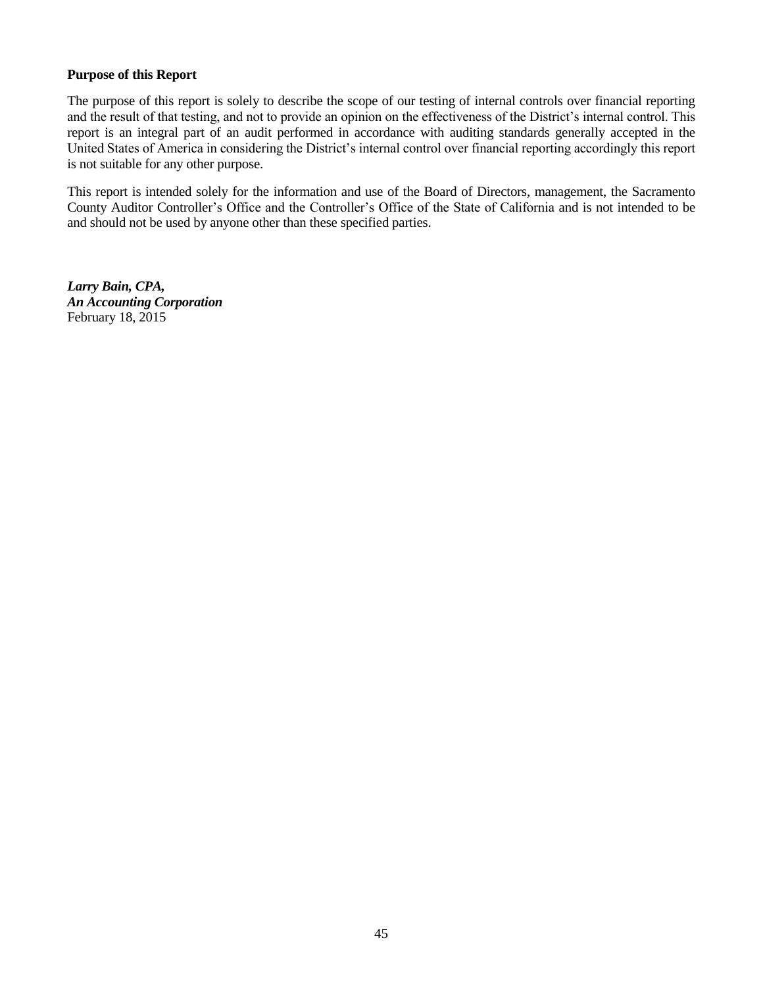#### **Purpose of this Report**

The purpose of this report is solely to describe the scope of our testing of internal controls over financial reporting and the result of that testing, and not to provide an opinion on the effectiveness of the District's internal control. This report is an integral part of an audit performed in accordance with auditing standards generally accepted in the United States of America in considering the District's internal control over financial reporting accordingly this report is not suitable for any other purpose.

This report is intended solely for the information and use of the Board of Directors, management, the Sacramento County Auditor Controller's Office and the Controller's Office of the State of California and is not intended to be and should not be used by anyone other than these specified parties.

*Larry Bain, CPA, An Accounting Corporation* February 18, 2015